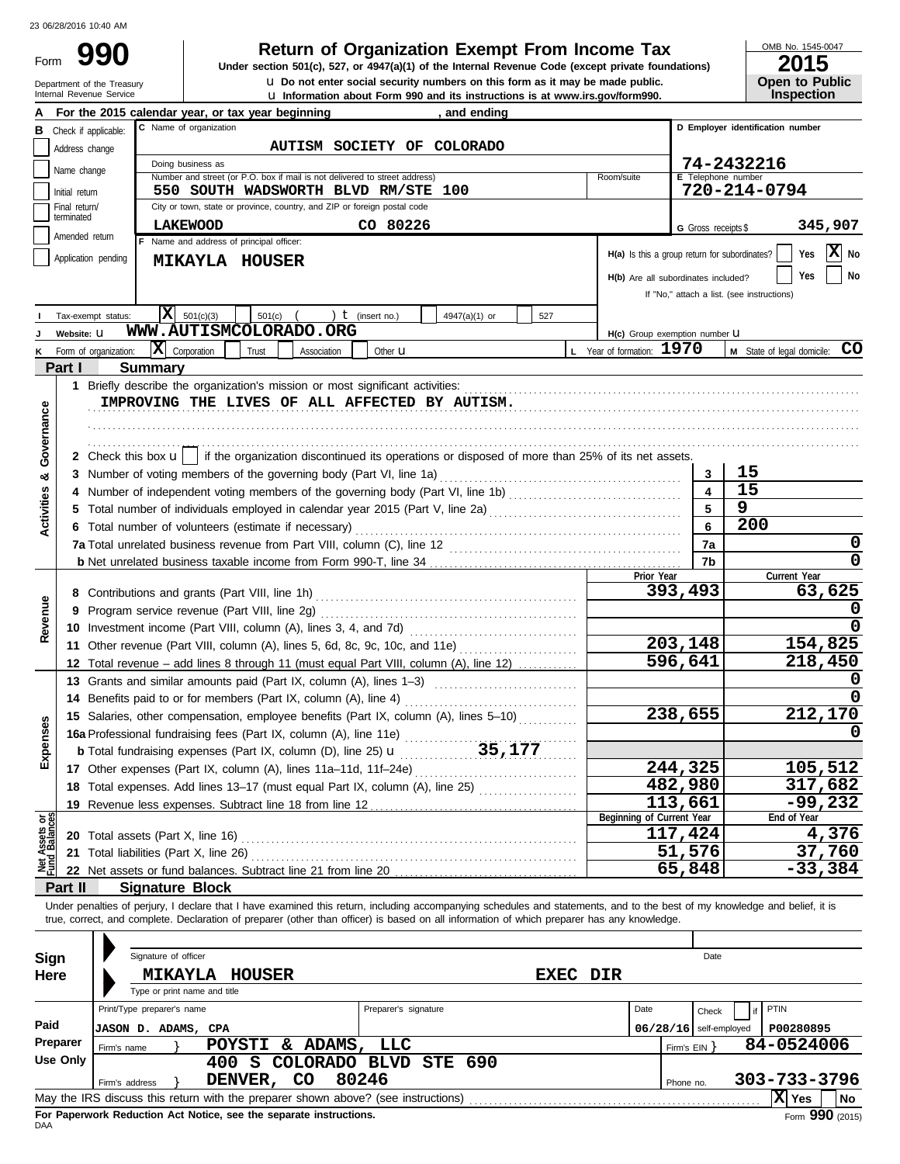Department of the Treasury<br>Internal Revenue Service

# **990 1990 2015 Depending Solution Solution Solution Script Street (except private foundations)** and the Internal Revenue Code (except private foundations)

**u** Information about Form 990 and its instructions is at www.irs.gov/form990. **u** Do not enter social security numbers on this form as it may be made public. OMB No. 1545-0047

|  | ZU I J                |
|--|-----------------------|
|  | <b>Open to Public</b> |
|  | <b>Inspection</b>     |

|                                |                                                | For the 2015 calendar year, or tax year beginning<br>and ending                                                                                                                                               |                           |                                               |                                            |  |  |  |  |  |
|--------------------------------|------------------------------------------------|---------------------------------------------------------------------------------------------------------------------------------------------------------------------------------------------------------------|---------------------------|-----------------------------------------------|--------------------------------------------|--|--|--|--|--|
| в                              |                                                | C Name of organization<br>Check if applicable:                                                                                                                                                                |                           |                                               | D Employer identification number           |  |  |  |  |  |
|                                | Address change                                 | AUTISM SOCIETY OF COLORADO                                                                                                                                                                                    |                           |                                               |                                            |  |  |  |  |  |
|                                | 74-2432216<br>Doing business as<br>Name change |                                                                                                                                                                                                               |                           |                                               |                                            |  |  |  |  |  |
|                                |                                                | Number and street (or P.O. box if mail is not delivered to street address)<br>550 SOUTH WADSWORTH BLVD RM/STE 100                                                                                             | Room/suite                | E Telephone number                            | 720-214-0794                               |  |  |  |  |  |
|                                | Initial return<br>Final return/                | City or town, state or province, country, and ZIP or foreign postal code                                                                                                                                      |                           |                                               |                                            |  |  |  |  |  |
|                                | terminated                                     |                                                                                                                                                                                                               |                           |                                               |                                            |  |  |  |  |  |
|                                | Amended return                                 | CO 80226<br><b>LAKEWOOD</b><br>F Name and address of principal officer:                                                                                                                                       |                           | G Gross receipts \$                           | 345,907                                    |  |  |  |  |  |
|                                |                                                | Application pending                                                                                                                                                                                           |                           | H(a) Is this a group return for subordinates? | X No<br>Yes                                |  |  |  |  |  |
|                                |                                                | <b>MIKAYLA HOUSER</b>                                                                                                                                                                                         |                           |                                               | <b>No</b><br>Yes                           |  |  |  |  |  |
|                                |                                                |                                                                                                                                                                                                               |                           | H(b) Are all subordinates included?           | If "No," attach a list. (see instructions) |  |  |  |  |  |
|                                |                                                |                                                                                                                                                                                                               |                           |                                               |                                            |  |  |  |  |  |
|                                |                                                | X <br>501(c)(3)<br>) $t$ (insert no.)<br>501(c)<br>4947(a)(1) or<br>527<br>Tax-exempt status:                                                                                                                 |                           |                                               |                                            |  |  |  |  |  |
|                                | Website: U                                     | WWW.AUTISMCOLORADO.ORG                                                                                                                                                                                        |                           | H(c) Group exemption number <b>U</b>          |                                            |  |  |  |  |  |
|                                |                                                | $ \mathbf{X} $ Corporation<br>Form of organization:<br>Trust<br>Association<br>Other <b>u</b>                                                                                                                 | L Year of formation: 1970 |                                               | M State of legal domicile: CO              |  |  |  |  |  |
|                                | Part I                                         | <b>Summary</b>                                                                                                                                                                                                |                           |                                               |                                            |  |  |  |  |  |
|                                |                                                | 1 Briefly describe the organization's mission or most significant activities:                                                                                                                                 |                           |                                               |                                            |  |  |  |  |  |
|                                |                                                | IMPROVING THE LIVES OF ALL AFFECTED BY AUTISM.                                                                                                                                                                |                           |                                               |                                            |  |  |  |  |  |
| Governance                     |                                                |                                                                                                                                                                                                               |                           |                                               |                                            |  |  |  |  |  |
|                                |                                                |                                                                                                                                                                                                               |                           |                                               |                                            |  |  |  |  |  |
|                                |                                                | 2 Check this box $\mathbf{u}$ if the organization discontinued its operations or disposed of more than 25% of its net assets.                                                                                 |                           |                                               |                                            |  |  |  |  |  |
| య                              |                                                | 3 Number of voting members of the governing body (Part VI, line 1a)                                                                                                                                           |                           | 3                                             | 15                                         |  |  |  |  |  |
|                                |                                                |                                                                                                                                                                                                               |                           | $\overline{\mathbf{4}}$                       | 15                                         |  |  |  |  |  |
| Activities                     |                                                | 5 Total number of individuals employed in calendar year 2015 (Part V, line 2a) [11] [20] [11] [20] [11] [20] [                                                                                                |                           | 5                                             | 9                                          |  |  |  |  |  |
|                                |                                                | 6 Total number of volunteers (estimate if necessary)                                                                                                                                                          |                           | 6                                             | 200                                        |  |  |  |  |  |
|                                |                                                |                                                                                                                                                                                                               |                           | 7a                                            | 0                                          |  |  |  |  |  |
|                                |                                                |                                                                                                                                                                                                               |                           | 7b                                            | 0                                          |  |  |  |  |  |
|                                |                                                |                                                                                                                                                                                                               | Prior Year                |                                               | Current Year                               |  |  |  |  |  |
|                                |                                                |                                                                                                                                                                                                               |                           | 393,493                                       | 63,625                                     |  |  |  |  |  |
|                                |                                                | 9 Program service revenue (Part VIII, line 2g)                                                                                                                                                                |                           |                                               |                                            |  |  |  |  |  |
| Revenue                        |                                                |                                                                                                                                                                                                               |                           |                                               |                                            |  |  |  |  |  |
|                                |                                                | 11 Other revenue (Part VIII, column (A), lines 5, 6d, 8c, 9c, 10c, and 11e)                                                                                                                                   |                           | 203,148                                       | 154,825                                    |  |  |  |  |  |
|                                |                                                | 12 Total revenue – add lines 8 through 11 (must equal Part VIII, column (A), line 12)                                                                                                                         |                           | 596,641                                       | 218,450                                    |  |  |  |  |  |
|                                |                                                | 13 Grants and similar amounts paid (Part IX, column (A), lines 1-3)                                                                                                                                           |                           |                                               |                                            |  |  |  |  |  |
|                                |                                                | 14 Benefits paid to or for members (Part IX, column (A), line 4)                                                                                                                                              |                           |                                               |                                            |  |  |  |  |  |
|                                |                                                | 15 Salaries, other compensation, employee benefits (Part IX, column (A), lines 5-10)                                                                                                                          |                           | 238,655                                       | 212,170                                    |  |  |  |  |  |
|                                |                                                |                                                                                                                                                                                                               |                           |                                               |                                            |  |  |  |  |  |
| xpenses                        |                                                | 15 Salaries, other components, etc., 2014.<br>16a Professional fundraising fees (Part IX, column (A), line 11e)<br>25, 177<br><b>b</b> Total fundraising expenses (Part IX, column (D), line 25) $\mathbf{u}$ |                           |                                               |                                            |  |  |  |  |  |
|                                |                                                | 17 Other expenses (Part IX, column (A), lines 11a-11d, 11f-24e)                                                                                                                                               |                           | 244,325                                       | 105, 512                                   |  |  |  |  |  |
|                                |                                                | 18 Total expenses. Add lines 13-17 (must equal Part IX, column (A), line 25) [                                                                                                                                |                           | 482,980                                       | 317,682                                    |  |  |  |  |  |
|                                |                                                | 19 Revenue less expenses. Subtract line 18 from line 12                                                                                                                                                       |                           | 113,661                                       | $-99,232$                                  |  |  |  |  |  |
| Net Assets or<br>Fund Balances |                                                |                                                                                                                                                                                                               | Beginning of Current Year |                                               | End of Year                                |  |  |  |  |  |
|                                |                                                | 20 Total assets (Part X, line 16)                                                                                                                                                                             |                           | 117,424                                       | 4,376                                      |  |  |  |  |  |
|                                |                                                | 21 Total liabilities (Part X, line 26)                                                                                                                                                                        |                           | 51,576                                        | 37,760                                     |  |  |  |  |  |
|                                |                                                | 22 Net assets or fund balances. Subtract line 21 from line 20                                                                                                                                                 |                           | 65,848                                        | $-33,384$                                  |  |  |  |  |  |
|                                | Part II                                        | <b>Signature Block</b>                                                                                                                                                                                        |                           |                                               |                                            |  |  |  |  |  |
|                                |                                                | Under penalties of perjury, I declare that I have examined this return, including accompanying schedules and statements, and to the best of my knowledge and belief, it is                                    |                           |                                               |                                            |  |  |  |  |  |
|                                |                                                | true, correct, and complete. Declaration of preparer (other than officer) is based on all information of which preparer has any knowledge.                                                                    |                           |                                               |                                            |  |  |  |  |  |
|                                |                                                |                                                                                                                                                                                                               |                           |                                               |                                            |  |  |  |  |  |
| Sign                           |                                                | Signature of officer                                                                                                                                                                                          |                           | Date                                          |                                            |  |  |  |  |  |
| Here                           |                                                | <b>HOUSER</b><br><b>MIKAYLA</b>                                                                                                                                                                               | <b>EXEC DIR</b>           |                                               |                                            |  |  |  |  |  |
|                                |                                                | Type or print name and title                                                                                                                                                                                  |                           |                                               |                                            |  |  |  |  |  |
|                                |                                                | Print/Type preparer's name<br>Preparer's signature                                                                                                                                                            | Date                      | Check                                         | PTIN                                       |  |  |  |  |  |
| Paid                           |                                                | JASON D. ADAMS, CPA                                                                                                                                                                                           |                           | $06/28/16$ self-employed                      | P00280895                                  |  |  |  |  |  |
|                                | Preparer                                       | POYSTI & ADAMS, LLC<br>Firm's name                                                                                                                                                                            |                           | Firm's $EIN$ }                                | 84-0524006                                 |  |  |  |  |  |
|                                | Use Only                                       | 400 S COLORADO BLVD<br>690<br><b>STE</b>                                                                                                                                                                      |                           |                                               |                                            |  |  |  |  |  |
|                                |                                                | 80246<br>DENVER, CO<br>Firm's address                                                                                                                                                                         |                           | Phone no.                                     | 303-733-3796                               |  |  |  |  |  |
|                                |                                                | May the IRS discuss this return with the preparer shown above? (see instructions)                                                                                                                             |                           |                                               | $ \mathbf{X} $ Yes<br>No                   |  |  |  |  |  |

| Sign     | Signature of officer                                                              |                       |          |      |              | Date                     |      |              |        |     |
|----------|-----------------------------------------------------------------------------------|-----------------------|----------|------|--------------|--------------------------|------|--------------|--------|-----|
| Here     | <b>MIKAYLA</b><br>HOUSER<br>Type or print name and title                          |                       | EXEC DIR |      |              |                          |      |              |        |     |
|          | Print/Type preparer's name                                                        | Preparer's signature  |          | Date |              | Check                    | if I | PTIN         |        |     |
| Paid     | JASON D. ADAMS, CPA                                                               |                       |          |      |              | $06/28/16$ self-employed |      | P00280895    |        |     |
| Preparer | ADAMS,<br>POYSTI &<br>Firm's name                                                 | LLC                   |          |      | Firm's EIN Y |                          |      | 84-0524006   |        |     |
| Use Only | 400 S                                                                             | COLORADO BLVD STE 690 |          |      |              |                          |      |              |        |     |
|          | <b>CO</b><br>DENVER,<br>Firm's address                                            | 80246                 |          |      | Phone no.    |                          |      | 303-733-3796 |        |     |
|          | May the IRS discuss this return with the preparer shown above? (see instructions) |                       |          |      |              |                          |      | X  Yes       |        | No. |
|          |                                                                                   |                       |          |      |              |                          |      |              | $\sim$ |     |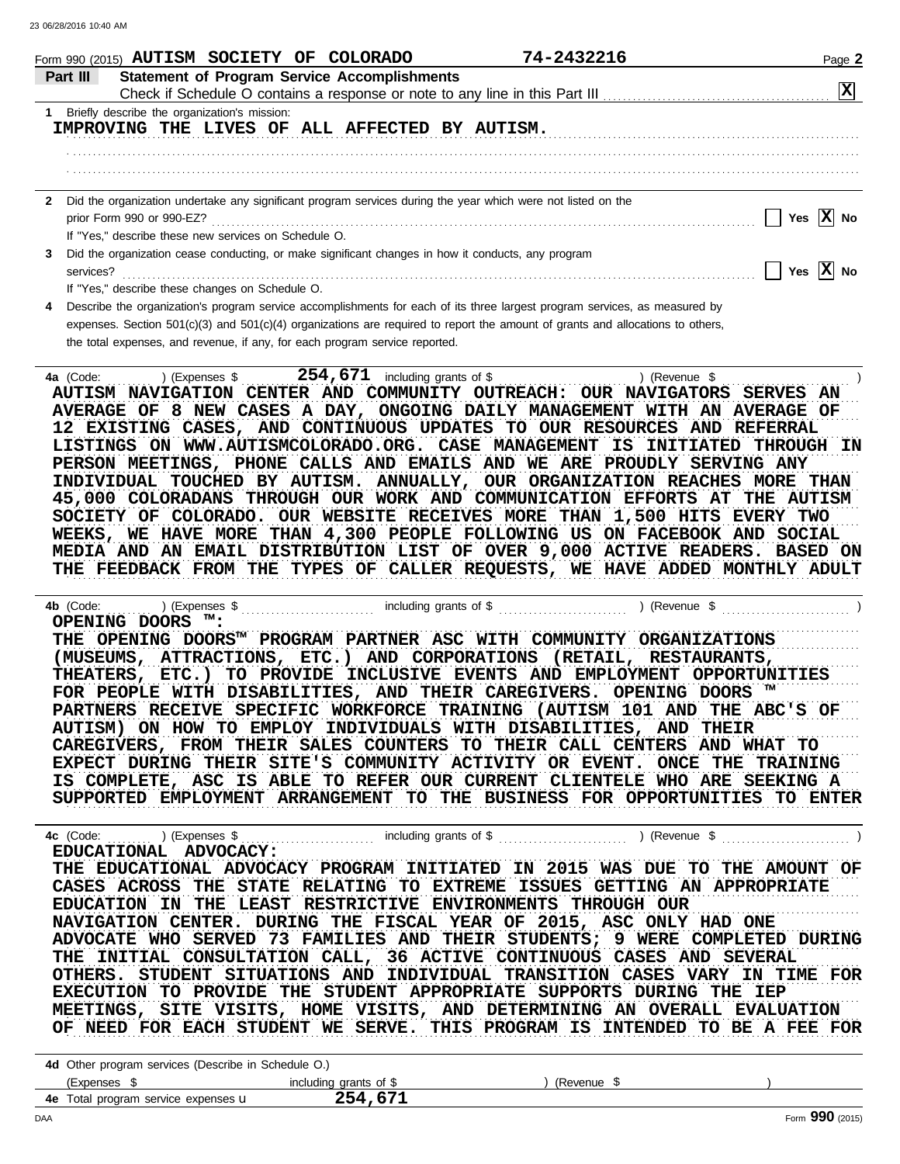|              | 74-2432216<br>Form 990 (2015) AUTISM SOCIETY OF COLORADO                                                                                                                                                                                                                                                                                                                                                                                                                                                                                                                                                                                                                                                                                                                                         | Page 2                |
|--------------|--------------------------------------------------------------------------------------------------------------------------------------------------------------------------------------------------------------------------------------------------------------------------------------------------------------------------------------------------------------------------------------------------------------------------------------------------------------------------------------------------------------------------------------------------------------------------------------------------------------------------------------------------------------------------------------------------------------------------------------------------------------------------------------------------|-----------------------|
|              | <b>Statement of Program Service Accomplishments</b><br>Part III                                                                                                                                                                                                                                                                                                                                                                                                                                                                                                                                                                                                                                                                                                                                  | $\mathbf{x}$          |
|              | 1 Briefly describe the organization's mission:                                                                                                                                                                                                                                                                                                                                                                                                                                                                                                                                                                                                                                                                                                                                                   |                       |
|              | IMPROVING THE LIVES OF ALL AFFECTED BY AUTISM.                                                                                                                                                                                                                                                                                                                                                                                                                                                                                                                                                                                                                                                                                                                                                   |                       |
|              |                                                                                                                                                                                                                                                                                                                                                                                                                                                                                                                                                                                                                                                                                                                                                                                                  |                       |
|              |                                                                                                                                                                                                                                                                                                                                                                                                                                                                                                                                                                                                                                                                                                                                                                                                  |                       |
|              |                                                                                                                                                                                                                                                                                                                                                                                                                                                                                                                                                                                                                                                                                                                                                                                                  |                       |
| $\mathbf{2}$ | Did the organization undertake any significant program services during the year which were not listed on the                                                                                                                                                                                                                                                                                                                                                                                                                                                                                                                                                                                                                                                                                     |                       |
|              | prior Form 990 or 990-EZ?                                                                                                                                                                                                                                                                                                                                                                                                                                                                                                                                                                                                                                                                                                                                                                        | Yes $\overline{X}$ No |
|              | If "Yes," describe these new services on Schedule O.                                                                                                                                                                                                                                                                                                                                                                                                                                                                                                                                                                                                                                                                                                                                             |                       |
| 3            | Did the organization cease conducting, or make significant changes in how it conducts, any program                                                                                                                                                                                                                                                                                                                                                                                                                                                                                                                                                                                                                                                                                               |                       |
|              | services?                                                                                                                                                                                                                                                                                                                                                                                                                                                                                                                                                                                                                                                                                                                                                                                        | Yes $X$ No            |
| 4            | If "Yes," describe these changes on Schedule O.<br>Describe the organization's program service accomplishments for each of its three largest program services, as measured by                                                                                                                                                                                                                                                                                                                                                                                                                                                                                                                                                                                                                    |                       |
|              | expenses. Section $501(c)(3)$ and $501(c)(4)$ organizations are required to report the amount of grants and allocations to others,                                                                                                                                                                                                                                                                                                                                                                                                                                                                                                                                                                                                                                                               |                       |
|              | the total expenses, and revenue, if any, for each program service reported.                                                                                                                                                                                                                                                                                                                                                                                                                                                                                                                                                                                                                                                                                                                      |                       |
|              |                                                                                                                                                                                                                                                                                                                                                                                                                                                                                                                                                                                                                                                                                                                                                                                                  |                       |
|              | AVERAGE OF 8 NEW CASES A DAY, ONGOING DAILY MANAGEMENT WITH AN AVERAGE OF<br>12 EXISTING CASES, AND CONTINUOUS UPDATES TO OUR RESOURCES AND REFERRAL<br>LISTINGS ON WWW.AUTISMCOLORADO.ORG. CASE MANAGEMENT IS INITIATED THROUGH IN<br>PERSON MEETINGS, PHONE CALLS AND EMAILS AND WE ARE PROUDLY SERVING ANY<br>INDIVIDUAL TOUCHED BY AUTISM. ANNUALLY, OUR ORGANIZATION REACHES MORE THAN<br>45,000 COLORADANS THROUGH OUR WORK AND COMMUNICATION EFFORTS AT THE AUTISM<br>SOCIETY OF COLORADO. OUR WEBSITE RECEIVES MORE THAN 1,500 HITS EVERY TWO<br>WEEKS, WE HAVE MORE THAN 4,300 PEOPLE FOLLOWING US ON FACEBOOK AND SOCIAL<br>MEDIA AND AN EMAIL DISTRIBUTION LIST OF OVER 9,000 ACTIVE READERS. BASED ON<br>THE FEEDBACK FROM THE TYPES OF CALLER REQUESTS, WE HAVE ADDED MONTHLY ADULT |                       |
|              | 4b (Code:<br>OPENING DOORS ™:                                                                                                                                                                                                                                                                                                                                                                                                                                                                                                                                                                                                                                                                                                                                                                    |                       |

SUPPORTED EMPLOYMENT ARRANGEMENT TO THE BUSINESS FOR OPPORTUNITIES TO ENTER confidency and it about to refer our convent collections who are beening a IS COMPLETE, ASC IS ABLE TO REFER OUR CURRENT CLIENTELE WHO ARE SEEKING A

AVIGATION CENTER. DORING THE PIDCAL TEAR OF 2019, ADC ONLI HAD ONE ADVOCATE WHO SERVED 73 FAMILIES AND THEIR STUDENTS; 9 WERE COMPLETED DURING THE INITIAL CONSULTATION CALL, 36 ACTIVE CONTINUOUS CASES AND SEVERAL THERE. DIODENT DIIOAIIOND AND INDIVIDUAD IRANDITION CADED VARI IN TIME FOR EXECUTION TO PROVIDE THE STUDENT APPROPRIATE SUPPORTS DURING THE IEP MEETINGS, SITE VISITS, HOME VISITS, AND DETERMINING AN OVERALL EVALUATION . . . . . . . . . . . . . . . . . . . . . . . . . . . . . . . . . . . . . . . . . . . . . . . . . . . . . . . . . . . . . . . . . . . . . . . . . . . . . . . . . . . . . . . . . . . . . . . . . . . . . . . . . . . . . . . . . . . . . . . . . . . . . . . . . . . . . . . . . . . . . . . . . . . . . . . . . . . . . . . . THE EDUCATIONAL ADVOCACY PROGRAM INITIATED IN 2015 WAS DUE TO THE AMOUNT OF CASES ACROSS THE STATE RELATING TO EXTREME ISSUES GETTING AN APPROPRIATE **4c** (Code: . . . . . . . . . **EDUCATIONAL ADVOCACY:** EDUCATION IN THE LEAST RESTRICTIVE ENVIRONMENTS THROUGH OUR )(Expenses \$ …………………………………… including grants of \$ ……………………………………………………………………………… OF NEED FOR EACH STUDENT WE SERVE. THIS PROGRAM IS INTENDED TO BE A FEE FOR **NAVIGATION CENTER. DURING THE FISCAL YEAR OF 2015, ASC ONLY HAD ONE OTHERS. STUDENT SITUATIONS AND INDIVIDUAL TRANSITION CASES VARY IN TIME FOR**

| 4d Other program services (Describe in Schedule O.) |                        |           |  |  |  |  |  |  |  |
|-----------------------------------------------------|------------------------|-----------|--|--|--|--|--|--|--|
| (Expenses \$                                        | including grants of \$ | (Revenue) |  |  |  |  |  |  |  |
| <b>4e</b> Total program service expenses <b>u</b>   | 254.671                |           |  |  |  |  |  |  |  |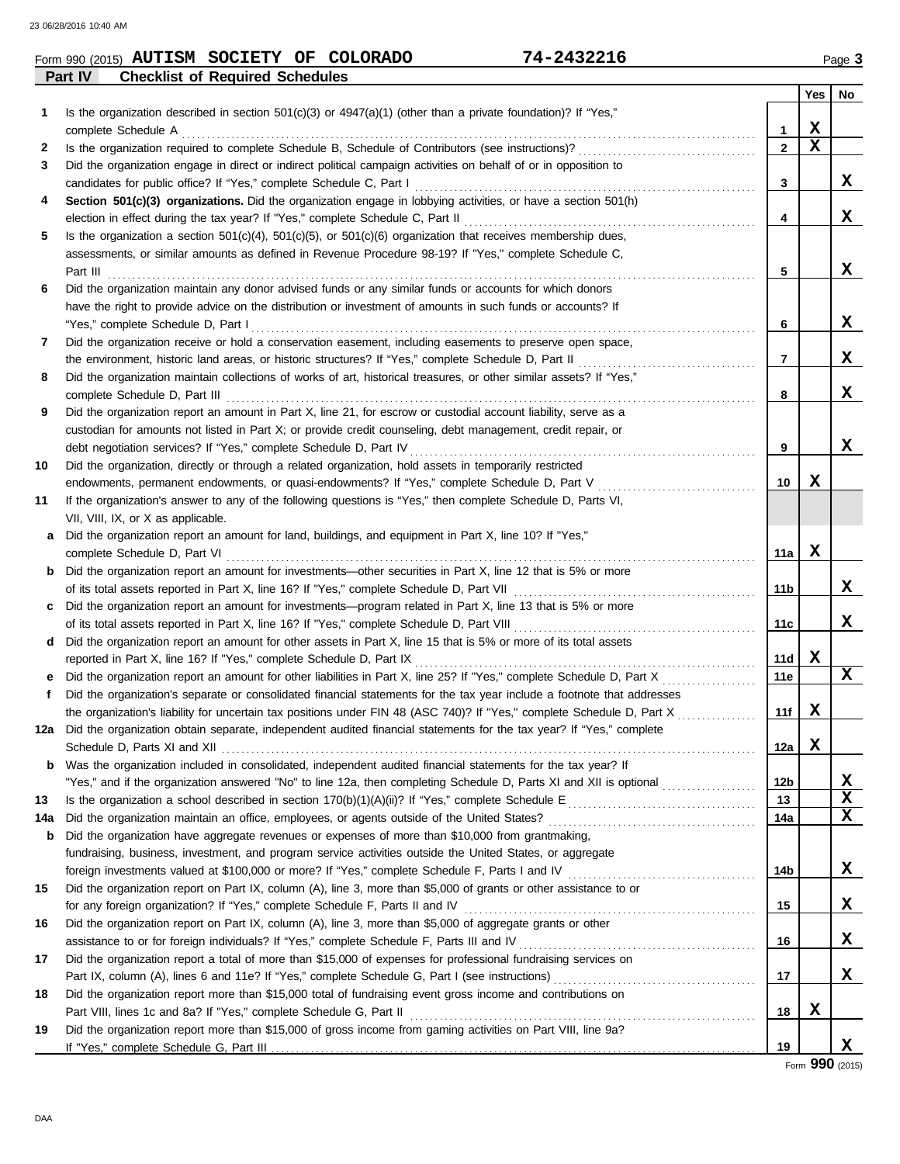| Form 990 (2015) | <b>AUTISM SOCIETY</b>                  | OF COLORADO | 74-2432216 | Dage & |
|-----------------|----------------------------------------|-------------|------------|--------|
| Part IV         | <b>Checklist of Required Schedules</b> |             |            |        |

| Is the organization described in section $501(c)(3)$ or $4947(a)(1)$ (other than a private foundation)? If "Yes,"<br>1<br>X<br>complete Schedule A <b>complete</b> Schedule A <b>complete</b> Schedule A<br>1<br>$\mathbf x$<br>$\mathbf{2}$<br>2<br>Did the organization engage in direct or indirect political campaign activities on behalf of or in opposition to<br>3<br>x<br>3<br>Section 501(c)(3) organizations. Did the organization engage in lobbying activities, or have a section 501(h)<br>4<br>X<br>4<br>5<br>Is the organization a section $501(c)(4)$ , $501(c)(5)$ , or $501(c)(6)$ organization that receives membership dues,<br>assessments, or similar amounts as defined in Revenue Procedure 98-19? If "Yes," complete Schedule C,<br>X<br>5<br>Did the organization maintain any donor advised funds or any similar funds or accounts for which donors<br>6<br>have the right to provide advice on the distribution or investment of amounts in such funds or accounts? If<br>x<br>"Yes," complete Schedule D, Part I<br>6<br>Did the organization receive or hold a conservation easement, including easements to preserve open space,<br>7<br>x<br>the environment, historic land areas, or historic structures? If "Yes," complete Schedule D, Part II<br>7<br>Did the organization maintain collections of works of art, historical treasures, or other similar assets? If "Yes,"<br>8<br>x<br>complete Schedule D, Part III<br>8<br>Did the organization report an amount in Part X, line 21, for escrow or custodial account liability, serve as a<br>9<br>custodian for amounts not listed in Part X; or provide credit counseling, debt management, credit repair, or<br>x<br>debt negotiation services? If "Yes," complete Schedule D, Part IV<br>9<br>Did the organization, directly or through a related organization, hold assets in temporarily restricted<br>x<br>endowments, permanent endowments, or quasi-endowments? If "Yes," complete Schedule D, Part V<br>10<br>If the organization's answer to any of the following questions is "Yes," then complete Schedule D, Parts VI,<br>VII, VIII, IX, or X as applicable.<br>a Did the organization report an amount for land, buildings, and equipment in Part X, line 10? If "Yes,"<br>X<br>11a<br><b>b</b> Did the organization report an amount for investments—other securities in Part X, line 12 that is 5% or more<br>x<br>11b<br>c Did the organization report an amount for investments—program related in Part X, line 13 that is 5% or more<br>x<br>11c<br>d Did the organization report an amount for other assets in Part X, line 15 that is 5% or more of its total assets<br>X<br>11d<br>$\mathbf x$<br>11e<br>Did the organization's separate or consolidated financial statements for the tax year include a footnote that addresses<br>f<br>X<br>the organization's liability for uncertain tax positions under FIN 48 (ASC 740)? If "Yes," complete Schedule D, Part X [ [ [ [ ] ]<br>11f<br>12a Did the organization obtain separate, independent audited financial statements for the tax year? If "Yes," complete<br>X<br>12a<br>Was the organization included in consolidated, independent audited financial statements for the tax year? If<br>b<br><u>x</u><br>"Yes," and if the organization answered "No" to line 12a, then completing Schedule D, Parts XI and XII is optional<br>12 <sub>b</sub><br>X<br>13<br>13<br>X<br>14a<br>14a<br>Did the organization have aggregate revenues or expenses of more than \$10,000 from grantmaking,<br>b<br>fundraising, business, investment, and program service activities outside the United States, or aggregate<br>X<br>14b<br>Did the organization report on Part IX, column (A), line 3, more than \$5,000 of grants or other assistance to or<br>15<br>X<br>15<br>Did the organization report on Part IX, column (A), line 3, more than \$5,000 of aggregate grants or other<br>16<br>X<br>16<br>Did the organization report a total of more than \$15,000 of expenses for professional fundraising services on<br>17<br>X<br>17<br>Did the organization report more than \$15,000 total of fundraising event gross income and contributions on<br>18<br>X<br>18<br>19<br>Did the organization report more than \$15,000 of gross income from gaming activities on Part VIII, line 9a?<br>X<br>19 |    |  | <b>Yes</b> | No |
|-----------------------------------------------------------------------------------------------------------------------------------------------------------------------------------------------------------------------------------------------------------------------------------------------------------------------------------------------------------------------------------------------------------------------------------------------------------------------------------------------------------------------------------------------------------------------------------------------------------------------------------------------------------------------------------------------------------------------------------------------------------------------------------------------------------------------------------------------------------------------------------------------------------------------------------------------------------------------------------------------------------------------------------------------------------------------------------------------------------------------------------------------------------------------------------------------------------------------------------------------------------------------------------------------------------------------------------------------------------------------------------------------------------------------------------------------------------------------------------------------------------------------------------------------------------------------------------------------------------------------------------------------------------------------------------------------------------------------------------------------------------------------------------------------------------------------------------------------------------------------------------------------------------------------------------------------------------------------------------------------------------------------------------------------------------------------------------------------------------------------------------------------------------------------------------------------------------------------------------------------------------------------------------------------------------------------------------------------------------------------------------------------------------------------------------------------------------------------------------------------------------------------------------------------------------------------------------------------------------------------------------------------------------------------------------------------------------------------------------------------------------------------------------------------------------------------------------------------------------------------------------------------------------------------------------------------------------------------------------------------------------------------------------------------------------------------------------------------------------------------------------------------------------------------------------------------------------------------------------------------------------------------------------------------------------------------------------------------------------------------------------------------------------------------------------------------------------------------------------------------------------------------------------------------------------------------------------------------------------------------------------------------------------------------------------------------------------------------------------------------------------------------------------------------------------------------------------------------------------------------------------------------------------------------------------------------------------------------------------------------------------------------------------------------------------------------------------------------------------------------------------------------------------------------------------------------------------------------------------------------------------------------------------------------------------------------------------------------------------------------|----|--|------------|----|
|                                                                                                                                                                                                                                                                                                                                                                                                                                                                                                                                                                                                                                                                                                                                                                                                                                                                                                                                                                                                                                                                                                                                                                                                                                                                                                                                                                                                                                                                                                                                                                                                                                                                                                                                                                                                                                                                                                                                                                                                                                                                                                                                                                                                                                                                                                                                                                                                                                                                                                                                                                                                                                                                                                                                                                                                                                                                                                                                                                                                                                                                                                                                                                                                                                                                                                                                                                                                                                                                                                                                                                                                                                                                                                                                                                                                                                                                                                                                                                                                                                                                                                                                                                                                                                                                                                                                                                       |    |  |            |    |
|                                                                                                                                                                                                                                                                                                                                                                                                                                                                                                                                                                                                                                                                                                                                                                                                                                                                                                                                                                                                                                                                                                                                                                                                                                                                                                                                                                                                                                                                                                                                                                                                                                                                                                                                                                                                                                                                                                                                                                                                                                                                                                                                                                                                                                                                                                                                                                                                                                                                                                                                                                                                                                                                                                                                                                                                                                                                                                                                                                                                                                                                                                                                                                                                                                                                                                                                                                                                                                                                                                                                                                                                                                                                                                                                                                                                                                                                                                                                                                                                                                                                                                                                                                                                                                                                                                                                                                       |    |  |            |    |
|                                                                                                                                                                                                                                                                                                                                                                                                                                                                                                                                                                                                                                                                                                                                                                                                                                                                                                                                                                                                                                                                                                                                                                                                                                                                                                                                                                                                                                                                                                                                                                                                                                                                                                                                                                                                                                                                                                                                                                                                                                                                                                                                                                                                                                                                                                                                                                                                                                                                                                                                                                                                                                                                                                                                                                                                                                                                                                                                                                                                                                                                                                                                                                                                                                                                                                                                                                                                                                                                                                                                                                                                                                                                                                                                                                                                                                                                                                                                                                                                                                                                                                                                                                                                                                                                                                                                                                       |    |  |            |    |
|                                                                                                                                                                                                                                                                                                                                                                                                                                                                                                                                                                                                                                                                                                                                                                                                                                                                                                                                                                                                                                                                                                                                                                                                                                                                                                                                                                                                                                                                                                                                                                                                                                                                                                                                                                                                                                                                                                                                                                                                                                                                                                                                                                                                                                                                                                                                                                                                                                                                                                                                                                                                                                                                                                                                                                                                                                                                                                                                                                                                                                                                                                                                                                                                                                                                                                                                                                                                                                                                                                                                                                                                                                                                                                                                                                                                                                                                                                                                                                                                                                                                                                                                                                                                                                                                                                                                                                       |    |  |            |    |
|                                                                                                                                                                                                                                                                                                                                                                                                                                                                                                                                                                                                                                                                                                                                                                                                                                                                                                                                                                                                                                                                                                                                                                                                                                                                                                                                                                                                                                                                                                                                                                                                                                                                                                                                                                                                                                                                                                                                                                                                                                                                                                                                                                                                                                                                                                                                                                                                                                                                                                                                                                                                                                                                                                                                                                                                                                                                                                                                                                                                                                                                                                                                                                                                                                                                                                                                                                                                                                                                                                                                                                                                                                                                                                                                                                                                                                                                                                                                                                                                                                                                                                                                                                                                                                                                                                                                                                       |    |  |            |    |
|                                                                                                                                                                                                                                                                                                                                                                                                                                                                                                                                                                                                                                                                                                                                                                                                                                                                                                                                                                                                                                                                                                                                                                                                                                                                                                                                                                                                                                                                                                                                                                                                                                                                                                                                                                                                                                                                                                                                                                                                                                                                                                                                                                                                                                                                                                                                                                                                                                                                                                                                                                                                                                                                                                                                                                                                                                                                                                                                                                                                                                                                                                                                                                                                                                                                                                                                                                                                                                                                                                                                                                                                                                                                                                                                                                                                                                                                                                                                                                                                                                                                                                                                                                                                                                                                                                                                                                       |    |  |            |    |
|                                                                                                                                                                                                                                                                                                                                                                                                                                                                                                                                                                                                                                                                                                                                                                                                                                                                                                                                                                                                                                                                                                                                                                                                                                                                                                                                                                                                                                                                                                                                                                                                                                                                                                                                                                                                                                                                                                                                                                                                                                                                                                                                                                                                                                                                                                                                                                                                                                                                                                                                                                                                                                                                                                                                                                                                                                                                                                                                                                                                                                                                                                                                                                                                                                                                                                                                                                                                                                                                                                                                                                                                                                                                                                                                                                                                                                                                                                                                                                                                                                                                                                                                                                                                                                                                                                                                                                       |    |  |            |    |
|                                                                                                                                                                                                                                                                                                                                                                                                                                                                                                                                                                                                                                                                                                                                                                                                                                                                                                                                                                                                                                                                                                                                                                                                                                                                                                                                                                                                                                                                                                                                                                                                                                                                                                                                                                                                                                                                                                                                                                                                                                                                                                                                                                                                                                                                                                                                                                                                                                                                                                                                                                                                                                                                                                                                                                                                                                                                                                                                                                                                                                                                                                                                                                                                                                                                                                                                                                                                                                                                                                                                                                                                                                                                                                                                                                                                                                                                                                                                                                                                                                                                                                                                                                                                                                                                                                                                                                       |    |  |            |    |
|                                                                                                                                                                                                                                                                                                                                                                                                                                                                                                                                                                                                                                                                                                                                                                                                                                                                                                                                                                                                                                                                                                                                                                                                                                                                                                                                                                                                                                                                                                                                                                                                                                                                                                                                                                                                                                                                                                                                                                                                                                                                                                                                                                                                                                                                                                                                                                                                                                                                                                                                                                                                                                                                                                                                                                                                                                                                                                                                                                                                                                                                                                                                                                                                                                                                                                                                                                                                                                                                                                                                                                                                                                                                                                                                                                                                                                                                                                                                                                                                                                                                                                                                                                                                                                                                                                                                                                       |    |  |            |    |
|                                                                                                                                                                                                                                                                                                                                                                                                                                                                                                                                                                                                                                                                                                                                                                                                                                                                                                                                                                                                                                                                                                                                                                                                                                                                                                                                                                                                                                                                                                                                                                                                                                                                                                                                                                                                                                                                                                                                                                                                                                                                                                                                                                                                                                                                                                                                                                                                                                                                                                                                                                                                                                                                                                                                                                                                                                                                                                                                                                                                                                                                                                                                                                                                                                                                                                                                                                                                                                                                                                                                                                                                                                                                                                                                                                                                                                                                                                                                                                                                                                                                                                                                                                                                                                                                                                                                                                       |    |  |            |    |
|                                                                                                                                                                                                                                                                                                                                                                                                                                                                                                                                                                                                                                                                                                                                                                                                                                                                                                                                                                                                                                                                                                                                                                                                                                                                                                                                                                                                                                                                                                                                                                                                                                                                                                                                                                                                                                                                                                                                                                                                                                                                                                                                                                                                                                                                                                                                                                                                                                                                                                                                                                                                                                                                                                                                                                                                                                                                                                                                                                                                                                                                                                                                                                                                                                                                                                                                                                                                                                                                                                                                                                                                                                                                                                                                                                                                                                                                                                                                                                                                                                                                                                                                                                                                                                                                                                                                                                       |    |  |            |    |
|                                                                                                                                                                                                                                                                                                                                                                                                                                                                                                                                                                                                                                                                                                                                                                                                                                                                                                                                                                                                                                                                                                                                                                                                                                                                                                                                                                                                                                                                                                                                                                                                                                                                                                                                                                                                                                                                                                                                                                                                                                                                                                                                                                                                                                                                                                                                                                                                                                                                                                                                                                                                                                                                                                                                                                                                                                                                                                                                                                                                                                                                                                                                                                                                                                                                                                                                                                                                                                                                                                                                                                                                                                                                                                                                                                                                                                                                                                                                                                                                                                                                                                                                                                                                                                                                                                                                                                       |    |  |            |    |
|                                                                                                                                                                                                                                                                                                                                                                                                                                                                                                                                                                                                                                                                                                                                                                                                                                                                                                                                                                                                                                                                                                                                                                                                                                                                                                                                                                                                                                                                                                                                                                                                                                                                                                                                                                                                                                                                                                                                                                                                                                                                                                                                                                                                                                                                                                                                                                                                                                                                                                                                                                                                                                                                                                                                                                                                                                                                                                                                                                                                                                                                                                                                                                                                                                                                                                                                                                                                                                                                                                                                                                                                                                                                                                                                                                                                                                                                                                                                                                                                                                                                                                                                                                                                                                                                                                                                                                       |    |  |            |    |
|                                                                                                                                                                                                                                                                                                                                                                                                                                                                                                                                                                                                                                                                                                                                                                                                                                                                                                                                                                                                                                                                                                                                                                                                                                                                                                                                                                                                                                                                                                                                                                                                                                                                                                                                                                                                                                                                                                                                                                                                                                                                                                                                                                                                                                                                                                                                                                                                                                                                                                                                                                                                                                                                                                                                                                                                                                                                                                                                                                                                                                                                                                                                                                                                                                                                                                                                                                                                                                                                                                                                                                                                                                                                                                                                                                                                                                                                                                                                                                                                                                                                                                                                                                                                                                                                                                                                                                       |    |  |            |    |
|                                                                                                                                                                                                                                                                                                                                                                                                                                                                                                                                                                                                                                                                                                                                                                                                                                                                                                                                                                                                                                                                                                                                                                                                                                                                                                                                                                                                                                                                                                                                                                                                                                                                                                                                                                                                                                                                                                                                                                                                                                                                                                                                                                                                                                                                                                                                                                                                                                                                                                                                                                                                                                                                                                                                                                                                                                                                                                                                                                                                                                                                                                                                                                                                                                                                                                                                                                                                                                                                                                                                                                                                                                                                                                                                                                                                                                                                                                                                                                                                                                                                                                                                                                                                                                                                                                                                                                       |    |  |            |    |
|                                                                                                                                                                                                                                                                                                                                                                                                                                                                                                                                                                                                                                                                                                                                                                                                                                                                                                                                                                                                                                                                                                                                                                                                                                                                                                                                                                                                                                                                                                                                                                                                                                                                                                                                                                                                                                                                                                                                                                                                                                                                                                                                                                                                                                                                                                                                                                                                                                                                                                                                                                                                                                                                                                                                                                                                                                                                                                                                                                                                                                                                                                                                                                                                                                                                                                                                                                                                                                                                                                                                                                                                                                                                                                                                                                                                                                                                                                                                                                                                                                                                                                                                                                                                                                                                                                                                                                       |    |  |            |    |
|                                                                                                                                                                                                                                                                                                                                                                                                                                                                                                                                                                                                                                                                                                                                                                                                                                                                                                                                                                                                                                                                                                                                                                                                                                                                                                                                                                                                                                                                                                                                                                                                                                                                                                                                                                                                                                                                                                                                                                                                                                                                                                                                                                                                                                                                                                                                                                                                                                                                                                                                                                                                                                                                                                                                                                                                                                                                                                                                                                                                                                                                                                                                                                                                                                                                                                                                                                                                                                                                                                                                                                                                                                                                                                                                                                                                                                                                                                                                                                                                                                                                                                                                                                                                                                                                                                                                                                       |    |  |            |    |
|                                                                                                                                                                                                                                                                                                                                                                                                                                                                                                                                                                                                                                                                                                                                                                                                                                                                                                                                                                                                                                                                                                                                                                                                                                                                                                                                                                                                                                                                                                                                                                                                                                                                                                                                                                                                                                                                                                                                                                                                                                                                                                                                                                                                                                                                                                                                                                                                                                                                                                                                                                                                                                                                                                                                                                                                                                                                                                                                                                                                                                                                                                                                                                                                                                                                                                                                                                                                                                                                                                                                                                                                                                                                                                                                                                                                                                                                                                                                                                                                                                                                                                                                                                                                                                                                                                                                                                       |    |  |            |    |
|                                                                                                                                                                                                                                                                                                                                                                                                                                                                                                                                                                                                                                                                                                                                                                                                                                                                                                                                                                                                                                                                                                                                                                                                                                                                                                                                                                                                                                                                                                                                                                                                                                                                                                                                                                                                                                                                                                                                                                                                                                                                                                                                                                                                                                                                                                                                                                                                                                                                                                                                                                                                                                                                                                                                                                                                                                                                                                                                                                                                                                                                                                                                                                                                                                                                                                                                                                                                                                                                                                                                                                                                                                                                                                                                                                                                                                                                                                                                                                                                                                                                                                                                                                                                                                                                                                                                                                       |    |  |            |    |
|                                                                                                                                                                                                                                                                                                                                                                                                                                                                                                                                                                                                                                                                                                                                                                                                                                                                                                                                                                                                                                                                                                                                                                                                                                                                                                                                                                                                                                                                                                                                                                                                                                                                                                                                                                                                                                                                                                                                                                                                                                                                                                                                                                                                                                                                                                                                                                                                                                                                                                                                                                                                                                                                                                                                                                                                                                                                                                                                                                                                                                                                                                                                                                                                                                                                                                                                                                                                                                                                                                                                                                                                                                                                                                                                                                                                                                                                                                                                                                                                                                                                                                                                                                                                                                                                                                                                                                       |    |  |            |    |
|                                                                                                                                                                                                                                                                                                                                                                                                                                                                                                                                                                                                                                                                                                                                                                                                                                                                                                                                                                                                                                                                                                                                                                                                                                                                                                                                                                                                                                                                                                                                                                                                                                                                                                                                                                                                                                                                                                                                                                                                                                                                                                                                                                                                                                                                                                                                                                                                                                                                                                                                                                                                                                                                                                                                                                                                                                                                                                                                                                                                                                                                                                                                                                                                                                                                                                                                                                                                                                                                                                                                                                                                                                                                                                                                                                                                                                                                                                                                                                                                                                                                                                                                                                                                                                                                                                                                                                       | 10 |  |            |    |
|                                                                                                                                                                                                                                                                                                                                                                                                                                                                                                                                                                                                                                                                                                                                                                                                                                                                                                                                                                                                                                                                                                                                                                                                                                                                                                                                                                                                                                                                                                                                                                                                                                                                                                                                                                                                                                                                                                                                                                                                                                                                                                                                                                                                                                                                                                                                                                                                                                                                                                                                                                                                                                                                                                                                                                                                                                                                                                                                                                                                                                                                                                                                                                                                                                                                                                                                                                                                                                                                                                                                                                                                                                                                                                                                                                                                                                                                                                                                                                                                                                                                                                                                                                                                                                                                                                                                                                       |    |  |            |    |
|                                                                                                                                                                                                                                                                                                                                                                                                                                                                                                                                                                                                                                                                                                                                                                                                                                                                                                                                                                                                                                                                                                                                                                                                                                                                                                                                                                                                                                                                                                                                                                                                                                                                                                                                                                                                                                                                                                                                                                                                                                                                                                                                                                                                                                                                                                                                                                                                                                                                                                                                                                                                                                                                                                                                                                                                                                                                                                                                                                                                                                                                                                                                                                                                                                                                                                                                                                                                                                                                                                                                                                                                                                                                                                                                                                                                                                                                                                                                                                                                                                                                                                                                                                                                                                                                                                                                                                       | 11 |  |            |    |
|                                                                                                                                                                                                                                                                                                                                                                                                                                                                                                                                                                                                                                                                                                                                                                                                                                                                                                                                                                                                                                                                                                                                                                                                                                                                                                                                                                                                                                                                                                                                                                                                                                                                                                                                                                                                                                                                                                                                                                                                                                                                                                                                                                                                                                                                                                                                                                                                                                                                                                                                                                                                                                                                                                                                                                                                                                                                                                                                                                                                                                                                                                                                                                                                                                                                                                                                                                                                                                                                                                                                                                                                                                                                                                                                                                                                                                                                                                                                                                                                                                                                                                                                                                                                                                                                                                                                                                       |    |  |            |    |
|                                                                                                                                                                                                                                                                                                                                                                                                                                                                                                                                                                                                                                                                                                                                                                                                                                                                                                                                                                                                                                                                                                                                                                                                                                                                                                                                                                                                                                                                                                                                                                                                                                                                                                                                                                                                                                                                                                                                                                                                                                                                                                                                                                                                                                                                                                                                                                                                                                                                                                                                                                                                                                                                                                                                                                                                                                                                                                                                                                                                                                                                                                                                                                                                                                                                                                                                                                                                                                                                                                                                                                                                                                                                                                                                                                                                                                                                                                                                                                                                                                                                                                                                                                                                                                                                                                                                                                       |    |  |            |    |
|                                                                                                                                                                                                                                                                                                                                                                                                                                                                                                                                                                                                                                                                                                                                                                                                                                                                                                                                                                                                                                                                                                                                                                                                                                                                                                                                                                                                                                                                                                                                                                                                                                                                                                                                                                                                                                                                                                                                                                                                                                                                                                                                                                                                                                                                                                                                                                                                                                                                                                                                                                                                                                                                                                                                                                                                                                                                                                                                                                                                                                                                                                                                                                                                                                                                                                                                                                                                                                                                                                                                                                                                                                                                                                                                                                                                                                                                                                                                                                                                                                                                                                                                                                                                                                                                                                                                                                       |    |  |            |    |
|                                                                                                                                                                                                                                                                                                                                                                                                                                                                                                                                                                                                                                                                                                                                                                                                                                                                                                                                                                                                                                                                                                                                                                                                                                                                                                                                                                                                                                                                                                                                                                                                                                                                                                                                                                                                                                                                                                                                                                                                                                                                                                                                                                                                                                                                                                                                                                                                                                                                                                                                                                                                                                                                                                                                                                                                                                                                                                                                                                                                                                                                                                                                                                                                                                                                                                                                                                                                                                                                                                                                                                                                                                                                                                                                                                                                                                                                                                                                                                                                                                                                                                                                                                                                                                                                                                                                                                       |    |  |            |    |
|                                                                                                                                                                                                                                                                                                                                                                                                                                                                                                                                                                                                                                                                                                                                                                                                                                                                                                                                                                                                                                                                                                                                                                                                                                                                                                                                                                                                                                                                                                                                                                                                                                                                                                                                                                                                                                                                                                                                                                                                                                                                                                                                                                                                                                                                                                                                                                                                                                                                                                                                                                                                                                                                                                                                                                                                                                                                                                                                                                                                                                                                                                                                                                                                                                                                                                                                                                                                                                                                                                                                                                                                                                                                                                                                                                                                                                                                                                                                                                                                                                                                                                                                                                                                                                                                                                                                                                       |    |  |            |    |
|                                                                                                                                                                                                                                                                                                                                                                                                                                                                                                                                                                                                                                                                                                                                                                                                                                                                                                                                                                                                                                                                                                                                                                                                                                                                                                                                                                                                                                                                                                                                                                                                                                                                                                                                                                                                                                                                                                                                                                                                                                                                                                                                                                                                                                                                                                                                                                                                                                                                                                                                                                                                                                                                                                                                                                                                                                                                                                                                                                                                                                                                                                                                                                                                                                                                                                                                                                                                                                                                                                                                                                                                                                                                                                                                                                                                                                                                                                                                                                                                                                                                                                                                                                                                                                                                                                                                                                       |    |  |            |    |
|                                                                                                                                                                                                                                                                                                                                                                                                                                                                                                                                                                                                                                                                                                                                                                                                                                                                                                                                                                                                                                                                                                                                                                                                                                                                                                                                                                                                                                                                                                                                                                                                                                                                                                                                                                                                                                                                                                                                                                                                                                                                                                                                                                                                                                                                                                                                                                                                                                                                                                                                                                                                                                                                                                                                                                                                                                                                                                                                                                                                                                                                                                                                                                                                                                                                                                                                                                                                                                                                                                                                                                                                                                                                                                                                                                                                                                                                                                                                                                                                                                                                                                                                                                                                                                                                                                                                                                       |    |  |            |    |
|                                                                                                                                                                                                                                                                                                                                                                                                                                                                                                                                                                                                                                                                                                                                                                                                                                                                                                                                                                                                                                                                                                                                                                                                                                                                                                                                                                                                                                                                                                                                                                                                                                                                                                                                                                                                                                                                                                                                                                                                                                                                                                                                                                                                                                                                                                                                                                                                                                                                                                                                                                                                                                                                                                                                                                                                                                                                                                                                                                                                                                                                                                                                                                                                                                                                                                                                                                                                                                                                                                                                                                                                                                                                                                                                                                                                                                                                                                                                                                                                                                                                                                                                                                                                                                                                                                                                                                       |    |  |            |    |
|                                                                                                                                                                                                                                                                                                                                                                                                                                                                                                                                                                                                                                                                                                                                                                                                                                                                                                                                                                                                                                                                                                                                                                                                                                                                                                                                                                                                                                                                                                                                                                                                                                                                                                                                                                                                                                                                                                                                                                                                                                                                                                                                                                                                                                                                                                                                                                                                                                                                                                                                                                                                                                                                                                                                                                                                                                                                                                                                                                                                                                                                                                                                                                                                                                                                                                                                                                                                                                                                                                                                                                                                                                                                                                                                                                                                                                                                                                                                                                                                                                                                                                                                                                                                                                                                                                                                                                       |    |  |            |    |
|                                                                                                                                                                                                                                                                                                                                                                                                                                                                                                                                                                                                                                                                                                                                                                                                                                                                                                                                                                                                                                                                                                                                                                                                                                                                                                                                                                                                                                                                                                                                                                                                                                                                                                                                                                                                                                                                                                                                                                                                                                                                                                                                                                                                                                                                                                                                                                                                                                                                                                                                                                                                                                                                                                                                                                                                                                                                                                                                                                                                                                                                                                                                                                                                                                                                                                                                                                                                                                                                                                                                                                                                                                                                                                                                                                                                                                                                                                                                                                                                                                                                                                                                                                                                                                                                                                                                                                       |    |  |            |    |
|                                                                                                                                                                                                                                                                                                                                                                                                                                                                                                                                                                                                                                                                                                                                                                                                                                                                                                                                                                                                                                                                                                                                                                                                                                                                                                                                                                                                                                                                                                                                                                                                                                                                                                                                                                                                                                                                                                                                                                                                                                                                                                                                                                                                                                                                                                                                                                                                                                                                                                                                                                                                                                                                                                                                                                                                                                                                                                                                                                                                                                                                                                                                                                                                                                                                                                                                                                                                                                                                                                                                                                                                                                                                                                                                                                                                                                                                                                                                                                                                                                                                                                                                                                                                                                                                                                                                                                       |    |  |            |    |
|                                                                                                                                                                                                                                                                                                                                                                                                                                                                                                                                                                                                                                                                                                                                                                                                                                                                                                                                                                                                                                                                                                                                                                                                                                                                                                                                                                                                                                                                                                                                                                                                                                                                                                                                                                                                                                                                                                                                                                                                                                                                                                                                                                                                                                                                                                                                                                                                                                                                                                                                                                                                                                                                                                                                                                                                                                                                                                                                                                                                                                                                                                                                                                                                                                                                                                                                                                                                                                                                                                                                                                                                                                                                                                                                                                                                                                                                                                                                                                                                                                                                                                                                                                                                                                                                                                                                                                       |    |  |            |    |
|                                                                                                                                                                                                                                                                                                                                                                                                                                                                                                                                                                                                                                                                                                                                                                                                                                                                                                                                                                                                                                                                                                                                                                                                                                                                                                                                                                                                                                                                                                                                                                                                                                                                                                                                                                                                                                                                                                                                                                                                                                                                                                                                                                                                                                                                                                                                                                                                                                                                                                                                                                                                                                                                                                                                                                                                                                                                                                                                                                                                                                                                                                                                                                                                                                                                                                                                                                                                                                                                                                                                                                                                                                                                                                                                                                                                                                                                                                                                                                                                                                                                                                                                                                                                                                                                                                                                                                       |    |  |            |    |
|                                                                                                                                                                                                                                                                                                                                                                                                                                                                                                                                                                                                                                                                                                                                                                                                                                                                                                                                                                                                                                                                                                                                                                                                                                                                                                                                                                                                                                                                                                                                                                                                                                                                                                                                                                                                                                                                                                                                                                                                                                                                                                                                                                                                                                                                                                                                                                                                                                                                                                                                                                                                                                                                                                                                                                                                                                                                                                                                                                                                                                                                                                                                                                                                                                                                                                                                                                                                                                                                                                                                                                                                                                                                                                                                                                                                                                                                                                                                                                                                                                                                                                                                                                                                                                                                                                                                                                       |    |  |            |    |
|                                                                                                                                                                                                                                                                                                                                                                                                                                                                                                                                                                                                                                                                                                                                                                                                                                                                                                                                                                                                                                                                                                                                                                                                                                                                                                                                                                                                                                                                                                                                                                                                                                                                                                                                                                                                                                                                                                                                                                                                                                                                                                                                                                                                                                                                                                                                                                                                                                                                                                                                                                                                                                                                                                                                                                                                                                                                                                                                                                                                                                                                                                                                                                                                                                                                                                                                                                                                                                                                                                                                                                                                                                                                                                                                                                                                                                                                                                                                                                                                                                                                                                                                                                                                                                                                                                                                                                       |    |  |            |    |
|                                                                                                                                                                                                                                                                                                                                                                                                                                                                                                                                                                                                                                                                                                                                                                                                                                                                                                                                                                                                                                                                                                                                                                                                                                                                                                                                                                                                                                                                                                                                                                                                                                                                                                                                                                                                                                                                                                                                                                                                                                                                                                                                                                                                                                                                                                                                                                                                                                                                                                                                                                                                                                                                                                                                                                                                                                                                                                                                                                                                                                                                                                                                                                                                                                                                                                                                                                                                                                                                                                                                                                                                                                                                                                                                                                                                                                                                                                                                                                                                                                                                                                                                                                                                                                                                                                                                                                       |    |  |            |    |
|                                                                                                                                                                                                                                                                                                                                                                                                                                                                                                                                                                                                                                                                                                                                                                                                                                                                                                                                                                                                                                                                                                                                                                                                                                                                                                                                                                                                                                                                                                                                                                                                                                                                                                                                                                                                                                                                                                                                                                                                                                                                                                                                                                                                                                                                                                                                                                                                                                                                                                                                                                                                                                                                                                                                                                                                                                                                                                                                                                                                                                                                                                                                                                                                                                                                                                                                                                                                                                                                                                                                                                                                                                                                                                                                                                                                                                                                                                                                                                                                                                                                                                                                                                                                                                                                                                                                                                       |    |  |            |    |
|                                                                                                                                                                                                                                                                                                                                                                                                                                                                                                                                                                                                                                                                                                                                                                                                                                                                                                                                                                                                                                                                                                                                                                                                                                                                                                                                                                                                                                                                                                                                                                                                                                                                                                                                                                                                                                                                                                                                                                                                                                                                                                                                                                                                                                                                                                                                                                                                                                                                                                                                                                                                                                                                                                                                                                                                                                                                                                                                                                                                                                                                                                                                                                                                                                                                                                                                                                                                                                                                                                                                                                                                                                                                                                                                                                                                                                                                                                                                                                                                                                                                                                                                                                                                                                                                                                                                                                       |    |  |            |    |
|                                                                                                                                                                                                                                                                                                                                                                                                                                                                                                                                                                                                                                                                                                                                                                                                                                                                                                                                                                                                                                                                                                                                                                                                                                                                                                                                                                                                                                                                                                                                                                                                                                                                                                                                                                                                                                                                                                                                                                                                                                                                                                                                                                                                                                                                                                                                                                                                                                                                                                                                                                                                                                                                                                                                                                                                                                                                                                                                                                                                                                                                                                                                                                                                                                                                                                                                                                                                                                                                                                                                                                                                                                                                                                                                                                                                                                                                                                                                                                                                                                                                                                                                                                                                                                                                                                                                                                       |    |  |            |    |
|                                                                                                                                                                                                                                                                                                                                                                                                                                                                                                                                                                                                                                                                                                                                                                                                                                                                                                                                                                                                                                                                                                                                                                                                                                                                                                                                                                                                                                                                                                                                                                                                                                                                                                                                                                                                                                                                                                                                                                                                                                                                                                                                                                                                                                                                                                                                                                                                                                                                                                                                                                                                                                                                                                                                                                                                                                                                                                                                                                                                                                                                                                                                                                                                                                                                                                                                                                                                                                                                                                                                                                                                                                                                                                                                                                                                                                                                                                                                                                                                                                                                                                                                                                                                                                                                                                                                                                       |    |  |            |    |
|                                                                                                                                                                                                                                                                                                                                                                                                                                                                                                                                                                                                                                                                                                                                                                                                                                                                                                                                                                                                                                                                                                                                                                                                                                                                                                                                                                                                                                                                                                                                                                                                                                                                                                                                                                                                                                                                                                                                                                                                                                                                                                                                                                                                                                                                                                                                                                                                                                                                                                                                                                                                                                                                                                                                                                                                                                                                                                                                                                                                                                                                                                                                                                                                                                                                                                                                                                                                                                                                                                                                                                                                                                                                                                                                                                                                                                                                                                                                                                                                                                                                                                                                                                                                                                                                                                                                                                       |    |  |            |    |
|                                                                                                                                                                                                                                                                                                                                                                                                                                                                                                                                                                                                                                                                                                                                                                                                                                                                                                                                                                                                                                                                                                                                                                                                                                                                                                                                                                                                                                                                                                                                                                                                                                                                                                                                                                                                                                                                                                                                                                                                                                                                                                                                                                                                                                                                                                                                                                                                                                                                                                                                                                                                                                                                                                                                                                                                                                                                                                                                                                                                                                                                                                                                                                                                                                                                                                                                                                                                                                                                                                                                                                                                                                                                                                                                                                                                                                                                                                                                                                                                                                                                                                                                                                                                                                                                                                                                                                       |    |  |            |    |
|                                                                                                                                                                                                                                                                                                                                                                                                                                                                                                                                                                                                                                                                                                                                                                                                                                                                                                                                                                                                                                                                                                                                                                                                                                                                                                                                                                                                                                                                                                                                                                                                                                                                                                                                                                                                                                                                                                                                                                                                                                                                                                                                                                                                                                                                                                                                                                                                                                                                                                                                                                                                                                                                                                                                                                                                                                                                                                                                                                                                                                                                                                                                                                                                                                                                                                                                                                                                                                                                                                                                                                                                                                                                                                                                                                                                                                                                                                                                                                                                                                                                                                                                                                                                                                                                                                                                                                       |    |  |            |    |
|                                                                                                                                                                                                                                                                                                                                                                                                                                                                                                                                                                                                                                                                                                                                                                                                                                                                                                                                                                                                                                                                                                                                                                                                                                                                                                                                                                                                                                                                                                                                                                                                                                                                                                                                                                                                                                                                                                                                                                                                                                                                                                                                                                                                                                                                                                                                                                                                                                                                                                                                                                                                                                                                                                                                                                                                                                                                                                                                                                                                                                                                                                                                                                                                                                                                                                                                                                                                                                                                                                                                                                                                                                                                                                                                                                                                                                                                                                                                                                                                                                                                                                                                                                                                                                                                                                                                                                       |    |  |            |    |
|                                                                                                                                                                                                                                                                                                                                                                                                                                                                                                                                                                                                                                                                                                                                                                                                                                                                                                                                                                                                                                                                                                                                                                                                                                                                                                                                                                                                                                                                                                                                                                                                                                                                                                                                                                                                                                                                                                                                                                                                                                                                                                                                                                                                                                                                                                                                                                                                                                                                                                                                                                                                                                                                                                                                                                                                                                                                                                                                                                                                                                                                                                                                                                                                                                                                                                                                                                                                                                                                                                                                                                                                                                                                                                                                                                                                                                                                                                                                                                                                                                                                                                                                                                                                                                                                                                                                                                       |    |  |            |    |
|                                                                                                                                                                                                                                                                                                                                                                                                                                                                                                                                                                                                                                                                                                                                                                                                                                                                                                                                                                                                                                                                                                                                                                                                                                                                                                                                                                                                                                                                                                                                                                                                                                                                                                                                                                                                                                                                                                                                                                                                                                                                                                                                                                                                                                                                                                                                                                                                                                                                                                                                                                                                                                                                                                                                                                                                                                                                                                                                                                                                                                                                                                                                                                                                                                                                                                                                                                                                                                                                                                                                                                                                                                                                                                                                                                                                                                                                                                                                                                                                                                                                                                                                                                                                                                                                                                                                                                       |    |  |            |    |
|                                                                                                                                                                                                                                                                                                                                                                                                                                                                                                                                                                                                                                                                                                                                                                                                                                                                                                                                                                                                                                                                                                                                                                                                                                                                                                                                                                                                                                                                                                                                                                                                                                                                                                                                                                                                                                                                                                                                                                                                                                                                                                                                                                                                                                                                                                                                                                                                                                                                                                                                                                                                                                                                                                                                                                                                                                                                                                                                                                                                                                                                                                                                                                                                                                                                                                                                                                                                                                                                                                                                                                                                                                                                                                                                                                                                                                                                                                                                                                                                                                                                                                                                                                                                                                                                                                                                                                       |    |  |            |    |
|                                                                                                                                                                                                                                                                                                                                                                                                                                                                                                                                                                                                                                                                                                                                                                                                                                                                                                                                                                                                                                                                                                                                                                                                                                                                                                                                                                                                                                                                                                                                                                                                                                                                                                                                                                                                                                                                                                                                                                                                                                                                                                                                                                                                                                                                                                                                                                                                                                                                                                                                                                                                                                                                                                                                                                                                                                                                                                                                                                                                                                                                                                                                                                                                                                                                                                                                                                                                                                                                                                                                                                                                                                                                                                                                                                                                                                                                                                                                                                                                                                                                                                                                                                                                                                                                                                                                                                       |    |  |            |    |
|                                                                                                                                                                                                                                                                                                                                                                                                                                                                                                                                                                                                                                                                                                                                                                                                                                                                                                                                                                                                                                                                                                                                                                                                                                                                                                                                                                                                                                                                                                                                                                                                                                                                                                                                                                                                                                                                                                                                                                                                                                                                                                                                                                                                                                                                                                                                                                                                                                                                                                                                                                                                                                                                                                                                                                                                                                                                                                                                                                                                                                                                                                                                                                                                                                                                                                                                                                                                                                                                                                                                                                                                                                                                                                                                                                                                                                                                                                                                                                                                                                                                                                                                                                                                                                                                                                                                                                       |    |  |            |    |
|                                                                                                                                                                                                                                                                                                                                                                                                                                                                                                                                                                                                                                                                                                                                                                                                                                                                                                                                                                                                                                                                                                                                                                                                                                                                                                                                                                                                                                                                                                                                                                                                                                                                                                                                                                                                                                                                                                                                                                                                                                                                                                                                                                                                                                                                                                                                                                                                                                                                                                                                                                                                                                                                                                                                                                                                                                                                                                                                                                                                                                                                                                                                                                                                                                                                                                                                                                                                                                                                                                                                                                                                                                                                                                                                                                                                                                                                                                                                                                                                                                                                                                                                                                                                                                                                                                                                                                       |    |  |            |    |

Form **990** (2015)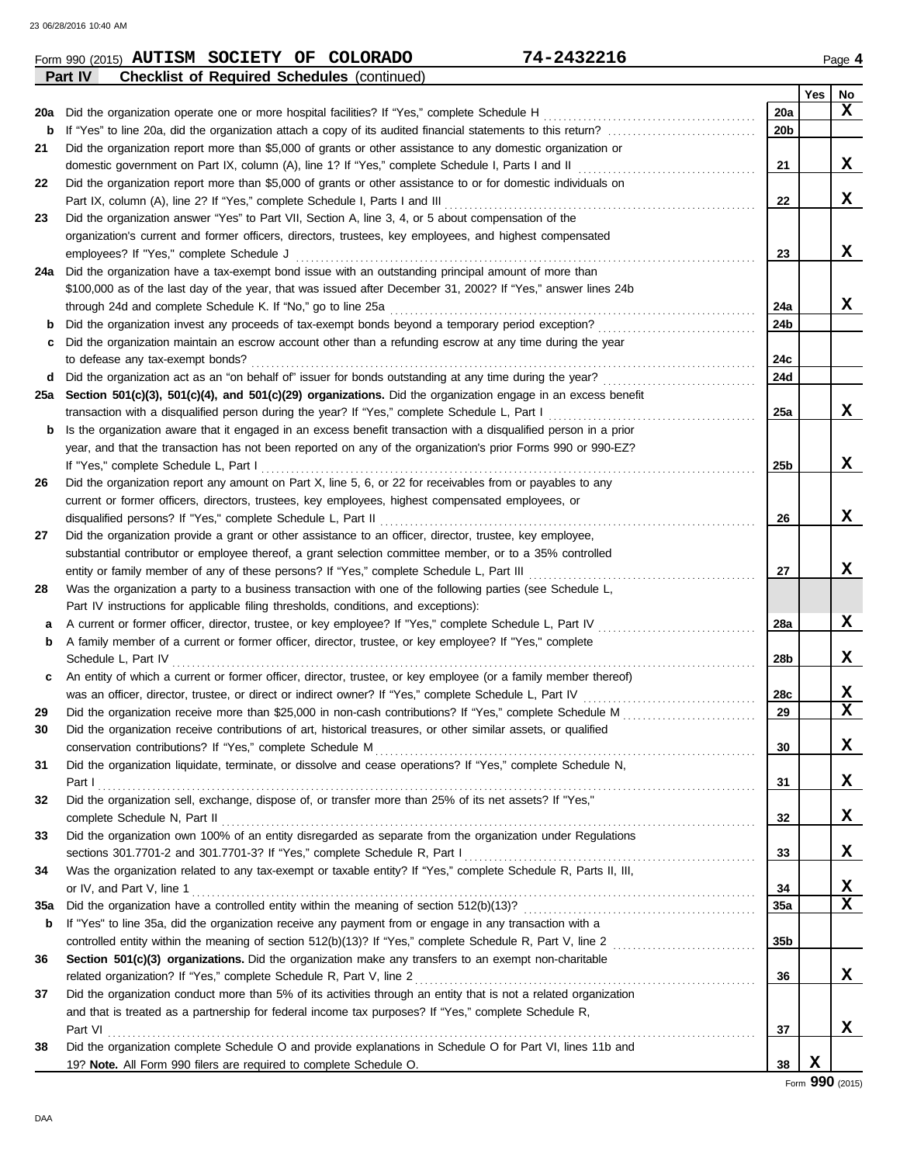|     | 74-2432216<br>Form 990 (2015) AUTISM SOCIETY OF COLORADO                                                                                                                                                          |                 |     | Page 4      |
|-----|-------------------------------------------------------------------------------------------------------------------------------------------------------------------------------------------------------------------|-----------------|-----|-------------|
|     | <b>Checklist of Required Schedules (continued)</b><br>Part IV                                                                                                                                                     |                 |     |             |
|     |                                                                                                                                                                                                                   |                 | Yes | No          |
| 20a | Did the organization operate one or more hospital facilities? If "Yes," complete Schedule H                                                                                                                       | 20a             |     | x           |
| b   |                                                                                                                                                                                                                   | 20 <sub>b</sub> |     |             |
| 21  | Did the organization report more than \$5,000 of grants or other assistance to any domestic organization or                                                                                                       |                 |     |             |
|     | domestic government on Part IX, column (A), line 1? If "Yes," complete Schedule I, Parts I and II                                                                                                                 | 21              |     | x           |
| 22  | Did the organization report more than \$5,000 of grants or other assistance to or for domestic individuals on                                                                                                     |                 |     |             |
|     | Part IX, column (A), line 2? If "Yes," complete Schedule I, Parts I and III                                                                                                                                       | 22              |     | x           |
| 23  | Did the organization answer "Yes" to Part VII, Section A, line 3, 4, or 5 about compensation of the                                                                                                               |                 |     |             |
|     | organization's current and former officers, directors, trustees, key employees, and highest compensated                                                                                                           |                 |     |             |
|     | employees? If "Yes," complete Schedule J                                                                                                                                                                          | 23              |     | X           |
|     | 24a Did the organization have a tax-exempt bond issue with an outstanding principal amount of more than                                                                                                           |                 |     |             |
|     | \$100,000 as of the last day of the year, that was issued after December 31, 2002? If "Yes," answer lines 24b                                                                                                     |                 |     |             |
|     | through 24d and complete Schedule K. If "No," go to line 25a                                                                                                                                                      | 24a             |     | X           |
| b   | Did the organization invest any proceeds of tax-exempt bonds beyond a temporary period exception?                                                                                                                 | 24b             |     |             |
| с   | Did the organization maintain an escrow account other than a refunding escrow at any time during the year                                                                                                         |                 |     |             |
|     | to defease any tax-exempt bonds?                                                                                                                                                                                  | 24c             |     |             |
| d   | Did the organization act as an "on behalf of" issuer for bonds outstanding at any time during the year?                                                                                                           | 24d             |     |             |
|     | 25a Section 501(c)(3), 501(c)(4), and 501(c)(29) organizations. Did the organization engage in an excess benefit                                                                                                  |                 |     |             |
|     | transaction with a disqualified person during the year? If "Yes," complete Schedule L, Part I                                                                                                                     | 25a             |     | x           |
| b   | Is the organization aware that it engaged in an excess benefit transaction with a disqualified person in a prior                                                                                                  |                 |     |             |
|     | year, and that the transaction has not been reported on any of the organization's prior Forms 990 or 990-EZ?                                                                                                      |                 |     | X           |
|     | If "Yes," complete Schedule L, Part I                                                                                                                                                                             | 25b             |     |             |
| 26  | Did the organization report any amount on Part X, line 5, 6, or 22 for receivables from or payables to any                                                                                                        |                 |     |             |
|     | current or former officers, directors, trustees, key employees, highest compensated employees, or                                                                                                                 |                 |     | X           |
|     | disqualified persons? If "Yes," complete Schedule L, Part II                                                                                                                                                      | 26              |     |             |
| 27  | Did the organization provide a grant or other assistance to an officer, director, trustee, key employee,                                                                                                          |                 |     |             |
|     | substantial contributor or employee thereof, a grant selection committee member, or to a 35% controlled                                                                                                           |                 |     | X           |
|     | entity or family member of any of these persons? If "Yes," complete Schedule L, Part III                                                                                                                          | 27              |     |             |
| 28  | Was the organization a party to a business transaction with one of the following parties (see Schedule L,                                                                                                         |                 |     |             |
|     | Part IV instructions for applicable filing thresholds, conditions, and exceptions):                                                                                                                               | 28a             |     | X           |
| а   | A current or former officer, director, trustee, or key employee? If "Yes," complete Schedule L, Part IV<br>A family member of a current or former officer, director, trustee, or key employee? If "Yes," complete |                 |     |             |
| b   | Schedule L, Part IV                                                                                                                                                                                               | 28b             |     | X           |
| c   | An entity of which a current or former officer, director, trustee, or key employee (or a family member thereof)                                                                                                   |                 |     |             |
|     | was an officer, director, trustee, or direct or indirect owner? If "Yes," complete Schedule L, Part IV                                                                                                            | 28c             |     | X           |
| 29  | Did the organization receive more than \$25,000 in non-cash contributions? If "Yes," complete Schedule M                                                                                                          | 29              |     | $\mathbf x$ |
| 30  | Did the organization receive contributions of art, historical treasures, or other similar assets, or qualified                                                                                                    |                 |     |             |
|     |                                                                                                                                                                                                                   | 30              |     | X           |
| 31  | Did the organization liquidate, terminate, or dissolve and cease operations? If "Yes," complete Schedule N,                                                                                                       |                 |     |             |
|     |                                                                                                                                                                                                                   | 31              |     | X           |
| 32  | Did the organization sell, exchange, dispose of, or transfer more than 25% of its net assets? If "Yes,"                                                                                                           |                 |     |             |
|     |                                                                                                                                                                                                                   | 32              |     | X           |
| 33  | Did the organization own 100% of an entity disregarded as separate from the organization under Regulations                                                                                                        |                 |     |             |
|     |                                                                                                                                                                                                                   | 33              |     | X           |
| 34  | Was the organization related to any tax-exempt or taxable entity? If "Yes," complete Schedule R, Parts II, III,                                                                                                   |                 |     |             |
|     | or IV, and Part V, line 1                                                                                                                                                                                         | 34              |     | X           |
| 35a |                                                                                                                                                                                                                   | 35a             |     | $\mathbf x$ |
| b   | If "Yes" to line 35a, did the organization receive any payment from or engage in any transaction with a                                                                                                           |                 |     |             |
|     |                                                                                                                                                                                                                   | 35 <sub>b</sub> |     |             |
| 36  | Section 501(c)(3) organizations. Did the organization make any transfers to an exempt non-charitable                                                                                                              |                 |     |             |
|     | related organization? If "Yes," complete Schedule R, Part V, line 2                                                                                                                                               | 36              |     | X           |
| 37  | Did the organization conduct more than 5% of its activities through an entity that is not a related organization                                                                                                  |                 |     |             |
|     | and that is treated as a partnership for federal income tax purposes? If "Yes," complete Schedule R,                                                                                                              |                 |     |             |
|     | Part VI                                                                                                                                                                                                           | 37              |     | X           |
| 38  | Did the organization complete Schedule O and provide explanations in Schedule O for Part VI, lines 11b and                                                                                                        |                 |     |             |
|     | 19? Note. All Form 990 filers are required to complete Schedule O.                                                                                                                                                | 38              | X   |             |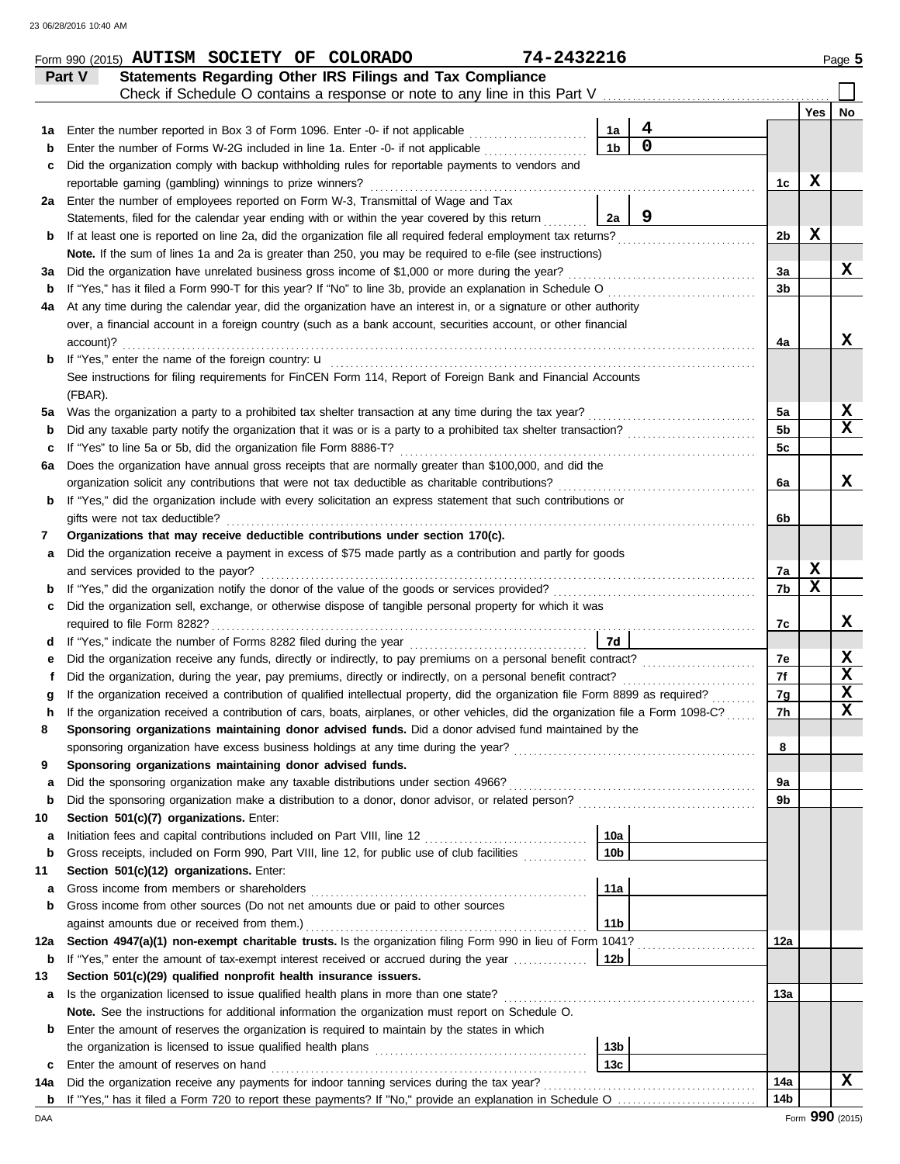|          | Form 990 (2015) AUTISM SOCIETY OF COLORADO                                                                                         | 74-2432216      |                |                |     | Page 5      |
|----------|------------------------------------------------------------------------------------------------------------------------------------|-----------------|----------------|----------------|-----|-------------|
|          | Statements Regarding Other IRS Filings and Tax Compliance<br>Part V                                                                |                 |                |                |     |             |
|          | Check if Schedule O contains a response or note to any line in this Part V                                                         |                 |                |                |     |             |
|          |                                                                                                                                    |                 |                |                | Yes | No          |
| 1а       | Enter the number reported in Box 3 of Form 1096. Enter -0- if not applicable                                                       | 1a              | 4              |                |     |             |
| b        | Enter the number of Forms W-2G included in line 1a. Enter -0- if not applicable                                                    | 1 <sub>b</sub>  | $\overline{0}$ |                |     |             |
| c        | Did the organization comply with backup withholding rules for reportable payments to vendors and                                   |                 |                |                |     |             |
|          | reportable gaming (gambling) winnings to prize winners?                                                                            |                 |                | 1c             | X   |             |
|          | 2a Enter the number of employees reported on Form W-3, Transmittal of Wage and Tax                                                 |                 |                |                |     |             |
|          | Statements, filed for the calendar year ending with or within the year covered by this return                                      | 2a              | 9              |                |     |             |
| b        | If at least one is reported on line 2a, did the organization file all required federal employment tax returns?                     |                 |                | 2b             | X   |             |
|          | Note. If the sum of lines 1a and 2a is greater than 250, you may be required to e-file (see instructions)                          |                 |                |                |     |             |
| За       | Did the organization have unrelated business gross income of \$1,000 or more during the year?                                      |                 |                | 3a             |     | X           |
| b        | If "Yes," has it filed a Form 990-T for this year? If "No" to line 3b, provide an explanation in Schedule O                        |                 |                | 3b             |     |             |
| 4a       | At any time during the calendar year, did the organization have an interest in, or a signature or other authority                  |                 |                |                |     |             |
|          | over, a financial account in a foreign country (such as a bank account, securities account, or other financial                     |                 |                |                |     |             |
|          | account)?                                                                                                                          |                 |                | 4a             |     | X           |
| b        | If "Yes," enter the name of the foreign country: <b>u</b>                                                                          |                 |                |                |     |             |
|          | See instructions for filing requirements for FinCEN Form 114, Report of Foreign Bank and Financial Accounts                        |                 |                |                |     |             |
|          | (FBAR).                                                                                                                            |                 |                |                |     |             |
| 5a       | Was the organization a party to a prohibited tax shelter transaction at any time during the tax year?                              |                 |                | 5a             |     | X           |
| b        | Did any taxable party notify the organization that it was or is a party to a prohibited tax shelter transaction?                   |                 |                | 5 <sub>b</sub> |     | x           |
| c        | If "Yes" to line 5a or 5b, did the organization file Form 8886-T?                                                                  |                 |                | 5c             |     |             |
| 6а       | Does the organization have annual gross receipts that are normally greater than \$100,000, and did the                             |                 |                |                |     |             |
|          | organization solicit any contributions that were not tax deductible as charitable contributions?                                   |                 |                | 6a             |     | x           |
| b        | If "Yes," did the organization include with every solicitation an express statement that such contributions or                     |                 |                |                |     |             |
|          | gifts were not tax deductible?                                                                                                     |                 |                | 6b             |     |             |
| 7        | Organizations that may receive deductible contributions under section 170(c).                                                      |                 |                |                |     |             |
| а        | Did the organization receive a payment in excess of \$75 made partly as a contribution and partly for goods                        |                 |                |                |     |             |
|          | and services provided to the payor?                                                                                                |                 |                | 7a             | X   |             |
| b        | If "Yes," did the organization notify the donor of the value of the goods or services provided?                                    |                 |                | 7b             | X   |             |
| c        | Did the organization sell, exchange, or otherwise dispose of tangible personal property for which it was                           |                 |                |                |     |             |
|          | required to file Form 8282?                                                                                                        |                 |                | 7c             |     | X           |
| d        |                                                                                                                                    | 7d              |                |                |     |             |
| е        | Did the organization receive any funds, directly or indirectly, to pay premiums on a personal benefit contract?                    |                 |                | 7e             |     | X           |
|          | Did the organization, during the year, pay premiums, directly or indirectly, on a personal benefit contract?                       |                 |                | 7f             |     | X           |
| g        | If the organization received a contribution of qualified intellectual property, did the organization file Form 8899 as required?   |                 |                | 7g             |     | $\mathbf x$ |
|          | If the organization received a contribution of cars, boats, airplanes, or other vehicles, did the organization file a Form 1098-C? |                 |                | 7h             |     | X           |
| 8        | Sponsoring organizations maintaining donor advised funds. Did a donor advised fund maintained by the                               |                 |                |                |     |             |
|          |                                                                                                                                    |                 |                | 8              |     |             |
| 9        | Sponsoring organizations maintaining donor advised funds.                                                                          |                 |                |                |     |             |
| a        |                                                                                                                                    |                 |                | 9a             |     |             |
| b        |                                                                                                                                    |                 |                | 9b             |     |             |
| 10       | Section 501(c)(7) organizations. Enter:                                                                                            |                 |                |                |     |             |
| a        |                                                                                                                                    | 10a             |                |                |     |             |
| b        | Gross receipts, included on Form 990, Part VIII, line 12, for public use of club facilities                                        | 10 <sub>b</sub> |                |                |     |             |
| 11       | Section 501(c)(12) organizations. Enter:                                                                                           |                 |                |                |     |             |
| а        | Gross income from members or shareholders                                                                                          | 11a             |                |                |     |             |
| b        | Gross income from other sources (Do not net amounts due or paid to other sources                                                   |                 |                |                |     |             |
|          | against amounts due or received from them.)                                                                                        | 11 <sub>b</sub> |                |                |     |             |
| 12a      | Section 4947(a)(1) non-exempt charitable trusts. Is the organization filing Form 990 in lieu of Form 1041?                         |                 |                | 12a            |     |             |
| b        | If "Yes," enter the amount of tax-exempt interest received or accrued during the year                                              | 12b             |                |                |     |             |
| 13       | Section 501(c)(29) qualified nonprofit health insurance issuers.                                                                   |                 |                |                |     |             |
| а        | Is the organization licensed to issue qualified health plans in more than one state?                                               |                 |                | 13а            |     |             |
|          | Note. See the instructions for additional information the organization must report on Schedule O.                                  |                 |                |                |     |             |
| b        | Enter the amount of reserves the organization is required to maintain by the states in which                                       | 13 <sub>b</sub> |                |                |     |             |
|          | Enter the amount of reserves on hand                                                                                               | 13с             |                |                |     |             |
| c<br>14a | Did the organization receive any payments for indoor tanning services during the tax year?                                         |                 |                | 14a            |     | x           |
|          |                                                                                                                                    |                 |                | 14b            |     |             |
|          |                                                                                                                                    |                 |                |                |     |             |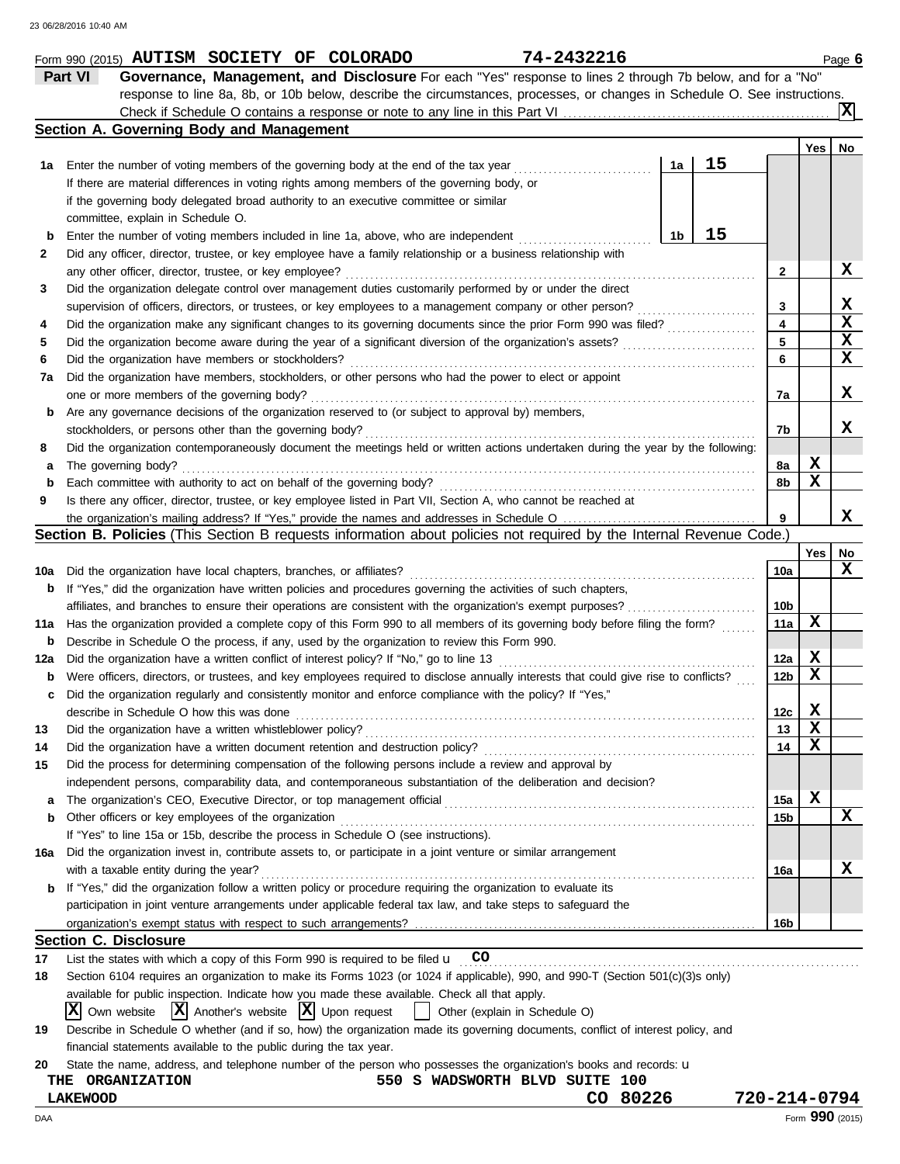|     | 74-2432216<br>Form 990 (2015) AUTISM SOCIETY OF COLORADO                                                                            |                 |                 | Page 6      |
|-----|-------------------------------------------------------------------------------------------------------------------------------------|-----------------|-----------------|-------------|
|     | Part VI<br>Governance, Management, and Disclosure For each "Yes" response to lines 2 through 7b below, and for a "No"               |                 |                 |             |
|     | response to line 8a, 8b, or 10b below, describe the circumstances, processes, or changes in Schedule O. See instructions.           |                 |                 |             |
|     |                                                                                                                                     |                 |                 | ΙxΙ         |
|     | Section A. Governing Body and Management                                                                                            |                 |                 |             |
|     |                                                                                                                                     |                 | Yes             | No          |
| 1a  | 15<br>1a<br>Enter the number of voting members of the governing body at the end of the tax year                                     |                 |                 |             |
|     | If there are material differences in voting rights among members of the governing body, or                                          |                 |                 |             |
|     | if the governing body delegated broad authority to an executive committee or similar                                                |                 |                 |             |
|     | committee, explain in Schedule O.                                                                                                   |                 |                 |             |
| b   | 15<br>1b<br>Enter the number of voting members included in line 1a, above, who are independent                                      |                 |                 |             |
| 2   | Did any officer, director, trustee, or key employee have a family relationship or a business relationship with                      |                 |                 |             |
|     | any other officer, director, trustee, or key employee?                                                                              | $\mathbf{2}$    |                 | X           |
| 3   | Did the organization delegate control over management duties customarily performed by or under the direct                           |                 |                 |             |
|     | supervision of officers, directors, or trustees, or key employees to a management company or other person?                          | 3               |                 | X           |
| 4   | Did the organization make any significant changes to its governing documents since the prior Form 990 was filed?                    | 4               |                 | $\mathbf x$ |
| 5   | Did the organization become aware during the year of a significant diversion of the organization's assets?                          | 5               |                 | X           |
| 6   | Did the organization have members or stockholders?                                                                                  | 6               |                 | $\mathbf x$ |
| 7a  | Did the organization have members, stockholders, or other persons who had the power to elect or appoint                             |                 |                 |             |
|     | one or more members of the governing body?                                                                                          | 7a              |                 | X           |
| b   | Are any governance decisions of the organization reserved to (or subject to approval by) members,                                   |                 |                 |             |
|     | stockholders, or persons other than the governing body?                                                                             | 7b              |                 | x           |
| 8   | Did the organization contemporaneously document the meetings held or written actions undertaken during the year by the following:   |                 |                 |             |
| а   | The governing body?                                                                                                                 | 8а              | X               |             |
| b   | Each committee with authority to act on behalf of the governing body?                                                               | 8b              | x               |             |
| 9   | Is there any officer, director, trustee, or key employee listed in Part VII, Section A, who cannot be reached at                    |                 |                 |             |
|     | the organization's mailing address? If "Yes," provide the names and addresses in Schedule O                                         |                 |                 | X           |
|     | Section B. Policies (This Section B requests information about policies not required by the Internal Revenue Code.)                 |                 |                 |             |
|     |                                                                                                                                     |                 | Yes             | No          |
| 10a | Did the organization have local chapters, branches, or affiliates?                                                                  | 10a             |                 | x           |
| b   | If "Yes," did the organization have written policies and procedures governing the activities of such chapters,                      |                 |                 |             |
|     | affiliates, and branches to ensure their operations are consistent with the organization's exempt purposes?                         | 10b             |                 |             |
| 11a | Has the organization provided a complete copy of this Form 990 to all members of its governing body before filing the form?         | 11a             | х               |             |
| b   | Describe in Schedule O the process, if any, used by the organization to review this Form 990.                                       |                 |                 |             |
| 12a | Did the organization have a written conflict of interest policy? If "No," go to line 13                                             | 12a             | X               |             |
| b   | Were officers, directors, or trustees, and key employees required to disclose annually interests that could give rise to conflicts? | 12 <sub>b</sub> | X               |             |
| c   | Did the organization regularly and consistently monitor and enforce compliance with the policy? If "Yes,"                           |                 |                 |             |
|     | describe in Schedule O how this was done                                                                                            | 12c             | X               |             |
| 13  | Did the organization have a written whistleblower policy?                                                                           | 13              | X               |             |
| 14  | Did the organization have a written document retention and destruction policy?                                                      | 14              | X               |             |
| 15  | Did the process for determining compensation of the following persons include a review and approval by                              |                 |                 |             |
|     | independent persons, comparability data, and contemporaneous substantiation of the deliberation and decision?                       |                 |                 |             |
| a   |                                                                                                                                     | 15a             | X               |             |
| b   | Other officers or key employees of the organization                                                                                 | 15b             |                 | X           |
|     | If "Yes" to line 15a or 15b, describe the process in Schedule O (see instructions).                                                 |                 |                 |             |
|     | Did the organization invest in, contribute assets to, or participate in a joint venture or similar arrangement                      |                 |                 |             |
| 16a | with a taxable entity during the year?                                                                                              | 16a             |                 | X           |
|     | If "Yes," did the organization follow a written policy or procedure requiring the organization to evaluate its                      |                 |                 |             |
| b   | participation in joint venture arrangements under applicable federal tax law, and take steps to safeguard the                       |                 |                 |             |
|     |                                                                                                                                     |                 |                 |             |
|     | <b>Section C. Disclosure</b>                                                                                                        | 16b             |                 |             |
|     |                                                                                                                                     |                 |                 |             |
| 17  | List the states with which a copy of this Form 990 is required to be filed $\mathbf u$ CO                                           |                 |                 |             |
| 18  | Section 6104 requires an organization to make its Forms 1023 (or 1024 if applicable), 990, and 990-T (Section 501(c)(3)s only)      |                 |                 |             |
|     | available for public inspection. Indicate how you made these available. Check all that apply.                                       |                 |                 |             |
|     | $ X $ Own website $ X $ Another's website $ X $ Upon request<br>Other (explain in Schedule O)<br>$\perp$                            |                 |                 |             |
| 19  | Describe in Schedule O whether (and if so, how) the organization made its governing documents, conflict of interest policy, and     |                 |                 |             |
|     | financial statements available to the public during the tax year.                                                                   |                 |                 |             |
| 20  | State the name, address, and telephone number of the person who possesses the organization's books and records: u                   |                 |                 |             |
|     | 550 S WADSWORTH BLVD SUITE 100<br><b>THE ORGANIZATION</b>                                                                           |                 |                 |             |
|     | CO 80226<br><b>LAKEWOOD</b>                                                                                                         | 720-214-0794    |                 |             |
| DAA |                                                                                                                                     |                 | Form 990 (2015) |             |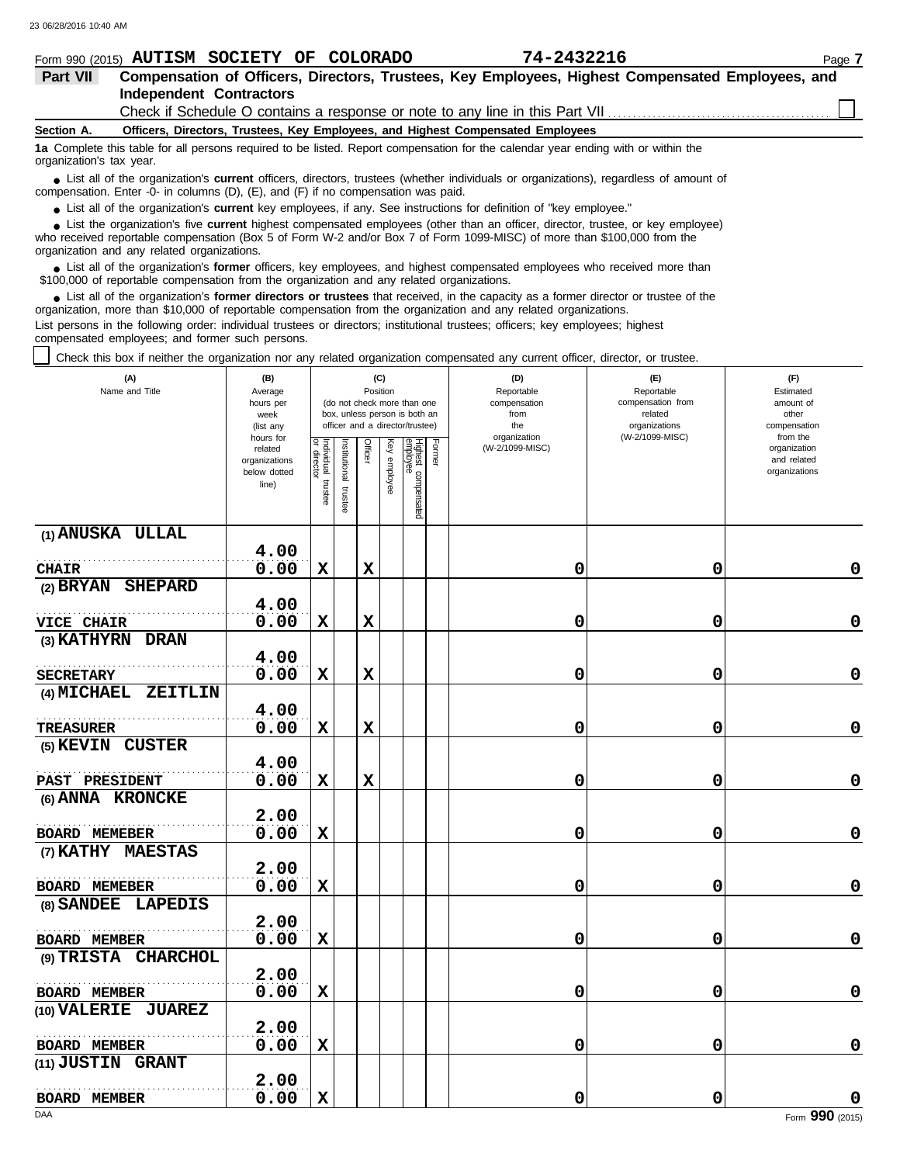|                                                                                                                                                                                                                             |  |                                |  | Form 990 (2015) AUTISM SOCIETY OF COLORADO | 74-2432216                                                                                                                        | Page 7 |  |
|-----------------------------------------------------------------------------------------------------------------------------------------------------------------------------------------------------------------------------|--|--------------------------------|--|--------------------------------------------|-----------------------------------------------------------------------------------------------------------------------------------|--------|--|
| Part VII                                                                                                                                                                                                                    |  |                                |  |                                            | Compensation of Officers, Directors, Trustees, Key Employees, Highest Compensated Employees, and                                  |        |  |
|                                                                                                                                                                                                                             |  | <b>Independent Contractors</b> |  |                                            |                                                                                                                                   |        |  |
|                                                                                                                                                                                                                             |  |                                |  |                                            | Check if Schedule O contains a response or note to any line in this Part VII                                                      |        |  |
| Section A.                                                                                                                                                                                                                  |  |                                |  |                                            | Officers, Directors, Trustees, Key Employees, and Highest Compensated Employees                                                   |        |  |
| organization's tax year.                                                                                                                                                                                                    |  |                                |  |                                            | 1a Complete this table for all persons required to be listed. Report compensation for the calendar year ending with or within the |        |  |
| • List all of the organization's current officers, directors, trustees (whether individuals or organizations), regardless of amount of<br>compensation. Enter -0- in columns (D), (E), and (F) if no compensation was paid. |  |                                |  |                                            |                                                                                                                                   |        |  |

● List all of the organization's **current** key employees, if any. See instructions for definition of "key employee."

who received reportable compensation (Box 5 of Form W-2 and/or Box 7 of Form 1099-MISC) of more than \$100,000 from the organization and any related organizations. ■ List the organization's five **current** highest compensated employees (other than an officer, director, trustee, or key employee)<br> **•** Preceived reportable compensation (Box 5 of Form *M, 2 and/or Box 7 of Form 1000 MISC* 

■ List all of the organization's **former** officers, key employees, and highest compensated employees who received more than<br> **00,000 of reportable compensation from the ergonization and any related ergonizations** \$100,000 of reportable compensation from the organization and any related organizations.

■ List all of the organization's **former directors or trustees** that received, in the capacity as a former director or trustee of the<br>enization, more than \$10,000 of reportable compensation from the organization and any r organization, more than \$10,000 of reportable compensation from the organization and any related organizations. List persons in the following order: individual trustees or directors; institutional trustees; officers; key employees; highest

compensated employees; and former such persons.

Check this box if neither the organization nor any related organization compensated any current officer, director, or trustee.

| (A)<br>Name and Title                | (B)<br>Average<br>hours per<br>week<br>(list any<br>hours for |                                   |                          |             | (C)<br>Position | (do not check more than one<br>box, unless person is both an<br>officer and a director/trustee) |        | (D)<br>Reportable<br>compensation<br>from<br>the<br>organization | (E)<br>Reportable<br>compensation from<br>related<br>organizations<br>(W-2/1099-MISC) | (F)<br>Estimated<br>amount of<br>other<br>compensation<br>from the |
|--------------------------------------|---------------------------------------------------------------|-----------------------------------|--------------------------|-------------|-----------------|-------------------------------------------------------------------------------------------------|--------|------------------------------------------------------------------|---------------------------------------------------------------------------------------|--------------------------------------------------------------------|
|                                      | related<br>organizations<br>below dotted<br>line)             | Individual trustee<br>or director | Institutional<br>trustee | Officer     | Key<br>employee | Highest compensated<br>employee                                                                 | Former | (W-2/1099-MISC)                                                  |                                                                                       | organization<br>and related<br>organizations                       |
| (1) ANUSKA ULLAL                     |                                                               |                                   |                          |             |                 |                                                                                                 |        |                                                                  |                                                                                       |                                                                    |
|                                      | 4.00                                                          |                                   |                          |             |                 |                                                                                                 |        |                                                                  |                                                                                       |                                                                    |
| <b>CHAIR</b>                         | 0.00                                                          | $\mathbf x$                       |                          | $\mathbf x$ |                 |                                                                                                 |        | 0                                                                | 0                                                                                     | 0                                                                  |
| (2) BRYAN SHEPARD                    |                                                               |                                   |                          |             |                 |                                                                                                 |        |                                                                  |                                                                                       |                                                                    |
|                                      | 4.00                                                          |                                   |                          |             |                 |                                                                                                 |        |                                                                  |                                                                                       |                                                                    |
| <b>VICE CHAIR</b>                    | 0.00                                                          | $\mathbf x$                       |                          | $\mathbf x$ |                 |                                                                                                 |        | 0                                                                | 0                                                                                     | $\mathbf 0$                                                        |
| (3) KATHYRN DRAN                     |                                                               |                                   |                          |             |                 |                                                                                                 |        |                                                                  |                                                                                       |                                                                    |
|                                      | 4.00                                                          |                                   |                          |             |                 |                                                                                                 |        |                                                                  |                                                                                       |                                                                    |
| <b>SECRETARY</b>                     | 0.00                                                          | $\mathbf x$                       |                          | $\mathbf x$ |                 |                                                                                                 |        | 0                                                                | $\mathbf 0$                                                                           | $\mathbf 0$                                                        |
| (4) MICHAEL<br>ZEITLIN               |                                                               |                                   |                          |             |                 |                                                                                                 |        |                                                                  |                                                                                       |                                                                    |
|                                      | 4.00                                                          |                                   |                          |             |                 |                                                                                                 |        |                                                                  |                                                                                       |                                                                    |
| TREASURER                            | 0.00                                                          | $\mathbf x$                       |                          | $\mathbf x$ |                 |                                                                                                 |        | 0                                                                | $\mathbf 0$                                                                           | $\mathbf 0$                                                        |
| (5) KEVIN CUSTER                     |                                                               |                                   |                          |             |                 |                                                                                                 |        |                                                                  |                                                                                       |                                                                    |
|                                      | 4.00                                                          |                                   |                          |             |                 |                                                                                                 |        |                                                                  |                                                                                       |                                                                    |
| PAST PRESIDENT                       | 0.00                                                          | X                                 |                          | $\mathbf x$ |                 |                                                                                                 |        | 0                                                                | 0                                                                                     | $\mathbf 0$                                                        |
| (6) ANNA KRONCKE                     |                                                               |                                   |                          |             |                 |                                                                                                 |        |                                                                  |                                                                                       |                                                                    |
|                                      | 2.00                                                          |                                   |                          |             |                 |                                                                                                 |        |                                                                  |                                                                                       |                                                                    |
| <b>BOARD MEMEBER</b>                 | 0.00                                                          | $\mathbf x$                       |                          |             |                 |                                                                                                 |        | 0                                                                | 0                                                                                     | 0                                                                  |
| (7) KATHY MAESTAS                    |                                                               |                                   |                          |             |                 |                                                                                                 |        |                                                                  |                                                                                       |                                                                    |
|                                      | 2.00                                                          |                                   |                          |             |                 |                                                                                                 |        |                                                                  |                                                                                       |                                                                    |
| <b>BOARD MEMEBER</b>                 | 0.00                                                          | $\mathbf x$                       |                          |             |                 |                                                                                                 |        | 0                                                                | 0                                                                                     | $\mathbf 0$                                                        |
| (8) SANDEE<br>LAPEDIS                |                                                               |                                   |                          |             |                 |                                                                                                 |        |                                                                  |                                                                                       |                                                                    |
|                                      | 2.00                                                          |                                   |                          |             |                 |                                                                                                 |        |                                                                  |                                                                                       |                                                                    |
| BOARD MEMBER                         | 0.00                                                          | $\mathbf x$                       |                          |             |                 |                                                                                                 |        | 0                                                                | 0                                                                                     | 0                                                                  |
| <b>CHARCHOL</b><br><b>(9) TRISTA</b> |                                                               |                                   |                          |             |                 |                                                                                                 |        |                                                                  |                                                                                       |                                                                    |
|                                      | 2.00                                                          |                                   |                          |             |                 |                                                                                                 |        |                                                                  |                                                                                       |                                                                    |
| <b>BOARD MEMBER</b>                  | 0.00                                                          | $\mathbf x$                       |                          |             |                 |                                                                                                 |        | 0                                                                | 0                                                                                     | $\mathbf 0$                                                        |
| (10) VALERIE JUAREZ                  |                                                               |                                   |                          |             |                 |                                                                                                 |        |                                                                  |                                                                                       |                                                                    |
|                                      | 2.00                                                          |                                   |                          |             |                 |                                                                                                 |        |                                                                  |                                                                                       |                                                                    |
| <b>BOARD MEMBER</b>                  | 0.00                                                          | $\mathbf x$                       |                          |             |                 |                                                                                                 |        | 0                                                                | 0                                                                                     | 0                                                                  |
| (11) JUSTIN GRANT                    |                                                               |                                   |                          |             |                 |                                                                                                 |        |                                                                  |                                                                                       |                                                                    |
|                                      | 2.00                                                          |                                   |                          |             |                 |                                                                                                 |        |                                                                  |                                                                                       |                                                                    |
| <b>BOARD MEMBER</b>                  | 0.00                                                          | $\mathbf x$                       |                          |             |                 |                                                                                                 |        | 0                                                                | $\mathbf 0$                                                                           | O                                                                  |
| DAA                                  |                                                               |                                   |                          |             |                 |                                                                                                 |        |                                                                  |                                                                                       | Form 990 (2015)                                                    |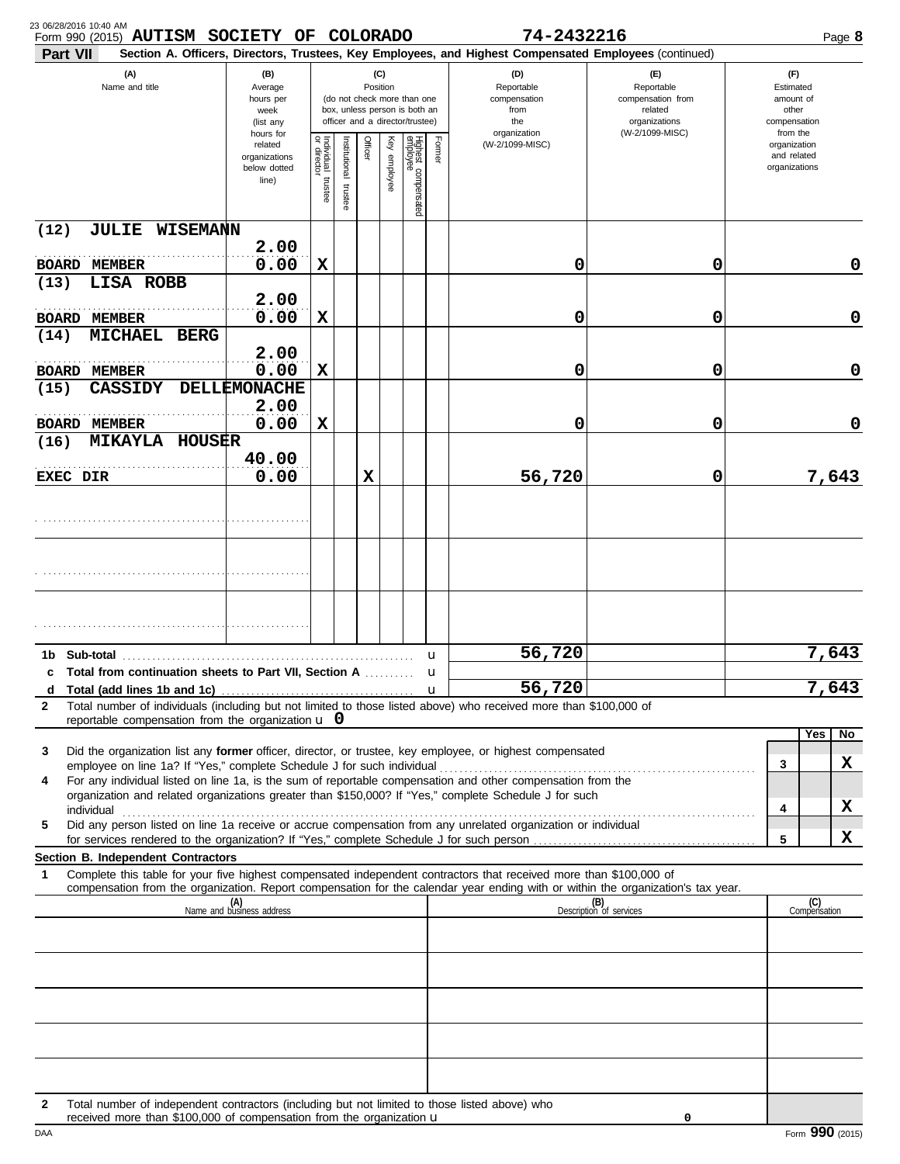| 23 06/28/2016 10:40 AM<br>Form 990 (2015) AUTISM SOCIETY OF COLORADO                                                                                                                                                                                        |                                                                |                                      |                         |             |              |                                                                                                 |                   | 74-2432216                                                                                             |                                                                                       |                                                          | Page 8 |
|-------------------------------------------------------------------------------------------------------------------------------------------------------------------------------------------------------------------------------------------------------------|----------------------------------------------------------------|--------------------------------------|-------------------------|-------------|--------------|-------------------------------------------------------------------------------------------------|-------------------|--------------------------------------------------------------------------------------------------------|---------------------------------------------------------------------------------------|----------------------------------------------------------|--------|
| Part VII                                                                                                                                                                                                                                                    |                                                                |                                      |                         |             |              |                                                                                                 |                   | Section A. Officers, Directors, Trustees, Key Employees, and Highest Compensated Employees (continued) |                                                                                       |                                                          |        |
| (A)<br>Name and title                                                                                                                                                                                                                                       | (B)<br>Average<br>hours per<br>week<br>(list any               |                                      |                         | Position    | (C)          | (do not check more than one<br>box, unless person is both an<br>officer and a director/trustee) |                   | (D)<br>Reportable<br>compensation<br>from<br>the                                                       | (F)<br>Reportable<br>compensation from<br>related<br>organizations<br>(W-2/1099-MISC) | (F)<br>Estimated<br>amount of<br>other<br>compensation   |        |
|                                                                                                                                                                                                                                                             | hours for<br>related<br>organizations<br>below dotted<br>line) | Individual<br>or director<br>trustee | nstitutional<br>trustee | Officer     | Key employee | Highest compensated<br>employee                                                                 | Former            | organization<br>(W-2/1099-MISC)                                                                        |                                                                                       | from the<br>organization<br>and related<br>organizations |        |
| (12)<br><b>JULIE WISEMANN</b>                                                                                                                                                                                                                               |                                                                |                                      |                         |             |              |                                                                                                 |                   |                                                                                                        |                                                                                       |                                                          |        |
| <b>BOARD MEMBER</b><br>LISA ROBB<br>(13)                                                                                                                                                                                                                    | 2.00<br>0.00                                                   | X                                    |                         |             |              |                                                                                                 |                   | 0                                                                                                      | 0                                                                                     |                                                          | 0      |
| <b>BOARD MEMBER</b>                                                                                                                                                                                                                                         | 2.00<br>0.00                                                   | X                                    |                         |             |              |                                                                                                 |                   | 0                                                                                                      | 0                                                                                     |                                                          | 0      |
| <b>MICHAEL</b><br><b>BERG</b><br>(14)                                                                                                                                                                                                                       | 2.00                                                           |                                      |                         |             |              |                                                                                                 |                   |                                                                                                        |                                                                                       |                                                          |        |
| <b>BOARD MEMBER</b><br><b>CASSIDY</b><br>(15)                                                                                                                                                                                                               | 0.00<br>DELLEMONACHE                                           | X                                    |                         |             |              |                                                                                                 |                   | 0                                                                                                      | 0                                                                                     |                                                          | 0      |
|                                                                                                                                                                                                                                                             | 2.00                                                           |                                      |                         |             |              |                                                                                                 |                   |                                                                                                        |                                                                                       |                                                          |        |
| <b>BOARD MEMBER</b><br><b>MIKAYLA</b><br>HOUSER<br>(16)                                                                                                                                                                                                     | 0.00                                                           | X                                    |                         |             |              |                                                                                                 |                   | 0                                                                                                      | 0                                                                                     |                                                          | 0      |
| EXEC DIR                                                                                                                                                                                                                                                    | 40.00<br>0.00                                                  |                                      |                         | $\mathbf x$ |              |                                                                                                 |                   | 56,720                                                                                                 | 0                                                                                     |                                                          | 7,643  |
|                                                                                                                                                                                                                                                             |                                                                |                                      |                         |             |              |                                                                                                 |                   |                                                                                                        |                                                                                       |                                                          |        |
|                                                                                                                                                                                                                                                             |                                                                |                                      |                         |             |              |                                                                                                 |                   |                                                                                                        |                                                                                       |                                                          |        |
|                                                                                                                                                                                                                                                             |                                                                |                                      |                         |             |              |                                                                                                 |                   |                                                                                                        |                                                                                       |                                                          |        |
| Sub-total<br>1b.                                                                                                                                                                                                                                            |                                                                |                                      |                         |             |              |                                                                                                 | u                 | 56,720                                                                                                 |                                                                                       |                                                          | 7,643  |
| c Total from continuation sheets to Part VII, Section A<br>d                                                                                                                                                                                                |                                                                |                                      |                         |             |              |                                                                                                 | u<br>$\mathbf{u}$ | 56,720                                                                                                 |                                                                                       |                                                          | 7,643  |
| Total number of individuals (including but not limited to those listed above) who received more than \$100,000 of<br>$\mathbf{2}$<br>reportable compensation from the organization $\bf{u}$ 0                                                               |                                                                |                                      |                         |             |              |                                                                                                 |                   |                                                                                                        |                                                                                       |                                                          |        |
|                                                                                                                                                                                                                                                             |                                                                |                                      |                         |             |              |                                                                                                 |                   |                                                                                                        |                                                                                       | Yes                                                      | No     |
| Did the organization list any former officer, director, or trustee, key employee, or highest compensated<br>3<br>For any individual listed on line 1a, is the sum of reportable compensation and other compensation from the<br>4                           |                                                                |                                      |                         |             |              |                                                                                                 |                   |                                                                                                        |                                                                                       | 3                                                        | X      |
| organization and related organizations greater than \$150,000? If "Yes," complete Schedule J for such                                                                                                                                                       |                                                                |                                      |                         |             |              |                                                                                                 |                   |                                                                                                        |                                                                                       | 4                                                        | X      |
| Did any person listed on line 1a receive or accrue compensation from any unrelated organization or individual<br>5                                                                                                                                          |                                                                |                                      |                         |             |              |                                                                                                 |                   |                                                                                                        |                                                                                       | 5                                                        | X      |
| Section B. Independent Contractors                                                                                                                                                                                                                          |                                                                |                                      |                         |             |              |                                                                                                 |                   |                                                                                                        |                                                                                       |                                                          |        |
| Complete this table for your five highest compensated independent contractors that received more than \$100,000 of<br>1<br>compensation from the organization. Report compensation for the calendar year ending with or within the organization's tax year. |                                                                |                                      |                         |             |              |                                                                                                 |                   |                                                                                                        |                                                                                       |                                                          |        |
|                                                                                                                                                                                                                                                             | (A)<br>Name and business address                               |                                      |                         |             |              |                                                                                                 |                   |                                                                                                        | (B)<br>Description of services                                                        | (C)<br>Compensation                                      |        |
|                                                                                                                                                                                                                                                             |                                                                |                                      |                         |             |              |                                                                                                 |                   |                                                                                                        |                                                                                       |                                                          |        |
|                                                                                                                                                                                                                                                             |                                                                |                                      |                         |             |              |                                                                                                 |                   |                                                                                                        |                                                                                       |                                                          |        |
|                                                                                                                                                                                                                                                             |                                                                |                                      |                         |             |              |                                                                                                 |                   |                                                                                                        |                                                                                       |                                                          |        |
|                                                                                                                                                                                                                                                             |                                                                |                                      |                         |             |              |                                                                                                 |                   |                                                                                                        |                                                                                       |                                                          |        |
| Total number of independent contractors (including but not limited to those listed above) who<br>2<br>received more than \$100,000 of compensation from the organization u                                                                                  |                                                                |                                      |                         |             |              |                                                                                                 |                   |                                                                                                        | 0                                                                                     |                                                          |        |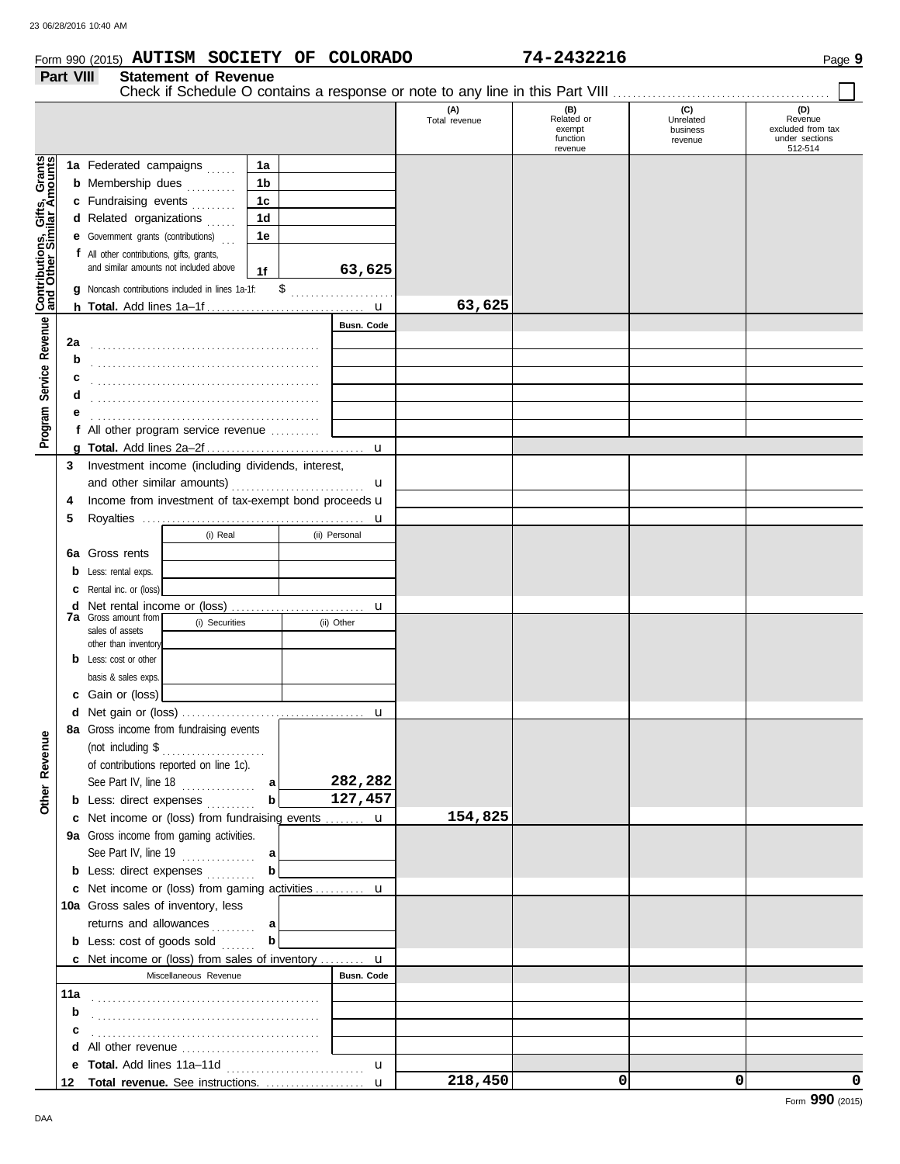#### Form 990 (2015) Page **9 AUTISM SOCIETY OF COLORADO 74-2432216**

|                                                             | Part VIII    | <b>Statement of Revenue</b><br>Check if Schedule O contains a response or note to any line in this Part VIII                                                                                                    |                                                                |                    |                      |                                                    |                                         |                                                                  |
|-------------------------------------------------------------|--------------|-----------------------------------------------------------------------------------------------------------------------------------------------------------------------------------------------------------------|----------------------------------------------------------------|--------------------|----------------------|----------------------------------------------------|-----------------------------------------|------------------------------------------------------------------|
|                                                             |              |                                                                                                                                                                                                                 |                                                                |                    | (A)<br>Total revenue | (B)<br>Related or<br>exempt<br>function<br>revenue | (C)<br>Unrelated<br>business<br>revenue | (D)<br>Revenue<br>excluded from tax<br>under sections<br>512-514 |
| Program Service Revenue <b>Contributions, Gifts, Grants</b> |              | 1a Federated campaigns<br><b>b</b> Membership dues <i>minimal</i><br>c Fundraising events<br>d Related organizations<br><b>e</b> Government grants (contributions)<br>f All other contributions, gifts, grants, | 1a<br>1 <sub>b</sub><br>1 <sub>c</sub><br>1 <sub>d</sub><br>1e |                    |                      |                                                    |                                         |                                                                  |
|                                                             |              | and similar amounts not included above<br>g Noncash contributions included in lines 1a-1f:                                                                                                                      | 1f                                                             | 63,625             |                      |                                                    |                                         |                                                                  |
|                                                             |              |                                                                                                                                                                                                                 |                                                                |                    | 63,625               |                                                    |                                         |                                                                  |
|                                                             |              |                                                                                                                                                                                                                 |                                                                | <b>Busn. Code</b>  |                      |                                                    |                                         |                                                                  |
|                                                             | 2a<br>b<br>c |                                                                                                                                                                                                                 |                                                                |                    |                      |                                                    |                                         |                                                                  |
|                                                             | d<br>е       |                                                                                                                                                                                                                 |                                                                |                    |                      |                                                    |                                         |                                                                  |
|                                                             |              | f All other program service revenue                                                                                                                                                                             |                                                                |                    |                      |                                                    |                                         |                                                                  |
|                                                             |              |                                                                                                                                                                                                                 |                                                                | u                  |                      |                                                    |                                         |                                                                  |
|                                                             | 3<br>4<br>5  | Investment income (including dividends, interest,<br>Income from investment of tax-exempt bond proceeds u                                                                                                       |                                                                | $\mathbf u$        |                      |                                                    |                                         |                                                                  |
|                                                             |              | (i) Real                                                                                                                                                                                                        |                                                                | u<br>(ii) Personal |                      |                                                    |                                         |                                                                  |
|                                                             |              |                                                                                                                                                                                                                 |                                                                |                    |                      |                                                    |                                         |                                                                  |
|                                                             |              | <b>6a</b> Gross rents                                                                                                                                                                                           |                                                                |                    |                      |                                                    |                                         |                                                                  |
|                                                             | b            | Less: rental exps.                                                                                                                                                                                              |                                                                |                    |                      |                                                    |                                         |                                                                  |
|                                                             | c            | Rental inc. or (loss)                                                                                                                                                                                           |                                                                |                    |                      |                                                    |                                         |                                                                  |
|                                                             | d            | <b>7a</b> Gross amount from                                                                                                                                                                                     |                                                                | u                  |                      |                                                    |                                         |                                                                  |
|                                                             |              | (i) Securities<br>sales of assets                                                                                                                                                                               |                                                                | (ii) Other         |                      |                                                    |                                         |                                                                  |
|                                                             |              | other than inventory                                                                                                                                                                                            |                                                                |                    |                      |                                                    |                                         |                                                                  |
|                                                             |              | <b>b</b> Less: cost or other                                                                                                                                                                                    |                                                                |                    |                      |                                                    |                                         |                                                                  |
|                                                             |              | basis & sales exps.                                                                                                                                                                                             |                                                                |                    |                      |                                                    |                                         |                                                                  |
|                                                             |              | c Gain or (loss)                                                                                                                                                                                                |                                                                |                    |                      |                                                    |                                         |                                                                  |
|                                                             |              |                                                                                                                                                                                                                 |                                                                | u                  |                      |                                                    |                                         |                                                                  |
| Other Revenue                                               |              | 8a Gross income from fundraising events<br>of contributions reported on line 1c).<br>See Part IV, line 18 $\ldots$                                                                                              | a                                                              | 282,282            |                      |                                                    |                                         |                                                                  |
|                                                             |              | <b>b</b> Less: direct expenses <i>minimal</i>                                                                                                                                                                   | b                                                              | 127,457            |                      |                                                    |                                         |                                                                  |
|                                                             |              | <b>c</b> Net income or (loss) from fundraising events                                                                                                                                                           |                                                                | u                  | 154,825              |                                                    |                                         |                                                                  |
|                                                             |              | 9a Gross income from gaming activities.                                                                                                                                                                         |                                                                |                    |                      |                                                    |                                         |                                                                  |
|                                                             |              | See Part IV, line $19$                                                                                                                                                                                          | al                                                             |                    |                      |                                                    |                                         |                                                                  |
|                                                             |              | <b>b</b> Less: direct expenses                                                                                                                                                                                  | b                                                              |                    |                      |                                                    |                                         |                                                                  |
|                                                             |              | c Net income or (loss) from gaming activities                                                                                                                                                                   |                                                                | $\mathbf u$        |                      |                                                    |                                         |                                                                  |
|                                                             |              | 10a Gross sales of inventory, less                                                                                                                                                                              |                                                                |                    |                      |                                                    |                                         |                                                                  |
|                                                             |              | returns and allowances                                                                                                                                                                                          | al                                                             |                    |                      |                                                    |                                         |                                                                  |
|                                                             |              | <b>b</b> Less: $cost$ of goods sold $\ldots$                                                                                                                                                                    | b                                                              |                    |                      |                                                    |                                         |                                                                  |
|                                                             |              | c Net income or (loss) from sales of inventory  u                                                                                                                                                               |                                                                |                    |                      |                                                    |                                         |                                                                  |
|                                                             |              | Miscellaneous Revenue                                                                                                                                                                                           |                                                                | <b>Busn. Code</b>  |                      |                                                    |                                         |                                                                  |
|                                                             | 11a          |                                                                                                                                                                                                                 |                                                                |                    |                      |                                                    |                                         |                                                                  |
|                                                             | b            |                                                                                                                                                                                                                 |                                                                |                    |                      |                                                    |                                         |                                                                  |
|                                                             | c            |                                                                                                                                                                                                                 |                                                                |                    |                      |                                                    |                                         |                                                                  |
|                                                             |              |                                                                                                                                                                                                                 |                                                                |                    |                      |                                                    |                                         |                                                                  |
|                                                             |              |                                                                                                                                                                                                                 |                                                                | u                  |                      |                                                    |                                         |                                                                  |
|                                                             |              | 12 Total revenue. See instructions.                                                                                                                                                                             |                                                                | $\mathbf u$        | 218,450              | 0                                                  | 0                                       | 0                                                                |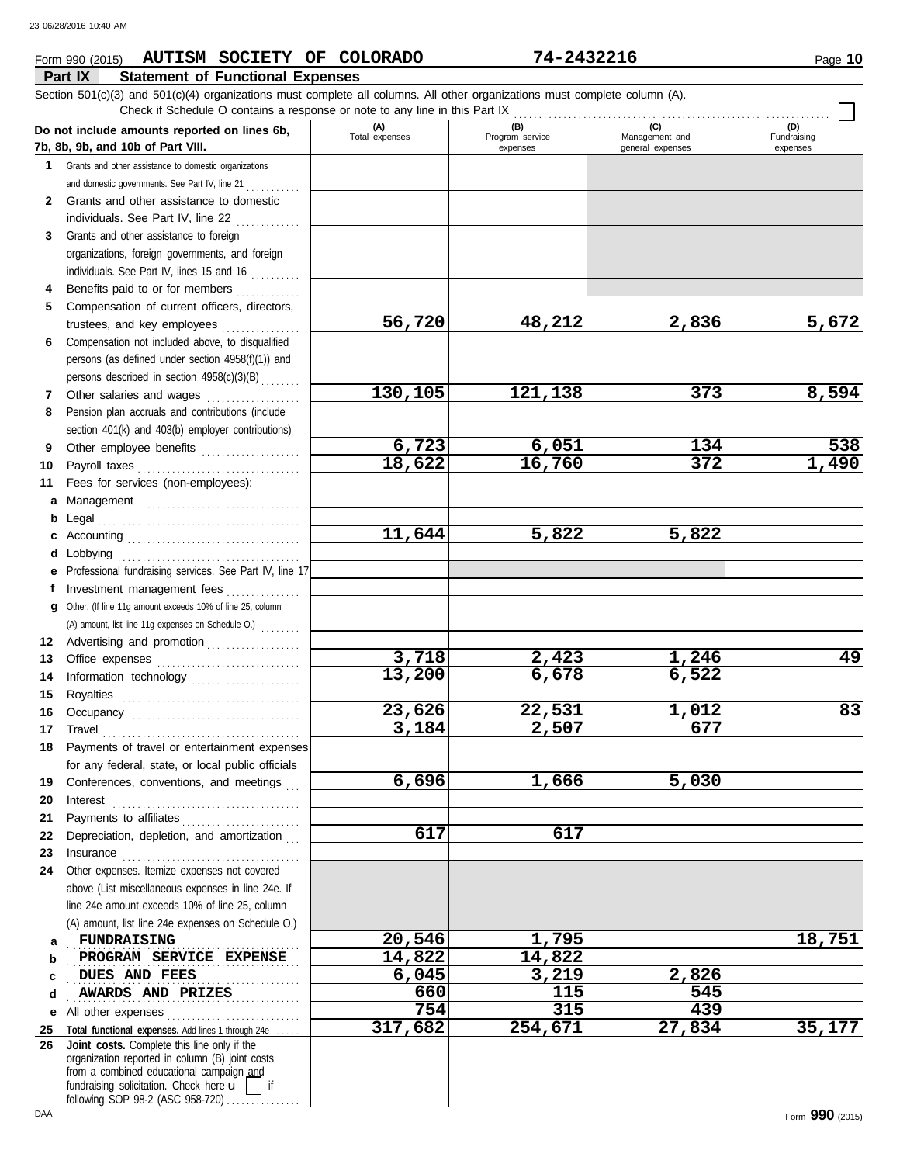#### **Part IX Statement of Functional Expenses** Form 990 (2015) Page **10 AUTISM SOCIETY OF COLORADO 74-2432216**

|              | Section 501(c)(3) and 501(c)(4) organizations must complete all columns. All other organizations must complete column (A).<br>Check if Schedule O contains a response or note to any line in this Part IX                                                     |                       |                             |                                    |                         |
|--------------|---------------------------------------------------------------------------------------------------------------------------------------------------------------------------------------------------------------------------------------------------------------|-----------------------|-----------------------------|------------------------------------|-------------------------|
|              | Do not include amounts reported on lines 6b,                                                                                                                                                                                                                  | (A)<br>Total expenses | (B)                         | (C)                                | (D)                     |
|              | 7b, 8b, 9b, and 10b of Part VIII.                                                                                                                                                                                                                             |                       | Program service<br>expenses | Management and<br>general expenses | Fundraising<br>expenses |
| $\mathbf{1}$ | Grants and other assistance to domestic organizations                                                                                                                                                                                                         |                       |                             |                                    |                         |
|              | and domestic governments. See Part IV, line 21                                                                                                                                                                                                                |                       |                             |                                    |                         |
| $\mathbf{2}$ | Grants and other assistance to domestic                                                                                                                                                                                                                       |                       |                             |                                    |                         |
|              | individuals. See Part IV, line 22                                                                                                                                                                                                                             |                       |                             |                                    |                         |
| 3            | Grants and other assistance to foreign                                                                                                                                                                                                                        |                       |                             |                                    |                         |
|              | organizations, foreign governments, and foreign                                                                                                                                                                                                               |                       |                             |                                    |                         |
|              | individuals. See Part IV, lines 15 and 16                                                                                                                                                                                                                     |                       |                             |                                    |                         |
| 4            | Benefits paid to or for members                                                                                                                                                                                                                               |                       |                             |                                    |                         |
| 5            | Compensation of current officers, directors,                                                                                                                                                                                                                  |                       |                             |                                    |                         |
|              | trustees, and key employees<br>an an India an Aonaichte an Aonaichte an Aonaichte an Aonaichte an Aonaichte an Aonaichte an Aonaichte an Aonaichte an Aonaichte an Aonaichte an Aonaichte an Aonaichte an Aonaichte an Aonaichte an Aonaichte an Aonaichte an | 56,720                | 48,212                      | 2,836                              | 5,672                   |
| 6            | Compensation not included above, to disqualified                                                                                                                                                                                                              |                       |                             |                                    |                         |
|              | persons (as defined under section 4958(f)(1)) and                                                                                                                                                                                                             |                       |                             |                                    |                         |
|              | persons described in section 4958(c)(3)(B)                                                                                                                                                                                                                    |                       |                             |                                    |                         |
| 7            | Other salaries and wages                                                                                                                                                                                                                                      | 130,105               | 121,138                     | 373                                | 8,594                   |
| 8            | Pension plan accruals and contributions (include                                                                                                                                                                                                              |                       |                             |                                    |                         |
|              | section 401(k) and 403(b) employer contributions)                                                                                                                                                                                                             |                       |                             |                                    |                         |
| 9            | Other employee benefits                                                                                                                                                                                                                                       | 6,723                 | 6,051                       | 134                                | 538                     |
| 10           |                                                                                                                                                                                                                                                               | 18,622                | 16,760                      | 372                                | 1,490                   |
| 11           | Fees for services (non-employees):                                                                                                                                                                                                                            |                       |                             |                                    |                         |
| a            | Management                                                                                                                                                                                                                                                    |                       |                             |                                    |                         |
| b            |                                                                                                                                                                                                                                                               |                       |                             |                                    |                         |
|              |                                                                                                                                                                                                                                                               | 11,644                | 5,822                       | 5,822                              |                         |
| d            | Lobbying                                                                                                                                                                                                                                                      |                       |                             |                                    |                         |
|              | Professional fundraising services. See Part IV, line 17                                                                                                                                                                                                       |                       |                             |                                    |                         |
| f            | Investment management fees                                                                                                                                                                                                                                    |                       |                             |                                    |                         |
| q            | Other. (If line 11g amount exceeds 10% of line 25, column                                                                                                                                                                                                     |                       |                             |                                    |                         |
|              | (A) amount, list line 11g expenses on Schedule O.)                                                                                                                                                                                                            |                       |                             |                                    |                         |
| 12<br>13     | Advertising and promotion                                                                                                                                                                                                                                     | 3,718                 | 2,423                       | 1,246                              | 49                      |
| 14           | Information technology                                                                                                                                                                                                                                        | 13,200                | 6,678                       | 6,522                              |                         |
| 15           |                                                                                                                                                                                                                                                               |                       |                             |                                    |                         |
| 16           |                                                                                                                                                                                                                                                               | 23,626                | 22,531                      | 1,012                              | 83                      |
| 17           |                                                                                                                                                                                                                                                               | 3,184                 | 2,507                       | 677                                |                         |
| 18           | Payments of travel or entertainment expenses                                                                                                                                                                                                                  |                       |                             |                                    |                         |
|              | for any federal, state, or local public officials                                                                                                                                                                                                             |                       |                             |                                    |                         |
| 19           | Conferences, conventions, and meetings                                                                                                                                                                                                                        | 6,696                 | 1,666                       | 5,030                              |                         |
| 20           |                                                                                                                                                                                                                                                               |                       |                             |                                    |                         |
| 21           |                                                                                                                                                                                                                                                               |                       |                             |                                    |                         |
| 22           | Depreciation, depletion, and amortization                                                                                                                                                                                                                     | 617                   | 617                         |                                    |                         |
| 23           |                                                                                                                                                                                                                                                               |                       |                             |                                    |                         |
| 24           | Other expenses. Itemize expenses not covered                                                                                                                                                                                                                  |                       |                             |                                    |                         |
|              | above (List miscellaneous expenses in line 24e. If                                                                                                                                                                                                            |                       |                             |                                    |                         |
|              | line 24e amount exceeds 10% of line 25, column                                                                                                                                                                                                                |                       |                             |                                    |                         |
|              | (A) amount, list line 24e expenses on Schedule O.)                                                                                                                                                                                                            |                       |                             |                                    |                         |
| a            | <b>FUNDRAISING</b>                                                                                                                                                                                                                                            | 20,546                | 1,795                       |                                    | 18,751                  |
| b            | PROGRAM SERVICE EXPENSE                                                                                                                                                                                                                                       | 14,822                | 14,822                      |                                    |                         |
| с            | DUES AND FEES                                                                                                                                                                                                                                                 | 6,045                 | 3,219                       | 2,826                              |                         |
| d            | AWARDS AND PRIZES                                                                                                                                                                                                                                             | 660                   | 115                         | 545                                |                         |
| е            | All other expenses                                                                                                                                                                                                                                            | 754                   | 315                         | 439                                |                         |
| 25           | Total functional expenses. Add lines 1 through 24e                                                                                                                                                                                                            | 317,682               | 254,671                     | 27,834                             | 35,177                  |
| 26           | Joint costs. Complete this line only if the<br>organization reported in column (B) joint costs<br>from a combined educational campaign and<br>fundraising solicitation. Check here u<br>if<br>following SOP 98-2 (ASC 958-720)                                |                       |                             |                                    |                         |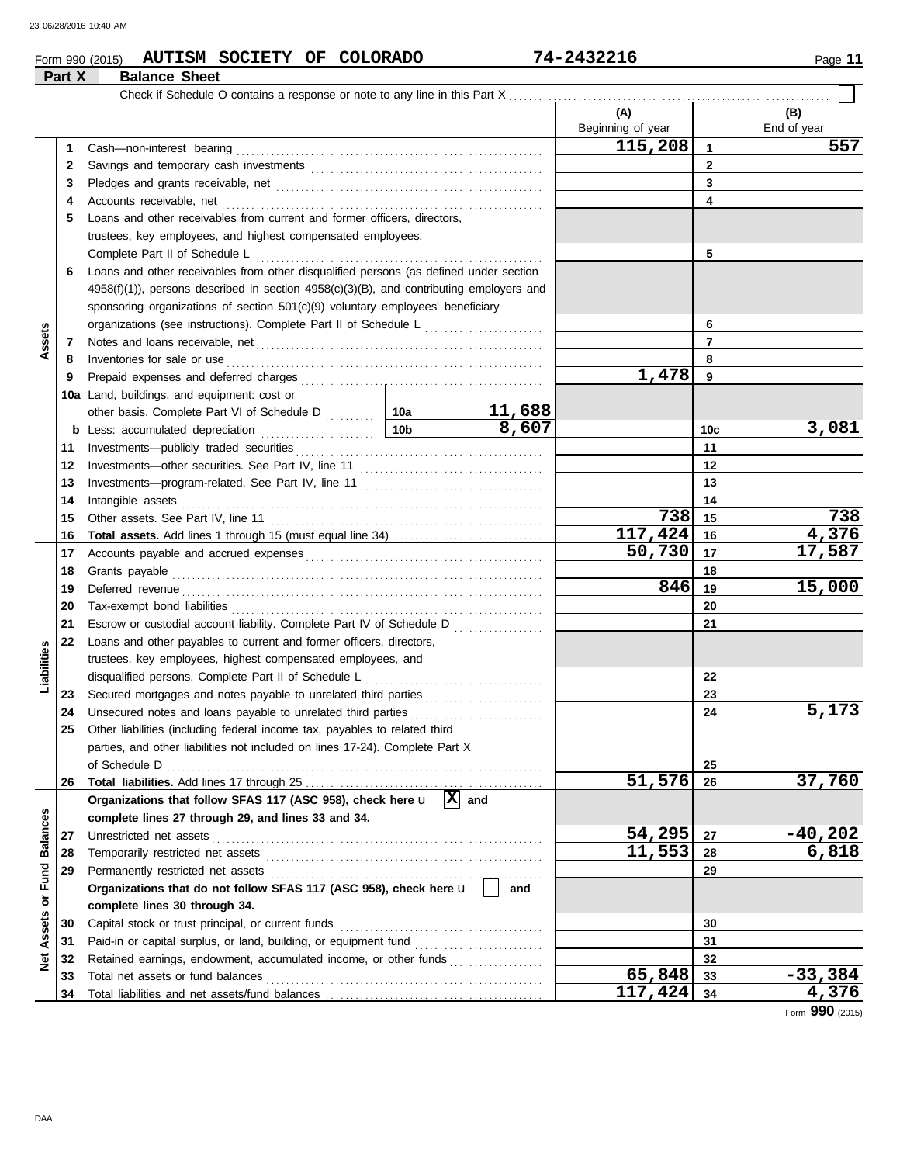**Part X Balance Sheet**

### Form 990 (2015) Page **11 AUTISM SOCIETY OF COLORADO 74-2432216**

|                 |    |                                                                                                                                                                                                                                     |        | (A)               |              | (B)         |
|-----------------|----|-------------------------------------------------------------------------------------------------------------------------------------------------------------------------------------------------------------------------------------|--------|-------------------|--------------|-------------|
|                 |    |                                                                                                                                                                                                                                     |        | Beginning of year |              | End of year |
|                 | 1  |                                                                                                                                                                                                                                     |        | 115,208           | $\mathbf{1}$ | 557         |
|                 | 2  |                                                                                                                                                                                                                                     |        |                   | $\mathbf{2}$ |             |
|                 | 3  |                                                                                                                                                                                                                                     |        |                   | 3            |             |
|                 | 4  |                                                                                                                                                                                                                                     |        |                   | 4            |             |
|                 | 5  | Loans and other receivables from current and former officers, directors,                                                                                                                                                            |        |                   |              |             |
|                 |    | trustees, key employees, and highest compensated employees.                                                                                                                                                                         |        |                   |              |             |
|                 |    |                                                                                                                                                                                                                                     |        |                   | 5            |             |
|                 | 6  | Loans and other receivables from other disqualified persons (as defined under section                                                                                                                                               |        |                   |              |             |
|                 |    | 4958(f)(1)), persons described in section 4958(c)(3)(B), and contributing employers and                                                                                                                                             |        |                   |              |             |
|                 |    | sponsoring organizations of section 501(c)(9) voluntary employees' beneficiary                                                                                                                                                      |        |                   |              |             |
|                 |    | organizations (see instructions). Complete Part II of Schedule L                                                                                                                                                                    |        |                   | 6            |             |
| Assets          | 7  |                                                                                                                                                                                                                                     |        |                   | 7            |             |
|                 | 8  | Inventories for sale or use <i>communication</i> and the state of the state or use of the state of the state of the state of the state of the state of the state of the state of the state of the state of the state of the state o |        |                   | 8            |             |
|                 | 9  |                                                                                                                                                                                                                                     |        | 1,478             | 9            |             |
|                 |    | 10a Land, buildings, and equipment: cost or                                                                                                                                                                                         |        |                   |              |             |
|                 |    | other basis. Complete Part VI of Schedule D  10a                                                                                                                                                                                    | 11,688 |                   |              |             |
|                 |    |                                                                                                                                                                                                                                     | 8,607  |                   | 10c          | 3,081       |
|                 | 11 |                                                                                                                                                                                                                                     |        |                   | 11           |             |
|                 | 12 |                                                                                                                                                                                                                                     |        |                   | 12           |             |
|                 | 13 |                                                                                                                                                                                                                                     |        |                   | 13           |             |
|                 | 14 | Intangible assets with a state of the contract of the state of the state of the state of the state of the state of the state of the state of the state of the state of the state of the state of the state of the state of the      |        |                   | 14           |             |
|                 | 15 |                                                                                                                                                                                                                                     |        | 738               | 15           | 738         |
|                 | 16 |                                                                                                                                                                                                                                     |        | 117,424           | 16           | 4,376       |
|                 | 17 |                                                                                                                                                                                                                                     |        | 50,730            | 17           | 17,587      |
|                 | 18 |                                                                                                                                                                                                                                     |        |                   | 18           |             |
|                 | 19 |                                                                                                                                                                                                                                     |        | 846               | 19           | 15,000      |
|                 | 20 |                                                                                                                                                                                                                                     |        |                   | 20           |             |
|                 | 21 | Escrow or custodial account liability. Complete Part IV of Schedule D                                                                                                                                                               |        |                   | 21           |             |
|                 | 22 | Loans and other payables to current and former officers, directors,                                                                                                                                                                 |        |                   |              |             |
| Liabilities     |    | trustees, key employees, highest compensated employees, and                                                                                                                                                                         |        |                   |              |             |
|                 |    |                                                                                                                                                                                                                                     |        |                   | 22           |             |
|                 | 23 | Secured mortgages and notes payable to unrelated third parties                                                                                                                                                                      |        |                   | 23           |             |
|                 | 24 | Unsecured notes and loans payable to unrelated third parties                                                                                                                                                                        |        |                   | 24           | 5,173       |
|                 | 25 | Other liabilities (including federal income tax, payables to related third                                                                                                                                                          |        |                   |              |             |
|                 |    | parties, and other liabilities not included on lines 17-24). Complete Part X                                                                                                                                                        |        |                   |              |             |
|                 |    |                                                                                                                                                                                                                                     |        |                   | 25           |             |
|                 | 26 |                                                                                                                                                                                                                                     |        | 51,576            | 26           | 37,760      |
|                 |    | Organizations that follow SFAS 117 (ASC 958), check here $\mathbf{u}$ $\overline{X}$                                                                                                                                                | and    |                   |              |             |
|                 |    | complete lines 27 through 29, and lines 33 and 34.                                                                                                                                                                                  |        |                   |              |             |
| <b>Balances</b> | 27 | Unrestricted net assets                                                                                                                                                                                                             |        | 54,295            | 27           | $-40,202$   |
|                 | 28 |                                                                                                                                                                                                                                     |        | 11,553            | 28           | 6,818       |
| Fund            | 29 | Permanently restricted net assets                                                                                                                                                                                                   |        |                   | 29           |             |
| ŏ               |    | Organizations that do not follow SFAS 117 (ASC 958), check here u                                                                                                                                                                   | and    |                   |              |             |
|                 |    | complete lines 30 through 34.                                                                                                                                                                                                       |        |                   |              |             |
| Assets          | 30 | Capital stock or trust principal, or current funds                                                                                                                                                                                  |        |                   | 30           |             |
|                 | 31 |                                                                                                                                                                                                                                     |        |                   | 31           |             |
| <b>Net</b>      | 32 | Retained earnings, endowment, accumulated income, or other funds                                                                                                                                                                    |        |                   | 32           |             |
|                 | 33 | Total net assets or fund balances                                                                                                                                                                                                   |        | 65,848            | 33           | $-33,384$   |
|                 | 34 |                                                                                                                                                                                                                                     |        | 117,424           | 34           | 4,376       |

Form **990** (2015)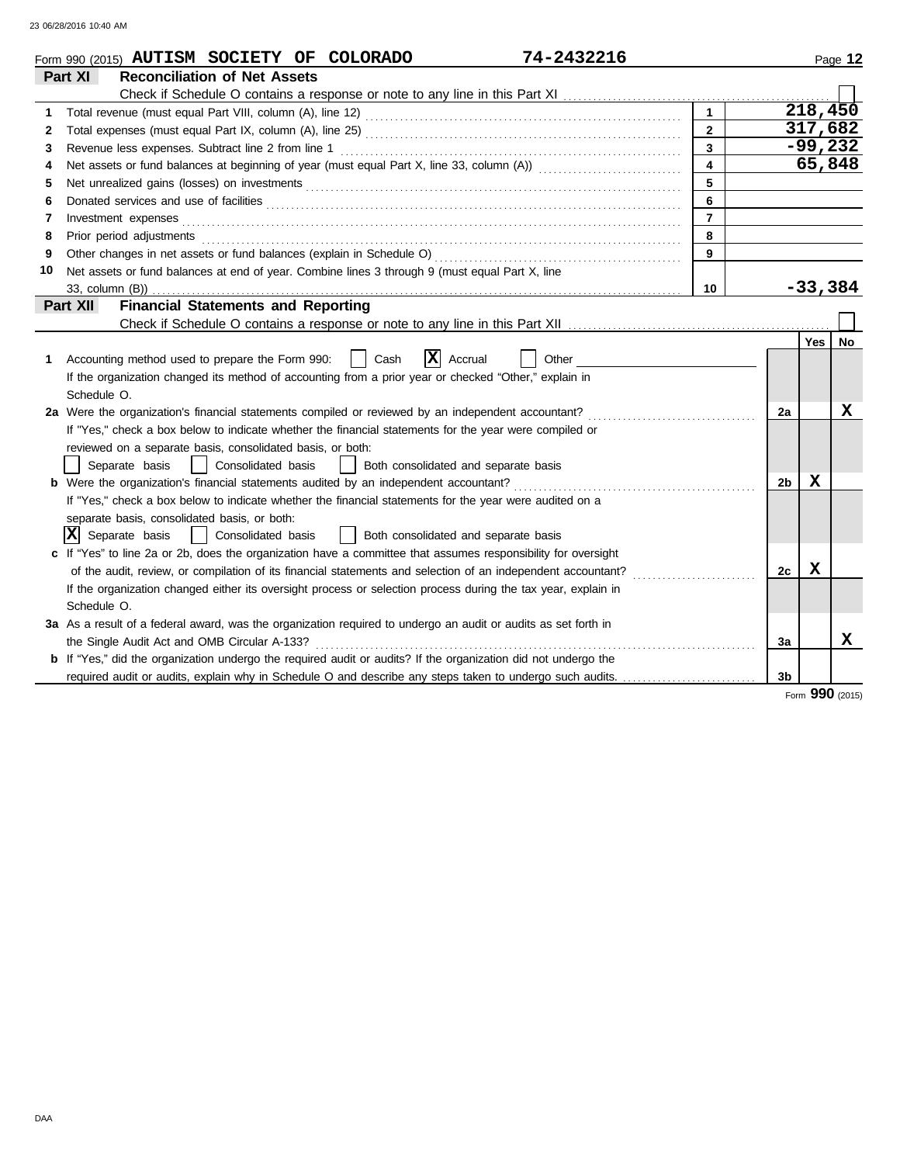|    | 74-2432216<br>Form 990 (2015) AUTISM SOCIETY OF COLORADO                                                                                                                                                                       |                         |                |             | Page 12   |
|----|--------------------------------------------------------------------------------------------------------------------------------------------------------------------------------------------------------------------------------|-------------------------|----------------|-------------|-----------|
|    | <b>Reconciliation of Net Assets</b><br>Part XI                                                                                                                                                                                 |                         |                |             |           |
|    |                                                                                                                                                                                                                                |                         |                |             |           |
| 1  |                                                                                                                                                                                                                                | $\mathbf{1}$            |                |             | 218,450   |
| 2  |                                                                                                                                                                                                                                | $\overline{2}$          |                |             | 317,682   |
| 3  | Revenue less expenses. Subtract line 2 from line 1                                                                                                                                                                             | $\overline{\mathbf{3}}$ |                |             | $-99,232$ |
| 4  | Net assets or fund balances at beginning of year (must equal Part X, line 33, column (A)) contational contact                                                                                                                  | $\overline{\mathbf{4}}$ |                |             | 65,848    |
| 5  |                                                                                                                                                                                                                                | 5                       |                |             |           |
| 6  | Donated services and use of facilities <b>constructs</b> and the service of the service of the service of facilities                                                                                                           | 6                       |                |             |           |
| 7  |                                                                                                                                                                                                                                | $\overline{7}$          |                |             |           |
| 8  | Prior period adjustments entertainments and a series of the series of the series of the series of the series of the series of the series of the series of the series of the series of the series of the series of the series o | 8                       |                |             |           |
| 9  |                                                                                                                                                                                                                                | $\mathbf{9}$            |                |             |           |
| 10 | Net assets or fund balances at end of year. Combine lines 3 through 9 (must equal Part X, line                                                                                                                                 |                         |                |             |           |
|    |                                                                                                                                                                                                                                | 10                      |                | $-33,384$   |           |
|    | <b>Financial Statements and Reporting</b><br><b>Part XII</b>                                                                                                                                                                   |                         |                |             |           |
|    |                                                                                                                                                                                                                                |                         |                |             |           |
|    |                                                                                                                                                                                                                                |                         |                | Yes         | No        |
| 1  | $ \mathbf{X} $ Accrual<br>Accounting method used to prepare the Form 990:<br>Cash<br>Other                                                                                                                                     |                         |                |             |           |
|    | If the organization changed its method of accounting from a prior year or checked "Other," explain in                                                                                                                          |                         |                |             |           |
|    | Schedule O.                                                                                                                                                                                                                    |                         |                |             |           |
|    | 2a Were the organization's financial statements compiled or reviewed by an independent accountant?                                                                                                                             |                         | 2a             |             | x         |
|    | If "Yes," check a box below to indicate whether the financial statements for the year were compiled or                                                                                                                         |                         |                |             |           |
|    | reviewed on a separate basis, consolidated basis, or both:                                                                                                                                                                     |                         |                |             |           |
|    | Separate basis     Consolidated basis<br>  Both consolidated and separate basis                                                                                                                                                |                         |                |             |           |
|    | <b>b</b> Were the organization's financial statements audited by an independent accountant?                                                                                                                                    |                         | 2 <sub>b</sub> | $\mathbf x$ |           |
|    | If "Yes," check a box below to indicate whether the financial statements for the year were audited on a                                                                                                                        |                         |                |             |           |
|    | separate basis, consolidated basis, or both:                                                                                                                                                                                   |                         |                |             |           |
|    | $ \mathbf{X} $ Separate basis<br>  Consolidated basis<br>  Both consolidated and separate basis                                                                                                                                |                         |                |             |           |
|    | c If "Yes" to line 2a or 2b, does the organization have a committee that assumes responsibility for oversight                                                                                                                  |                         |                |             |           |
|    | of the audit, review, or compilation of its financial statements and selection of an independent accountant?                                                                                                                   |                         | 2c             | x           |           |
|    | If the organization changed either its oversight process or selection process during the tax year, explain in                                                                                                                  |                         |                |             |           |
|    | Schedule O.                                                                                                                                                                                                                    |                         |                |             |           |
|    | 3a As a result of a federal award, was the organization required to undergo an audit or audits as set forth in                                                                                                                 |                         |                |             |           |
|    | the Single Audit Act and OMB Circular A-133?                                                                                                                                                                                   |                         | За             |             | X         |
|    | <b>b</b> If "Yes," did the organization undergo the required audit or audits? If the organization did not undergo the                                                                                                          |                         |                |             |           |
|    | required audit or audits, explain why in Schedule O and describe any steps taken to undergo such audits.                                                                                                                       |                         | 3 <sub>b</sub> |             |           |
|    |                                                                                                                                                                                                                                |                         |                |             |           |

Form **990** (2015)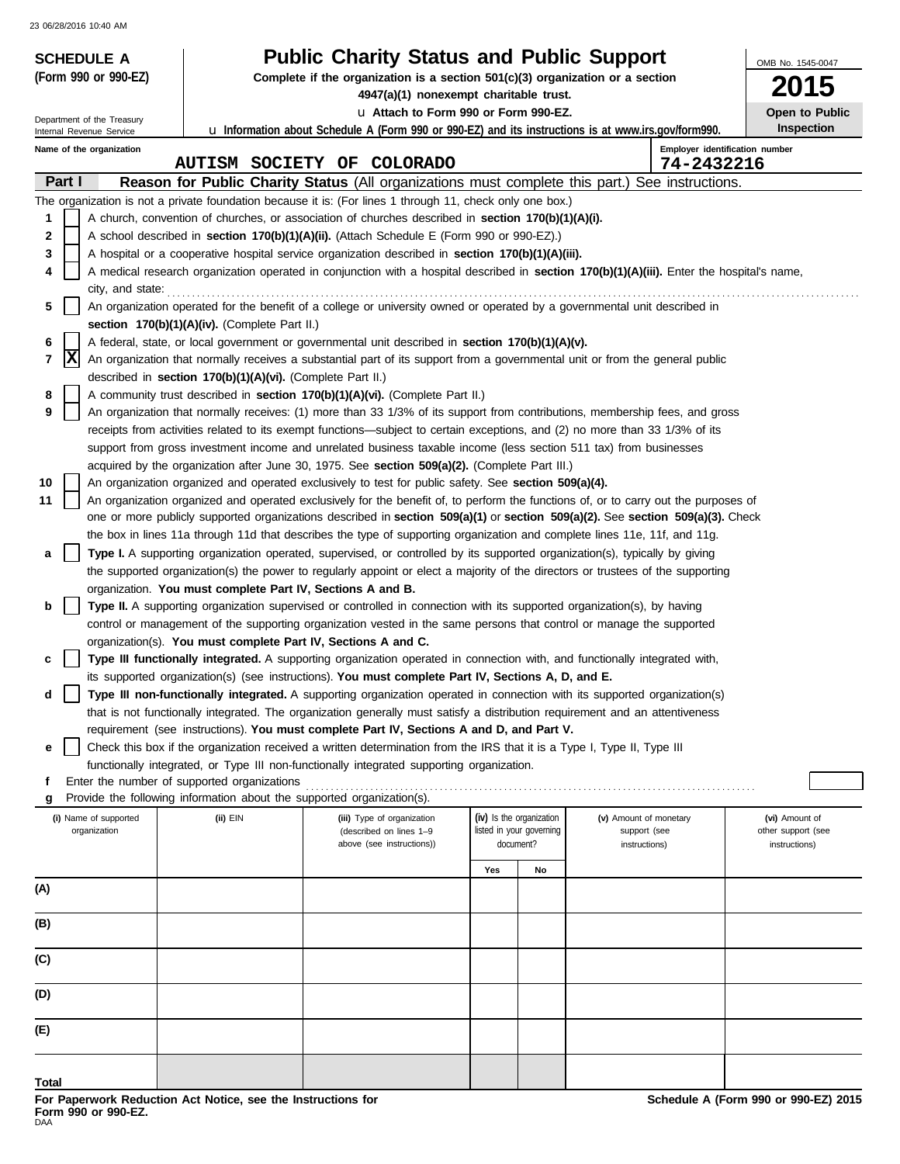| <b>SCHEDULE A</b>                                    |                                                                        | <b>Public Charity Status and Public Support</b>                                                                                                                                                                                                 |                                                      |    |                                        | OMB No. 1545-0047                    |
|------------------------------------------------------|------------------------------------------------------------------------|-------------------------------------------------------------------------------------------------------------------------------------------------------------------------------------------------------------------------------------------------|------------------------------------------------------|----|----------------------------------------|--------------------------------------|
| (Form 990 or 990-EZ)                                 |                                                                        | Complete if the organization is a section $501(c)(3)$ organization or a section                                                                                                                                                                 |                                                      |    |                                        | 015                                  |
|                                                      |                                                                        | 4947(a)(1) nonexempt charitable trust.                                                                                                                                                                                                          |                                                      |    |                                        |                                      |
| Department of the Treasury                           |                                                                        | La Attach to Form 990 or Form 990-EZ.<br><b>u</b> Information about Schedule A (Form 990 or 990-EZ) and its instructions is at www.irs.gov/form990.                                                                                             |                                                      |    |                                        | Open to Public<br>Inspection         |
| Internal Revenue Service<br>Name of the organization |                                                                        |                                                                                                                                                                                                                                                 |                                                      |    |                                        | Employer identification number       |
|                                                      |                                                                        | AUTISM SOCIETY OF COLORADO                                                                                                                                                                                                                      |                                                      |    | 74-2432216                             |                                      |
| Part I                                               |                                                                        | Reason for Public Charity Status (All organizations must complete this part.) See instructions.                                                                                                                                                 |                                                      |    |                                        |                                      |
|                                                      |                                                                        | The organization is not a private foundation because it is: (For lines 1 through 11, check only one box.)                                                                                                                                       |                                                      |    |                                        |                                      |
| 1                                                    |                                                                        | A church, convention of churches, or association of churches described in <b>section 170(b)(1)(A)(i).</b>                                                                                                                                       |                                                      |    |                                        |                                      |
| 2                                                    |                                                                        | A school described in section 170(b)(1)(A)(ii). (Attach Schedule E (Form 990 or 990-EZ).)                                                                                                                                                       |                                                      |    |                                        |                                      |
| 3<br>4                                               |                                                                        | A hospital or a cooperative hospital service organization described in section 170(b)(1)(A)(iii).<br>A medical research organization operated in conjunction with a hospital described in section 170(b)(1)(A)(iii). Enter the hospital's name, |                                                      |    |                                        |                                      |
| city, and state:                                     |                                                                        |                                                                                                                                                                                                                                                 |                                                      |    |                                        |                                      |
| 5                                                    |                                                                        | An organization operated for the benefit of a college or university owned or operated by a governmental unit described in                                                                                                                       |                                                      |    |                                        |                                      |
|                                                      | section 170(b)(1)(A)(iv). (Complete Part II.)                          |                                                                                                                                                                                                                                                 |                                                      |    |                                        |                                      |
| 6                                                    |                                                                        | A federal, state, or local government or governmental unit described in section 170(b)(1)(A)(v).                                                                                                                                                |                                                      |    |                                        |                                      |
| X<br>7                                               | described in section 170(b)(1)(A)(vi). (Complete Part II.)             | An organization that normally receives a substantial part of its support from a governmental unit or from the general public                                                                                                                    |                                                      |    |                                        |                                      |
| 8                                                    |                                                                        | A community trust described in section 170(b)(1)(A)(vi). (Complete Part II.)                                                                                                                                                                    |                                                      |    |                                        |                                      |
| 9                                                    |                                                                        | An organization that normally receives: (1) more than 33 1/3% of its support from contributions, membership fees, and gross                                                                                                                     |                                                      |    |                                        |                                      |
|                                                      |                                                                        | receipts from activities related to its exempt functions—subject to certain exceptions, and (2) no more than 33 1/3% of its                                                                                                                     |                                                      |    |                                        |                                      |
|                                                      |                                                                        | support from gross investment income and unrelated business taxable income (less section 511 tax) from businesses                                                                                                                               |                                                      |    |                                        |                                      |
|                                                      |                                                                        | acquired by the organization after June 30, 1975. See section 509(a)(2). (Complete Part III.)                                                                                                                                                   |                                                      |    |                                        |                                      |
| 10<br>11                                             |                                                                        | An organization organized and operated exclusively to test for public safety. See section 509(a)(4).<br>An organization organized and operated exclusively for the benefit of, to perform the functions of, or to carry out the purposes of     |                                                      |    |                                        |                                      |
|                                                      |                                                                        | one or more publicly supported organizations described in section 509(a)(1) or section 509(a)(2). See section 509(a)(3). Check                                                                                                                  |                                                      |    |                                        |                                      |
|                                                      |                                                                        | the box in lines 11a through 11d that describes the type of supporting organization and complete lines 11e, 11f, and 11g.                                                                                                                       |                                                      |    |                                        |                                      |
| a                                                    |                                                                        | Type I. A supporting organization operated, supervised, or controlled by its supported organization(s), typically by giving                                                                                                                     |                                                      |    |                                        |                                      |
|                                                      |                                                                        | the supported organization(s) the power to regularly appoint or elect a majority of the directors or trustees of the supporting                                                                                                                 |                                                      |    |                                        |                                      |
| b                                                    | organization. You must complete Part IV, Sections A and B.             | Type II. A supporting organization supervised or controlled in connection with its supported organization(s), by having                                                                                                                         |                                                      |    |                                        |                                      |
|                                                      |                                                                        | control or management of the supporting organization vested in the same persons that control or manage the supported                                                                                                                            |                                                      |    |                                        |                                      |
|                                                      | organization(s). You must complete Part IV, Sections A and C.          |                                                                                                                                                                                                                                                 |                                                      |    |                                        |                                      |
| c                                                    |                                                                        | Type III functionally integrated. A supporting organization operated in connection with, and functionally integrated with,                                                                                                                      |                                                      |    |                                        |                                      |
|                                                      |                                                                        | its supported organization(s) (see instructions). You must complete Part IV, Sections A, D, and E.                                                                                                                                              |                                                      |    |                                        |                                      |
| d                                                    |                                                                        | Type III non-functionally integrated. A supporting organization operated in connection with its supported organization(s)                                                                                                                       |                                                      |    |                                        |                                      |
|                                                      |                                                                        | that is not functionally integrated. The organization generally must satisfy a distribution requirement and an attentiveness<br>requirement (see instructions). You must complete Part IV, Sections A and D, and Part V.                        |                                                      |    |                                        |                                      |
| е                                                    |                                                                        | Check this box if the organization received a written determination from the IRS that it is a Type I, Type II, Type III                                                                                                                         |                                                      |    |                                        |                                      |
|                                                      |                                                                        | functionally integrated, or Type III non-functionally integrated supporting organization.                                                                                                                                                       |                                                      |    |                                        |                                      |
| f                                                    | Enter the number of supported organizations                            |                                                                                                                                                                                                                                                 |                                                      |    |                                        |                                      |
|                                                      | Provide the following information about the supported organization(s). |                                                                                                                                                                                                                                                 |                                                      |    |                                        |                                      |
| (i) Name of supported<br>organization                | (ii) EIN                                                               | (iii) Type of organization<br>(described on lines 1-9                                                                                                                                                                                           | (iv) Is the organization<br>listed in your governing |    | (v) Amount of monetary<br>support (see | (vi) Amount of<br>other support (see |
|                                                      |                                                                        | above (see instructions))                                                                                                                                                                                                                       | document?                                            |    | instructions)                          | instructions)                        |
|                                                      |                                                                        |                                                                                                                                                                                                                                                 | Yes                                                  | No |                                        |                                      |
| (A)                                                  |                                                                        |                                                                                                                                                                                                                                                 |                                                      |    |                                        |                                      |
| (B)                                                  |                                                                        |                                                                                                                                                                                                                                                 |                                                      |    |                                        |                                      |
|                                                      |                                                                        |                                                                                                                                                                                                                                                 |                                                      |    |                                        |                                      |
| (C)                                                  |                                                                        |                                                                                                                                                                                                                                                 |                                                      |    |                                        |                                      |
| (D)                                                  |                                                                        |                                                                                                                                                                                                                                                 |                                                      |    |                                        |                                      |
| (E)                                                  |                                                                        |                                                                                                                                                                                                                                                 |                                                      |    |                                        |                                      |
|                                                      |                                                                        |                                                                                                                                                                                                                                                 |                                                      |    |                                        |                                      |
| Total                                                |                                                                        |                                                                                                                                                                                                                                                 |                                                      |    |                                        |                                      |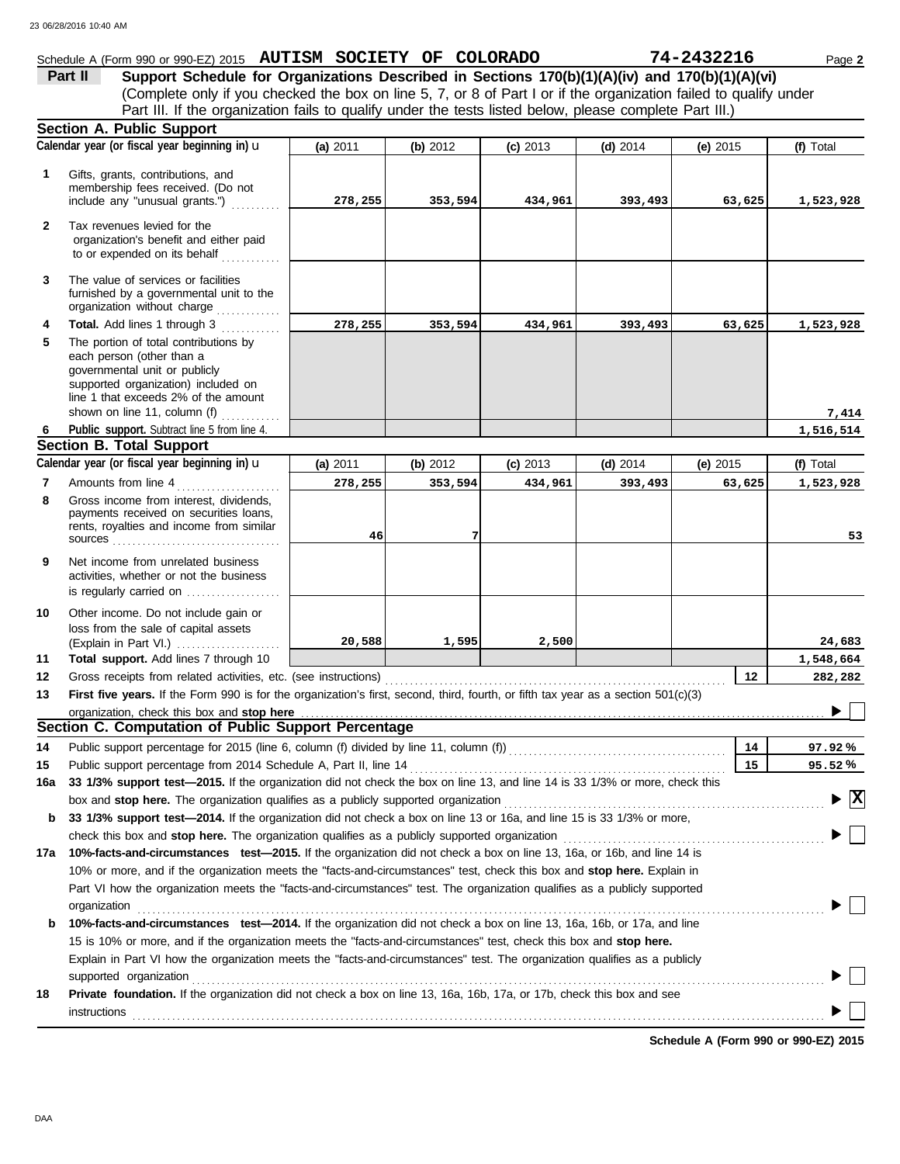# Schedule A (Form 990 or 990-EZ) 2015 **AUTISM SOCIETY OF COLORADO 74-2432216** Page 2

(Complete only if you checked the box on line 5, 7, or 8 of Part I or if the organization failed to qualify under **Part II** Support Schedule for Organizations Described in Sections 170(b)(1)(A)(iv) and 170(b)(1)(A)(vi) Part III. If the organization fails to qualify under the tests listed below, please complete Part III.)

|              | <b>Section A. Public Support</b>                                                                                                                                                                                                                          |          |          |            |            |          |                                          |
|--------------|-----------------------------------------------------------------------------------------------------------------------------------------------------------------------------------------------------------------------------------------------------------|----------|----------|------------|------------|----------|------------------------------------------|
|              | Calendar year (or fiscal year beginning in) u                                                                                                                                                                                                             | (a) 2011 | (b) 2012 | $(c)$ 2013 | $(d)$ 2014 | (e) 2015 | (f) Total                                |
| $\mathbf{1}$ | Gifts, grants, contributions, and<br>membership fees received. (Do not<br>include any "unusual grants.")                                                                                                                                                  | 278,255  | 353,594  | 434,961    | 393,493    | 63,625   | 1,523,928                                |
| $\mathbf{2}$ | Tax revenues levied for the<br>organization's benefit and either paid<br>to or expended on its behalf                                                                                                                                                     |          |          |            |            |          |                                          |
| 3            | The value of services or facilities<br>furnished by a governmental unit to the<br>organization without charge                                                                                                                                             |          |          |            |            |          |                                          |
| 4<br>5       | <b>Total.</b> Add lines 1 through 3<br>The portion of total contributions by<br>each person (other than a<br>governmental unit or publicly<br>supported organization) included on<br>line 1 that exceeds 2% of the amount<br>shown on line 11, column (f) | 278,255  | 353,594  | 434,961    | 393,493    | 63,625   | 1,523,928                                |
|              |                                                                                                                                                                                                                                                           |          |          |            |            |          | 7,414                                    |
| 6            | Public support. Subtract line 5 from line 4.                                                                                                                                                                                                              |          |          |            |            |          | 1,516,514                                |
|              | <b>Section B. Total Support</b>                                                                                                                                                                                                                           |          |          |            |            |          |                                          |
|              | Calendar year (or fiscal year beginning in) u                                                                                                                                                                                                             | (a) 2011 | (b) 2012 | $(c)$ 2013 | $(d)$ 2014 | (e) 2015 | (f) Total                                |
| 7<br>8       | Amounts from line 4<br>Gross income from interest, dividends,                                                                                                                                                                                             | 278,255  | 353,594  | 434,961    | 393,493    | 63,625   | 1,523,928                                |
|              | payments received on securities loans,<br>rents, royalties and income from similar<br>SOUICES                                                                                                                                                             | 46       |          |            |            |          | 53                                       |
| 9            | Net income from unrelated business<br>activities, whether or not the business<br>is regularly carried on                                                                                                                                                  |          |          |            |            |          |                                          |
| 10           | Other income. Do not include gain or<br>loss from the sale of capital assets<br>(Explain in Part VI.)                                                                                                                                                     | 20,588   | 1,595    | 2,500      |            |          | 24,683                                   |
| 11           | Total support. Add lines 7 through 10                                                                                                                                                                                                                     |          |          |            |            |          | 1,548,664                                |
| 12           | Gross receipts from related activities, etc. (see instructions)                                                                                                                                                                                           |          |          |            |            | 12       | 282,282                                  |
| 13           | First five years. If the Form 990 is for the organization's first, second, third, fourth, or fifth tax year as a section 501(c)(3)                                                                                                                        |          |          |            |            |          |                                          |
|              |                                                                                                                                                                                                                                                           |          |          |            |            |          |                                          |
|              | Section C. Computation of Public Support Percentage                                                                                                                                                                                                       |          |          |            |            |          |                                          |
| 14           | Public support percentage for 2015 (line 6, column (f) divided by line 11, column (f) [[[[[[[[[[[[[[[[[[[[[[[                                                                                                                                             |          |          |            |            | 14       | 97.92%                                   |
| 15           |                                                                                                                                                                                                                                                           |          |          |            |            | 15       | 95.52%                                   |
|              | 16a 33 1/3% support test-2015. If the organization did not check the box on line 13, and line 14 is 33 1/3% or more, check this                                                                                                                           |          |          |            |            |          |                                          |
|              | box and stop here. The organization qualifies as a publicly supported organization                                                                                                                                                                        |          |          |            |            |          | $\blacktriangleright$ $\boxed{\text{X}}$ |
|              | b 33 1/3% support test-2014. If the organization did not check a box on line 13 or 16a, and line 15 is 33 1/3% or more,                                                                                                                                   |          |          |            |            |          |                                          |
|              |                                                                                                                                                                                                                                                           |          |          |            |            |          |                                          |
| 17а          | 10%-facts-and-circumstances test-2015. If the organization did not check a box on line 13, 16a, or 16b, and line 14 is                                                                                                                                    |          |          |            |            |          |                                          |
|              | 10% or more, and if the organization meets the "facts-and-circumstances" test, check this box and stop here. Explain in                                                                                                                                   |          |          |            |            |          |                                          |
|              | Part VI how the organization meets the "facts-and-circumstances" test. The organization qualifies as a publicly supported                                                                                                                                 |          |          |            |            |          |                                          |
|              | organization www.commutation.com/www.commutation.com/www.commutation.com/www.commutation.com/www.commutation.com                                                                                                                                          |          |          |            |            |          |                                          |
| b            | 10%-facts-and-circumstances test-2014. If the organization did not check a box on line 13, 16a, 16b, or 17a, and line                                                                                                                                     |          |          |            |            |          |                                          |
|              | 15 is 10% or more, and if the organization meets the "facts-and-circumstances" test, check this box and stop here.                                                                                                                                        |          |          |            |            |          |                                          |
|              | Explain in Part VI how the organization meets the "facts-and-circumstances" test. The organization qualifies as a publicly                                                                                                                                |          |          |            |            |          |                                          |
|              | supported organization with an account of the contract or contract or contract or contract or contract or contract or contract or contract or contract or contract or contract or contract or contract or contract or contract                            |          |          |            |            |          |                                          |
| 18           | Private foundation. If the organization did not check a box on line 13, 16a, 16b, 17a, or 17b, check this box and see                                                                                                                                     |          |          |            |            |          |                                          |
|              | instructions                                                                                                                                                                                                                                              |          |          |            |            |          |                                          |

**Schedule A (Form 990 or 990-EZ) 2015**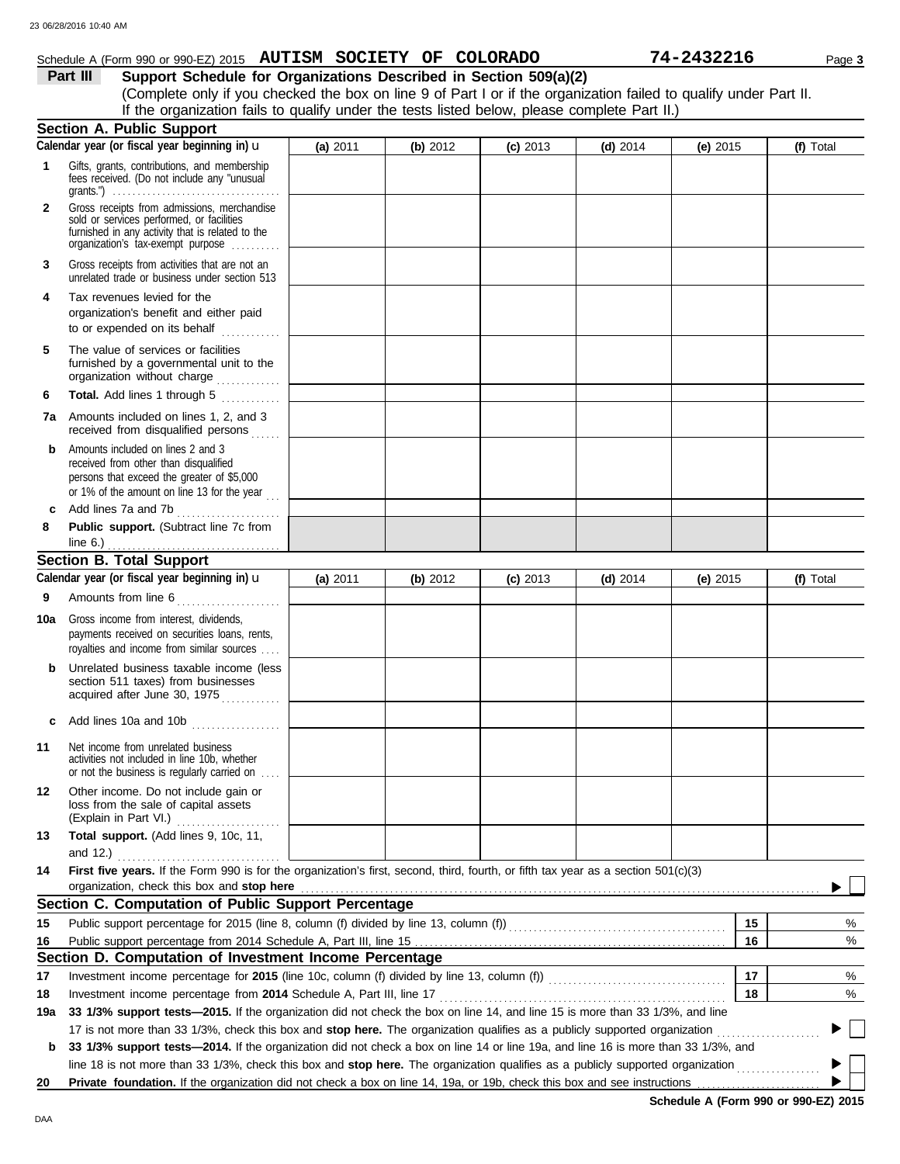### Schedule A (Form 990 or 990-EZ) 2015 **AUTISM SOCIETY OF COLORADO 74-2432216** Page 3

**Part III Support Schedule for Organizations Described in Section 509(a)(2)** (Complete only if you checked the box on line 9 of Part I or if the organization failed to qualify under Part II. If the organization fails to qualify under the tests listed below, please complete Part II.)

|              | <b>Section A. Public Support</b>                                                                                                                                                                                                                                     |          |          |            |            |            |           |
|--------------|----------------------------------------------------------------------------------------------------------------------------------------------------------------------------------------------------------------------------------------------------------------------|----------|----------|------------|------------|------------|-----------|
|              | Calendar year (or fiscal year beginning in) u                                                                                                                                                                                                                        | (a) 2011 | (b) 2012 | $(c)$ 2013 | $(d)$ 2014 | (e) $2015$ | (f) Total |
| 1            | Gifts, grants, contributions, and membership<br>fees received. (Do not include any "unusual                                                                                                                                                                          |          |          |            |            |            |           |
| $\mathbf{2}$ | Gross receipts from admissions, merchandise<br>sold or services performed, or facilities<br>furnished in any activity that is related to the<br>organization's tax-exempt purpose                                                                                    |          |          |            |            |            |           |
| 3            | Gross receipts from activities that are not an<br>unrelated trade or business under section 513                                                                                                                                                                      |          |          |            |            |            |           |
| 4            | Tax revenues levied for the<br>organization's benefit and either paid<br>to or expended on its behalf                                                                                                                                                                |          |          |            |            |            |           |
| 5            | The value of services or facilities<br>furnished by a governmental unit to the<br>organization without charge                                                                                                                                                        |          |          |            |            |            |           |
| 6            | Total. Add lines 1 through 5                                                                                                                                                                                                                                         |          |          |            |            |            |           |
| 7а           | Amounts included on lines 1, 2, and 3<br>received from disqualified persons<br>.                                                                                                                                                                                     |          |          |            |            |            |           |
| b            | Amounts included on lines 2 and 3<br>received from other than disqualified<br>persons that exceed the greater of \$5,000<br>or 1% of the amount on line 13 for the year $\begin{bmatrix} 1 & 1 \\ 1 & 1 \end{bmatrix}$                                               |          |          |            |            |            |           |
| c            | Add lines 7a and 7b<br>.                                                                                                                                                                                                                                             |          |          |            |            |            |           |
| 8            | Public support. (Subtract line 7c from                                                                                                                                                                                                                               |          |          |            |            |            |           |
|              | <b>Section B. Total Support</b>                                                                                                                                                                                                                                      |          |          |            |            |            |           |
|              | Calendar year (or fiscal year beginning in) u                                                                                                                                                                                                                        | (a) 2011 | (b) 2012 | $(c)$ 2013 | (d) $2014$ | (e) $2015$ | (f) Total |
| 9            | Amounts from line 6<br>.                                                                                                                                                                                                                                             |          |          |            |            |            |           |
| 10a          | Gross income from interest, dividends,<br>payments received on securities loans, rents,<br>royalties and income from similar sources                                                                                                                                 |          |          |            |            |            |           |
| b            | Unrelated business taxable income (less<br>section 511 taxes) from businesses<br>acquired after June 30, 1975                                                                                                                                                        |          |          |            |            |            |           |
|              | Add lines 10a and 10b                                                                                                                                                                                                                                                |          |          |            |            |            |           |
| 11           | Net income from unrelated business<br>activities not included in line 10b, whether<br>or not the business is regularly carried on                                                                                                                                    |          |          |            |            |            |           |
| 12           | Other income. Do not include gain or<br>loss from the sale of capital assets                                                                                                                                                                                         |          |          |            |            |            |           |
| 13           | Total support. (Add lines 9, 10c, 11,<br>and 12.) <u></u> L                                                                                                                                                                                                          |          |          |            |            |            |           |
| 14           | First five years. If the Form 990 is for the organization's first, second, third, fourth, or fifth tax year as a section 501(c)(3)<br>organization, check this box and stop here                                                                                     |          |          |            |            |            |           |
|              | Section C. Computation of Public Support Percentage                                                                                                                                                                                                                  |          |          |            |            |            |           |
| 15           | Public support percentage for 2015 (line 8, column (f) divided by line 13, column (f)) [[[[[[[[[[[[[[[[[[[[[[                                                                                                                                                        |          |          |            |            | 15         | %         |
| 16           |                                                                                                                                                                                                                                                                      |          |          |            |            | 16         | $\%$      |
|              | Section D. Computation of Investment Income Percentage                                                                                                                                                                                                               |          |          |            |            |            |           |
| 17           |                                                                                                                                                                                                                                                                      |          |          |            |            | 17         | %         |
| 18           | Investment income percentage from 2014 Schedule A, Part III, line 17                                                                                                                                                                                                 |          |          |            |            | 18         | %         |
| 19a          | 33 1/3% support tests-2015. If the organization did not check the box on line 14, and line 15 is more than 33 1/3%, and line                                                                                                                                         |          |          |            |            |            |           |
|              | 17 is not more than 33 1/3%, check this box and stop here. The organization qualifies as a publicly supported organization                                                                                                                                           |          |          |            |            |            |           |
| b            | 33 1/3% support tests-2014. If the organization did not check a box on line 14 or line 19a, and line 16 is more than 33 1/3%, and<br>line 18 is not more than 33 1/3%, check this box and stop here. The organization qualifies as a publicly supported organization |          |          |            |            |            |           |
| 20           | Private foundation. If the organization did not check a box on line 14, 19a, or 19b, check this box and see instructions                                                                                                                                             |          |          |            |            |            |           |

**Schedule A (Form 990 or 990-EZ) 2015**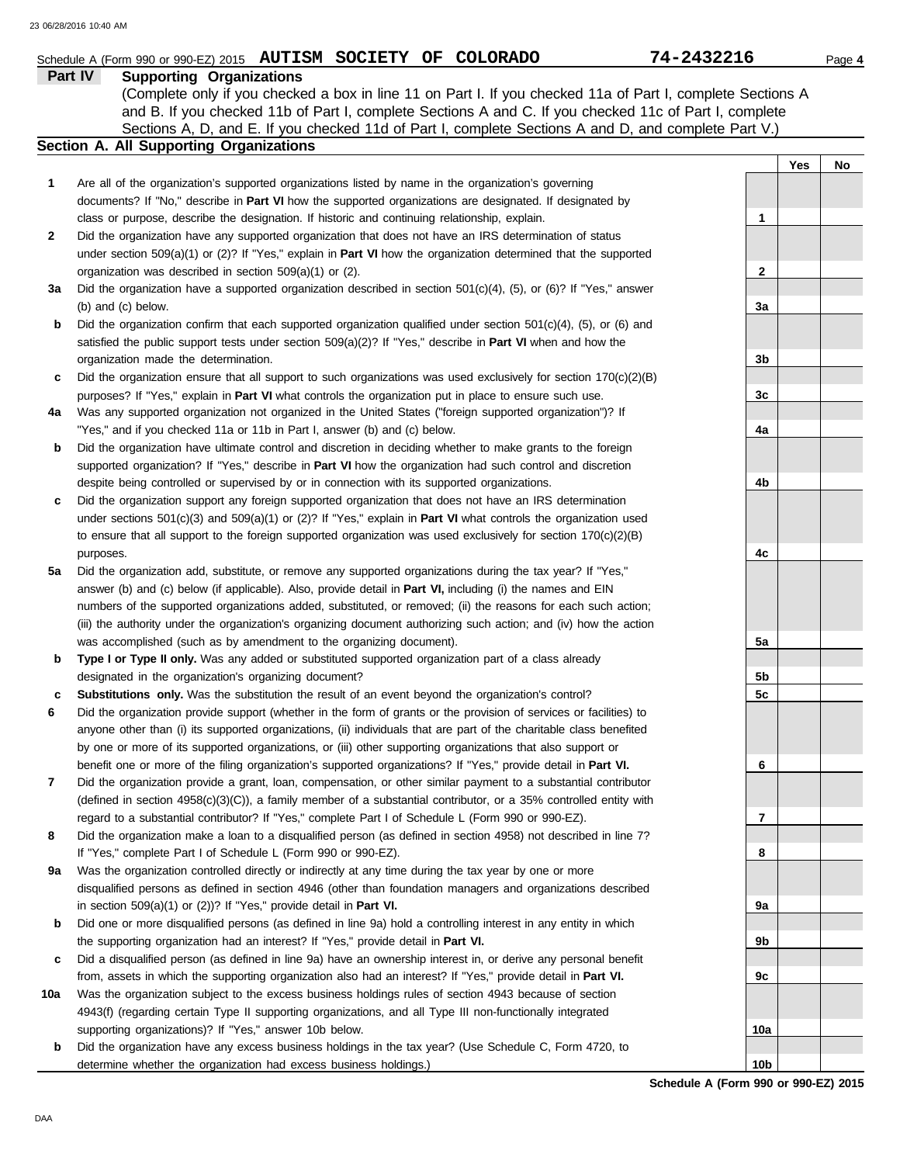|              | Schedule A (Form 990 or 990-EZ) 2015 AUTISM SOCIETY OF<br><b>COLORADO</b>                                                                                                                                                                                                                                                                                                   | 74-2432216     |     | Page 4 |
|--------------|-----------------------------------------------------------------------------------------------------------------------------------------------------------------------------------------------------------------------------------------------------------------------------------------------------------------------------------------------------------------------------|----------------|-----|--------|
|              | Part IV<br><b>Supporting Organizations</b><br>(Complete only if you checked a box in line 11 on Part I. If you checked 11a of Part I, complete Sections A<br>and B. If you checked 11b of Part I, complete Sections A and C. If you checked 11c of Part I, complete<br>Sections A, D, and E. If you checked 11d of Part I, complete Sections A and D, and complete Part V.) |                |     |        |
|              | Section A. All Supporting Organizations                                                                                                                                                                                                                                                                                                                                     |                |     |        |
| 1            | Are all of the organization's supported organizations listed by name in the organization's governing                                                                                                                                                                                                                                                                        |                | Yes | No     |
|              | documents? If "No," describe in Part VI how the supported organizations are designated. If designated by                                                                                                                                                                                                                                                                    |                |     |        |
|              | class or purpose, describe the designation. If historic and continuing relationship, explain.                                                                                                                                                                                                                                                                               | 1              |     |        |
| $\mathbf{2}$ | Did the organization have any supported organization that does not have an IRS determination of status                                                                                                                                                                                                                                                                      |                |     |        |
|              | under section $509(a)(1)$ or (2)? If "Yes," explain in <b>Part VI</b> how the organization determined that the supported                                                                                                                                                                                                                                                    |                |     |        |
|              | organization was described in section 509(a)(1) or (2).                                                                                                                                                                                                                                                                                                                     | $\mathbf{2}$   |     |        |
| За           | Did the organization have a supported organization described in section $501(c)(4)$ , $(5)$ , or $(6)$ ? If "Yes," answer                                                                                                                                                                                                                                                   |                |     |        |
|              | (b) and (c) below.                                                                                                                                                                                                                                                                                                                                                          | 3a             |     |        |
| b            | Did the organization confirm that each supported organization qualified under section $501(c)(4)$ , $(5)$ , or $(6)$ and                                                                                                                                                                                                                                                    |                |     |        |
|              | satisfied the public support tests under section 509(a)(2)? If "Yes," describe in Part VI when and how the                                                                                                                                                                                                                                                                  |                |     |        |
|              | organization made the determination.                                                                                                                                                                                                                                                                                                                                        | 3b             |     |        |
| С            | Did the organization ensure that all support to such organizations was used exclusively for section $170(c)(2)(B)$                                                                                                                                                                                                                                                          |                |     |        |
|              | purposes? If "Yes," explain in Part VI what controls the organization put in place to ensure such use.                                                                                                                                                                                                                                                                      | 3c             |     |        |
| 4a           | Was any supported organization not organized in the United States ("foreign supported organization")? If                                                                                                                                                                                                                                                                    |                |     |        |
|              | "Yes," and if you checked 11a or 11b in Part I, answer (b) and (c) below.                                                                                                                                                                                                                                                                                                   | 4a             |     |        |
| b            | Did the organization have ultimate control and discretion in deciding whether to make grants to the foreign                                                                                                                                                                                                                                                                 |                |     |        |
|              | supported organization? If "Yes," describe in Part VI how the organization had such control and discretion                                                                                                                                                                                                                                                                  |                |     |        |
|              | despite being controlled or supervised by or in connection with its supported organizations.                                                                                                                                                                                                                                                                                | 4b             |     |        |
| c            | Did the organization support any foreign supported organization that does not have an IRS determination                                                                                                                                                                                                                                                                     |                |     |        |
|              | under sections $501(c)(3)$ and $509(a)(1)$ or (2)? If "Yes," explain in <b>Part VI</b> what controls the organization used                                                                                                                                                                                                                                                  |                |     |        |
|              | to ensure that all support to the foreign supported organization was used exclusively for section $170(c)(2)(B)$                                                                                                                                                                                                                                                            |                |     |        |
|              | purposes.                                                                                                                                                                                                                                                                                                                                                                   | 4с             |     |        |
| 5a           | Did the organization add, substitute, or remove any supported organizations during the tax year? If "Yes,"                                                                                                                                                                                                                                                                  |                |     |        |
|              | answer (b) and (c) below (if applicable). Also, provide detail in Part VI, including (i) the names and EIN                                                                                                                                                                                                                                                                  |                |     |        |
|              | numbers of the supported organizations added, substituted, or removed; (ii) the reasons for each such action;                                                                                                                                                                                                                                                               |                |     |        |
|              | (iii) the authority under the organization's organizing document authorizing such action; and (iv) how the action<br>was accomplished (such as by amendment to the organizing document).                                                                                                                                                                                    | 5а             |     |        |
|              | Type I or Type II only. Was any added or substituted supported organization part of a class already                                                                                                                                                                                                                                                                         |                |     |        |
|              | designated in the organization's organizing document?                                                                                                                                                                                                                                                                                                                       | 5 <sub>b</sub> |     |        |
| c            | <b>Substitutions only.</b> Was the substitution the result of an event beyond the organization's control?                                                                                                                                                                                                                                                                   | 5 <sub>c</sub> |     |        |
| 6            | Did the organization provide support (whether in the form of grants or the provision of services or facilities) to                                                                                                                                                                                                                                                          |                |     |        |
|              | anyone other than (i) its supported organizations, (ii) individuals that are part of the charitable class benefited                                                                                                                                                                                                                                                         |                |     |        |
|              | by one or more of its supported organizations, or (iii) other supporting organizations that also support or                                                                                                                                                                                                                                                                 |                |     |        |
|              | benefit one or more of the filing organization's supported organizations? If "Yes," provide detail in Part VI.                                                                                                                                                                                                                                                              | 6              |     |        |
| 7            | Did the organization provide a grant, loan, compensation, or other similar payment to a substantial contributor                                                                                                                                                                                                                                                             |                |     |        |
|              | (defined in section $4958(c)(3)(C)$ ), a family member of a substantial contributor, or a 35% controlled entity with                                                                                                                                                                                                                                                        |                |     |        |
|              | regard to a substantial contributor? If "Yes," complete Part I of Schedule L (Form 990 or 990-EZ).                                                                                                                                                                                                                                                                          | 7              |     |        |
| 8            | Did the organization make a loan to a disqualified person (as defined in section 4958) not described in line 7?                                                                                                                                                                                                                                                             |                |     |        |
|              | If "Yes," complete Part I of Schedule L (Form 990 or 990-EZ).                                                                                                                                                                                                                                                                                                               | 8              |     |        |
| 9а           | Was the organization controlled directly or indirectly at any time during the tax year by one or more                                                                                                                                                                                                                                                                       |                |     |        |
|              | disqualified persons as defined in section 4946 (other than foundation managers and organizations described                                                                                                                                                                                                                                                                 |                |     |        |
|              | in section 509(a)(1) or (2))? If "Yes," provide detail in Part VI.                                                                                                                                                                                                                                                                                                          | 9а             |     |        |
| b            | Did one or more disqualified persons (as defined in line 9a) hold a controlling interest in any entity in which                                                                                                                                                                                                                                                             |                |     |        |
|              | the supporting organization had an interest? If "Yes," provide detail in Part VI.                                                                                                                                                                                                                                                                                           | 9b             |     |        |
| c            | Did a disqualified person (as defined in line 9a) have an ownership interest in, or derive any personal benefit                                                                                                                                                                                                                                                             |                |     |        |
|              | from, assets in which the supporting organization also had an interest? If "Yes," provide detail in Part VI.                                                                                                                                                                                                                                                                | 9с             |     |        |
| 10a          | Was the organization subject to the excess business holdings rules of section 4943 because of section                                                                                                                                                                                                                                                                       |                |     |        |
|              | 4943(f) (regarding certain Type II supporting organizations, and all Type III non-functionally integrated                                                                                                                                                                                                                                                                   |                |     |        |
|              | supporting organizations)? If "Yes," answer 10b below.                                                                                                                                                                                                                                                                                                                      | 10a            |     |        |

**b** Did the organization have any excess business holdings in the tax year? (Use Schedule C, Form 4720, to determine whether the organization had excess business holdings.)

**Schedule A (Form 990 or 990-EZ) 2015 10b**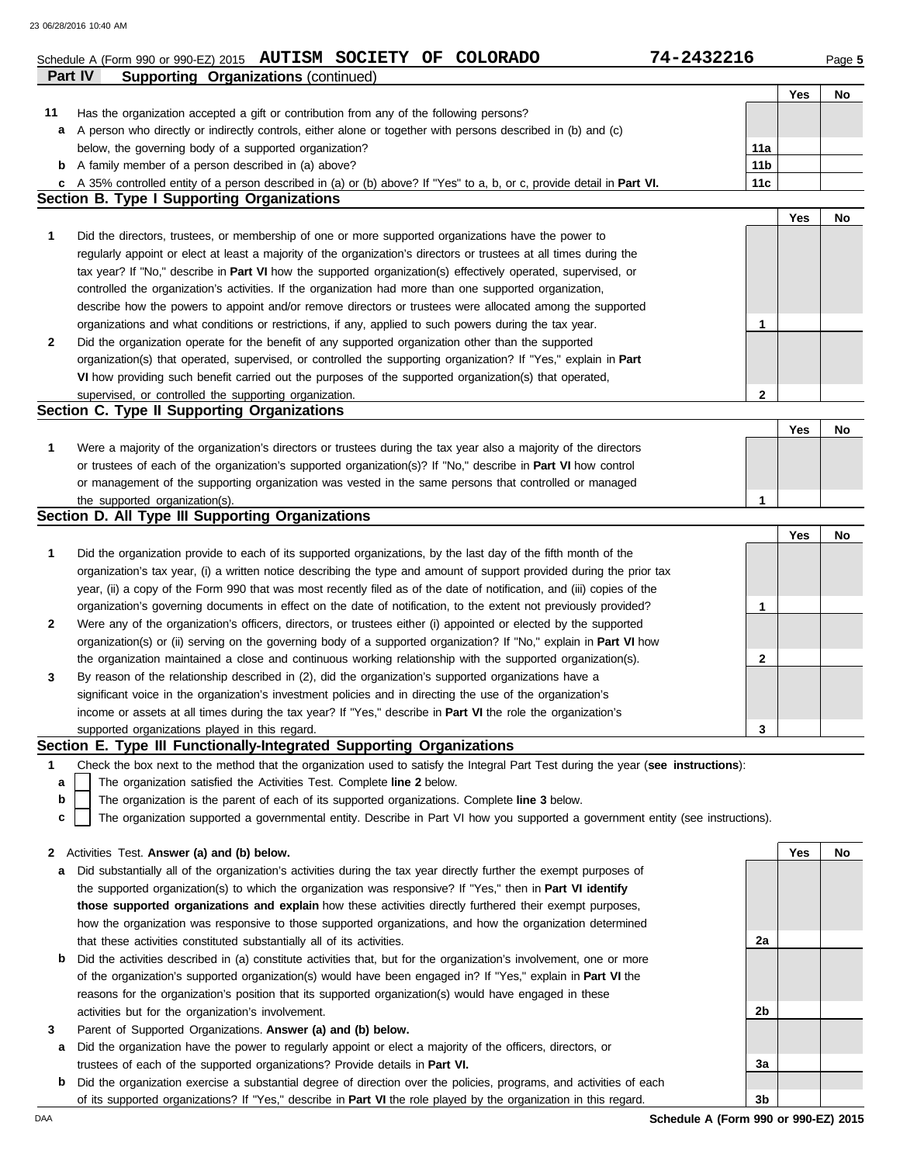|              | Schedule A (Form 990 or 990-EZ) 2015 AUTISM SOCIETY OF COLORADO                                                                   | 74-2432216                           |     | Page 5 |
|--------------|-----------------------------------------------------------------------------------------------------------------------------------|--------------------------------------|-----|--------|
|              | Part IV<br><b>Supporting Organizations (continued)</b>                                                                            |                                      |     |        |
|              |                                                                                                                                   |                                      | Yes | No     |
| 11           | Has the organization accepted a gift or contribution from any of the following persons?                                           |                                      |     |        |
|              | A person who directly or indirectly controls, either alone or together with persons described in (b) and (c)                      |                                      |     |        |
| а            |                                                                                                                                   |                                      |     |        |
|              | below, the governing body of a supported organization?                                                                            | 11a                                  |     |        |
|              | <b>b</b> A family member of a person described in (a) above?                                                                      | 11 <sub>b</sub>                      |     |        |
| C            | A 35% controlled entity of a person described in (a) or (b) above? If "Yes" to a, b, or c, provide detail in Part VI.             | 11c                                  |     |        |
|              | Section B. Type I Supporting Organizations                                                                                        |                                      |     |        |
|              |                                                                                                                                   |                                      | Yes | No     |
| 1            | Did the directors, trustees, or membership of one or more supported organizations have the power to                               |                                      |     |        |
|              | regularly appoint or elect at least a majority of the organization's directors or trustees at all times during the                |                                      |     |        |
|              | tax year? If "No," describe in Part VI how the supported organization(s) effectively operated, supervised, or                     |                                      |     |        |
|              | controlled the organization's activities. If the organization had more than one supported organization,                           |                                      |     |        |
|              | describe how the powers to appoint and/or remove directors or trustees were allocated among the supported                         |                                      |     |        |
|              |                                                                                                                                   |                                      |     |        |
|              | organizations and what conditions or restrictions, if any, applied to such powers during the tax year.                            | 1                                    |     |        |
| $\mathbf{2}$ | Did the organization operate for the benefit of any supported organization other than the supported                               |                                      |     |        |
|              | organization(s) that operated, supervised, or controlled the supporting organization? If "Yes," explain in Part                   |                                      |     |        |
|              | VI how providing such benefit carried out the purposes of the supported organization(s) that operated,                            |                                      |     |        |
|              | supervised, or controlled the supporting organization.                                                                            | 2                                    |     |        |
|              | Section C. Type II Supporting Organizations                                                                                       |                                      |     |        |
|              |                                                                                                                                   |                                      | Yes | No     |
| 1            | Were a majority of the organization's directors or trustees during the tax year also a majority of the directors                  |                                      |     |        |
|              | or trustees of each of the organization's supported organization(s)? If "No," describe in Part VI how control                     |                                      |     |        |
|              |                                                                                                                                   |                                      |     |        |
|              | or management of the supporting organization was vested in the same persons that controlled or managed                            |                                      |     |        |
|              | the supported organization(s).                                                                                                    | $\mathbf{1}$                         |     |        |
|              | Section D. All Type III Supporting Organizations                                                                                  |                                      |     |        |
|              |                                                                                                                                   |                                      | Yes | No     |
| 1            | Did the organization provide to each of its supported organizations, by the last day of the fifth month of the                    |                                      |     |        |
|              | organization's tax year, (i) a written notice describing the type and amount of support provided during the prior tax             |                                      |     |        |
|              | year, (ii) a copy of the Form 990 that was most recently filed as of the date of notification, and (iii) copies of the            |                                      |     |        |
|              | organization's governing documents in effect on the date of notification, to the extent not previously provided?                  | 1                                    |     |        |
| $\mathbf{2}$ | Were any of the organization's officers, directors, or trustees either (i) appointed or elected by the supported                  |                                      |     |        |
|              | organization(s) or (ii) serving on the governing body of a supported organization? If "No," explain in Part VI how                |                                      |     |        |
|              |                                                                                                                                   |                                      |     |        |
|              | the organization maintained a close and continuous working relationship with the supported organization(s).                       | 2                                    |     |        |
| 3            | By reason of the relationship described in (2), did the organization's supported organizations have a                             |                                      |     |        |
|              | significant voice in the organization's investment policies and in directing the use of the organization's                        |                                      |     |        |
|              | income or assets at all times during the tax year? If "Yes," describe in Part VI the role the organization's                      |                                      |     |        |
|              | supported organizations played in this regard.                                                                                    | 3                                    |     |        |
|              | Section E. Type III Functionally-Integrated Supporting Organizations                                                              |                                      |     |        |
| 1            | Check the box next to the method that the organization used to satisfy the Integral Part Test during the year (see instructions): |                                      |     |        |
| a            | The organization satisfied the Activities Test. Complete line 2 below.                                                            |                                      |     |        |
| b            | The organization is the parent of each of its supported organizations. Complete line 3 below.                                     |                                      |     |        |
| c            | The organization supported a governmental entity. Describe in Part VI how you supported a government entity (see instructions).   |                                      |     |        |
|              |                                                                                                                                   |                                      |     |        |
|              |                                                                                                                                   |                                      | Yes |        |
| 2            | Activities Test. Answer (a) and (b) below.                                                                                        |                                      |     | No     |
| а            | Did substantially all of the organization's activities during the tax year directly further the exempt purposes of                |                                      |     |        |
|              | the supported organization(s) to which the organization was responsive? If "Yes," then in Part VI identify                        |                                      |     |        |
|              | those supported organizations and explain how these activities directly furthered their exempt purposes,                          |                                      |     |        |
|              | how the organization was responsive to those supported organizations, and how the organization determined                         |                                      |     |        |
|              | that these activities constituted substantially all of its activities.                                                            | 2a                                   |     |        |
| b            | Did the activities described in (a) constitute activities that, but for the organization's involvement, one or more               |                                      |     |        |
|              | of the organization's supported organization(s) would have been engaged in? If "Yes," explain in Part VI the                      |                                      |     |        |
|              | reasons for the organization's position that its supported organization(s) would have engaged in these                            |                                      |     |        |
|              |                                                                                                                                   |                                      |     |        |
|              | activities but for the organization's involvement.                                                                                | 2b                                   |     |        |
| 3            | Parent of Supported Organizations. Answer (a) and (b) below.                                                                      |                                      |     |        |
| а            | Did the organization have the power to regularly appoint or elect a majority of the officers, directors, or                       |                                      |     |        |
|              | trustees of each of the supported organizations? Provide details in Part VI.                                                      | За                                   |     |        |
| b            | Did the organization exercise a substantial degree of direction over the policies, programs, and activities of each               |                                      |     |        |
|              | of its supported organizations? If "Yes," describe in Part VI the role played by the organization in this regard.                 | 3b                                   |     |        |
| DAA          |                                                                                                                                   | Schedule A (Form 990 or 990-EZ) 2015 |     |        |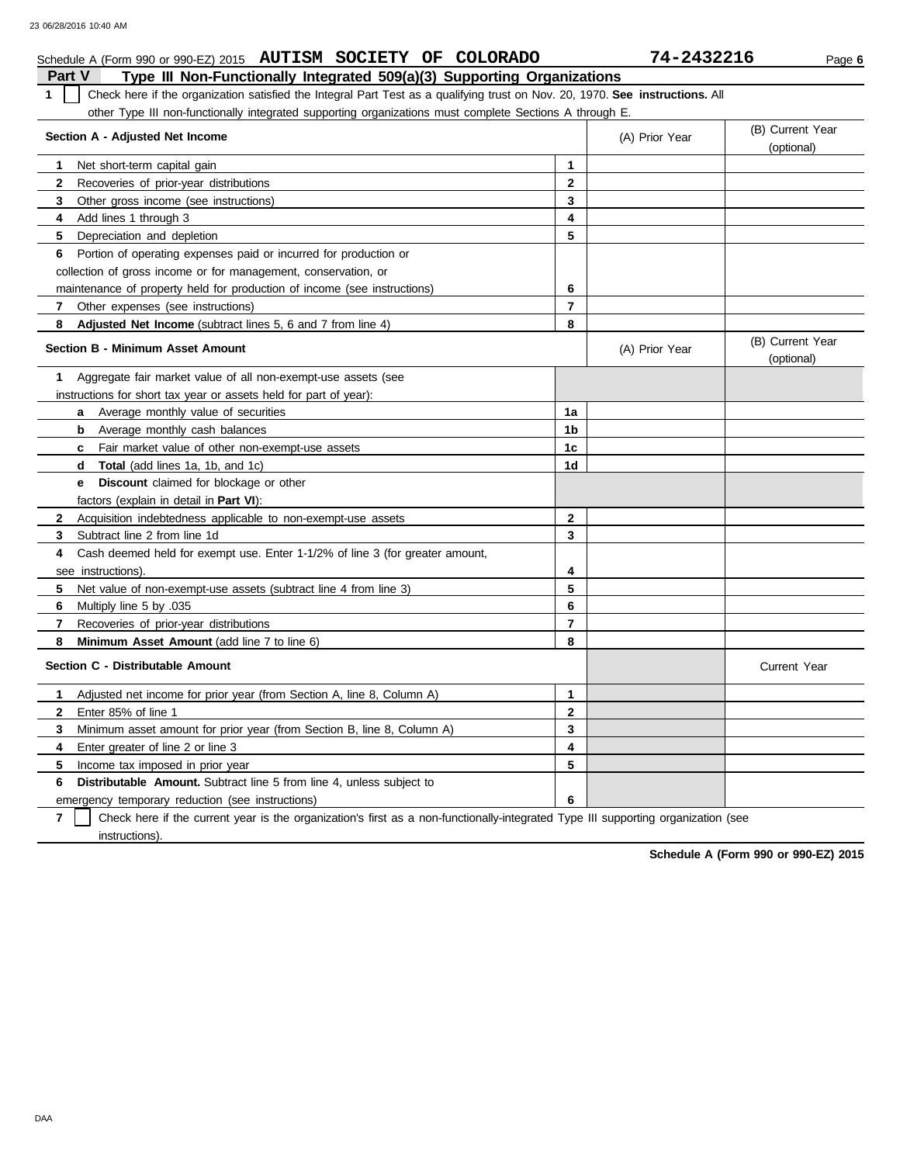### Schedule A (Form 990 or 990-EZ) 2015 **AUTISM SOCIETY OF COLORADO 74-2432216** Page 6

| <b>Part V</b><br>Type III Non-Functionally Integrated 509(a)(3) Supporting Organizations                                           |                |                |                                |
|------------------------------------------------------------------------------------------------------------------------------------|----------------|----------------|--------------------------------|
| Check here if the organization satisfied the Integral Part Test as a qualifying trust on Nov. 20, 1970. See instructions. All<br>1 |                |                |                                |
| other Type III non-functionally integrated supporting organizations must complete Sections A through E.                            |                |                |                                |
| Section A - Adjusted Net Income                                                                                                    |                | (A) Prior Year | (B) Current Year<br>(optional) |
| Net short-term capital gain<br>1                                                                                                   | $\mathbf{1}$   |                |                                |
| Recoveries of prior-year distributions<br>2                                                                                        | $\mathbf{2}$   |                |                                |
| 3<br>Other gross income (see instructions)                                                                                         | 3              |                |                                |
| 4<br>Add lines 1 through 3                                                                                                         | 4              |                |                                |
| 5<br>Depreciation and depletion                                                                                                    | 5              |                |                                |
| Portion of operating expenses paid or incurred for production or<br>6                                                              |                |                |                                |
| collection of gross income or for management, conservation, or                                                                     |                |                |                                |
| maintenance of property held for production of income (see instructions)                                                           | 6              |                |                                |
| 7<br>Other expenses (see instructions)                                                                                             | $\overline{7}$ |                |                                |
| 8<br><b>Adjusted Net Income</b> (subtract lines 5, 6 and 7 from line 4)                                                            | 8              |                |                                |
| <b>Section B - Minimum Asset Amount</b>                                                                                            |                | (A) Prior Year | (B) Current Year<br>(optional) |
| Aggregate fair market value of all non-exempt-use assets (see<br>1                                                                 |                |                |                                |
| instructions for short tax year or assets held for part of year):                                                                  |                |                |                                |
| <b>a</b> Average monthly value of securities                                                                                       | 1a             |                |                                |
| b<br>Average monthly cash balances                                                                                                 | 1 <sub>b</sub> |                |                                |
| Fair market value of other non-exempt-use assets<br>c                                                                              | 1 <sub>c</sub> |                |                                |
| <b>Total</b> (add lines 1a, 1b, and 1c)<br>d                                                                                       | 1d             |                |                                |
| <b>Discount</b> claimed for blockage or other<br>е                                                                                 |                |                |                                |
| factors (explain in detail in Part VI):                                                                                            |                |                |                                |
| $\mathbf{2}$<br>Acquisition indebtedness applicable to non-exempt-use assets                                                       | $\mathbf{2}$   |                |                                |
| Subtract line 2 from line 1d<br>3                                                                                                  | 3              |                |                                |
| Cash deemed held for exempt use. Enter 1-1/2% of line 3 (for greater amount,<br>4                                                  |                |                |                                |
| see instructions).                                                                                                                 | 4              |                |                                |
| 5<br>Net value of non-exempt-use assets (subtract line 4 from line 3)                                                              | 5              |                |                                |
| Multiply line 5 by .035<br>6                                                                                                       | 6              |                |                                |
| $\overline{\mathbf{r}}$<br>Recoveries of prior-year distributions                                                                  | $\overline{7}$ |                |                                |
| 8<br><b>Minimum Asset Amount</b> (add line 7 to line 6)                                                                            | 8              |                |                                |
| Section C - Distributable Amount                                                                                                   |                |                | Current Year                   |
| Adjusted net income for prior year (from Section A, line 8, Column A)<br>1                                                         | 1              |                |                                |
| Enter 85% of line 1<br>2                                                                                                           | $\mathbf{2}$   |                |                                |
| 3<br>Minimum asset amount for prior year (from Section B, line 8, Column A)                                                        | 3              |                |                                |
| Enter greater of line 2 or line 3<br>4                                                                                             | 4              |                |                                |
| 5<br>Income tax imposed in prior year                                                                                              | 5              |                |                                |
| <b>Distributable Amount.</b> Subtract line 5 from line 4, unless subject to<br>6                                                   |                |                |                                |
| emergency temporary reduction (see instructions)                                                                                   | 6              |                |                                |

**7** instructions). Check here if the current year is the organization's first as a non-functionally-integrated Type III supporting organization (see

**Schedule A (Form 990 or 990-EZ) 2015**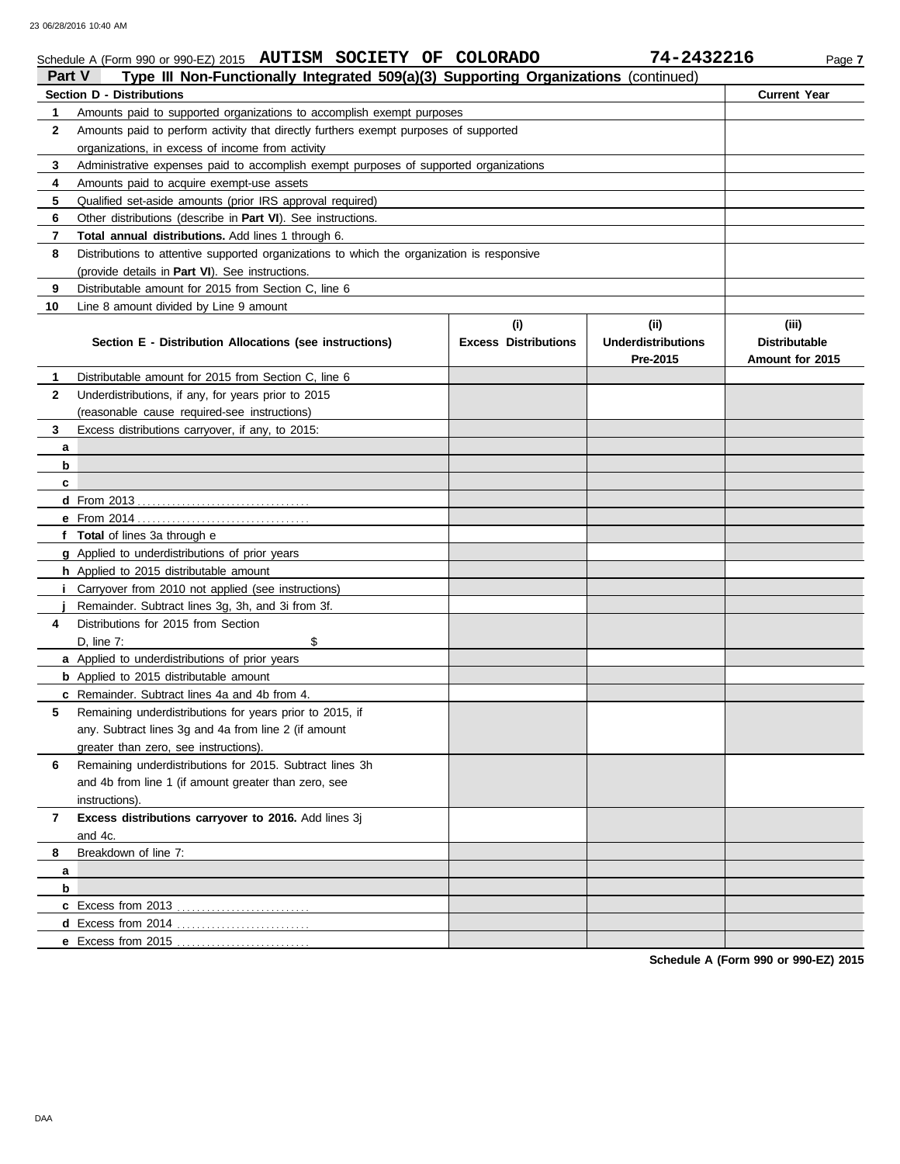# Schedule A (Form 990 or 990-EZ) 2015 **AUTISM SOCIETY OF COLORADO 74-2432216** Page 7

| Type III Non-Functionally Integrated 509(a)(3) Supporting Organizations (continued)<br>Part V |                                                                                            |                             |                           |                      |  |  |  |  |  |  |
|-----------------------------------------------------------------------------------------------|--------------------------------------------------------------------------------------------|-----------------------------|---------------------------|----------------------|--|--|--|--|--|--|
|                                                                                               | <b>Section D - Distributions</b>                                                           |                             |                           |                      |  |  |  |  |  |  |
| 1.                                                                                            | Amounts paid to supported organizations to accomplish exempt purposes                      |                             |                           |                      |  |  |  |  |  |  |
| 2                                                                                             | Amounts paid to perform activity that directly furthers exempt purposes of supported       |                             |                           |                      |  |  |  |  |  |  |
|                                                                                               | organizations, in excess of income from activity                                           |                             |                           |                      |  |  |  |  |  |  |
| 3                                                                                             | Administrative expenses paid to accomplish exempt purposes of supported organizations      |                             |                           |                      |  |  |  |  |  |  |
| 4                                                                                             | Amounts paid to acquire exempt-use assets                                                  |                             |                           |                      |  |  |  |  |  |  |
| 5                                                                                             | Qualified set-aside amounts (prior IRS approval required)                                  |                             |                           |                      |  |  |  |  |  |  |
| 6                                                                                             | Other distributions (describe in Part VI). See instructions.                               |                             |                           |                      |  |  |  |  |  |  |
| 7                                                                                             | <b>Total annual distributions.</b> Add lines 1 through 6.                                  |                             |                           |                      |  |  |  |  |  |  |
| 8                                                                                             | Distributions to attentive supported organizations to which the organization is responsive |                             |                           |                      |  |  |  |  |  |  |
|                                                                                               | (provide details in Part VI). See instructions.                                            |                             |                           |                      |  |  |  |  |  |  |
| 9                                                                                             | Distributable amount for 2015 from Section C, line 6                                       |                             |                           |                      |  |  |  |  |  |  |
| 10                                                                                            | Line 8 amount divided by Line 9 amount                                                     |                             |                           |                      |  |  |  |  |  |  |
|                                                                                               |                                                                                            | (i)                         | (iii)                     | (iii)                |  |  |  |  |  |  |
|                                                                                               | Section E - Distribution Allocations (see instructions)                                    | <b>Excess Distributions</b> | <b>Underdistributions</b> | <b>Distributable</b> |  |  |  |  |  |  |
|                                                                                               |                                                                                            |                             | Pre-2015                  | Amount for 2015      |  |  |  |  |  |  |
| 1                                                                                             | Distributable amount for 2015 from Section C, line 6                                       |                             |                           |                      |  |  |  |  |  |  |
| 2                                                                                             | Underdistributions, if any, for years prior to 2015                                        |                             |                           |                      |  |  |  |  |  |  |
|                                                                                               | (reasonable cause required-see instructions)                                               |                             |                           |                      |  |  |  |  |  |  |
| 3                                                                                             | Excess distributions carryover, if any, to 2015:                                           |                             |                           |                      |  |  |  |  |  |  |
| a                                                                                             |                                                                                            |                             |                           |                      |  |  |  |  |  |  |
| b                                                                                             |                                                                                            |                             |                           |                      |  |  |  |  |  |  |
| c                                                                                             |                                                                                            |                             |                           |                      |  |  |  |  |  |  |
|                                                                                               |                                                                                            |                             |                           |                      |  |  |  |  |  |  |
|                                                                                               |                                                                                            |                             |                           |                      |  |  |  |  |  |  |
|                                                                                               | f Total of lines 3a through e                                                              |                             |                           |                      |  |  |  |  |  |  |
|                                                                                               | g Applied to underdistributions of prior years                                             |                             |                           |                      |  |  |  |  |  |  |
|                                                                                               | h Applied to 2015 distributable amount                                                     |                             |                           |                      |  |  |  |  |  |  |
|                                                                                               | <i>i</i> Carryover from 2010 not applied (see instructions)                                |                             |                           |                      |  |  |  |  |  |  |
|                                                                                               | Remainder. Subtract lines 3g, 3h, and 3i from 3f.                                          |                             |                           |                      |  |  |  |  |  |  |
| 4                                                                                             | Distributions for 2015 from Section                                                        |                             |                           |                      |  |  |  |  |  |  |
|                                                                                               | \$<br>D, line $7$ :                                                                        |                             |                           |                      |  |  |  |  |  |  |
|                                                                                               | a Applied to underdistributions of prior years                                             |                             |                           |                      |  |  |  |  |  |  |
|                                                                                               | <b>b</b> Applied to 2015 distributable amount                                              |                             |                           |                      |  |  |  |  |  |  |
|                                                                                               | <b>c</b> Remainder. Subtract lines 4a and 4b from 4.                                       |                             |                           |                      |  |  |  |  |  |  |
| 5                                                                                             | Remaining underdistributions for years prior to 2015, if                                   |                             |                           |                      |  |  |  |  |  |  |
|                                                                                               | any. Subtract lines 3g and 4a from line 2 (if amount                                       |                             |                           |                      |  |  |  |  |  |  |
|                                                                                               | greater than zero, see instructions)                                                       |                             |                           |                      |  |  |  |  |  |  |
| 6                                                                                             | Remaining underdistributions for 2015. Subtract lines 3h                                   |                             |                           |                      |  |  |  |  |  |  |
|                                                                                               | and 4b from line 1 (if amount greater than zero, see                                       |                             |                           |                      |  |  |  |  |  |  |
|                                                                                               | instructions).                                                                             |                             |                           |                      |  |  |  |  |  |  |
| 7                                                                                             | Excess distributions carryover to 2016. Add lines 3j                                       |                             |                           |                      |  |  |  |  |  |  |
|                                                                                               | and 4c.                                                                                    |                             |                           |                      |  |  |  |  |  |  |
| 8                                                                                             | Breakdown of line 7:                                                                       |                             |                           |                      |  |  |  |  |  |  |
| а                                                                                             |                                                                                            |                             |                           |                      |  |  |  |  |  |  |
| b                                                                                             |                                                                                            |                             |                           |                      |  |  |  |  |  |  |
|                                                                                               |                                                                                            |                             |                           |                      |  |  |  |  |  |  |
|                                                                                               |                                                                                            |                             |                           |                      |  |  |  |  |  |  |
|                                                                                               | e Excess from 2015                                                                         |                             |                           |                      |  |  |  |  |  |  |

**Schedule A (Form 990 or 990-EZ) 2015**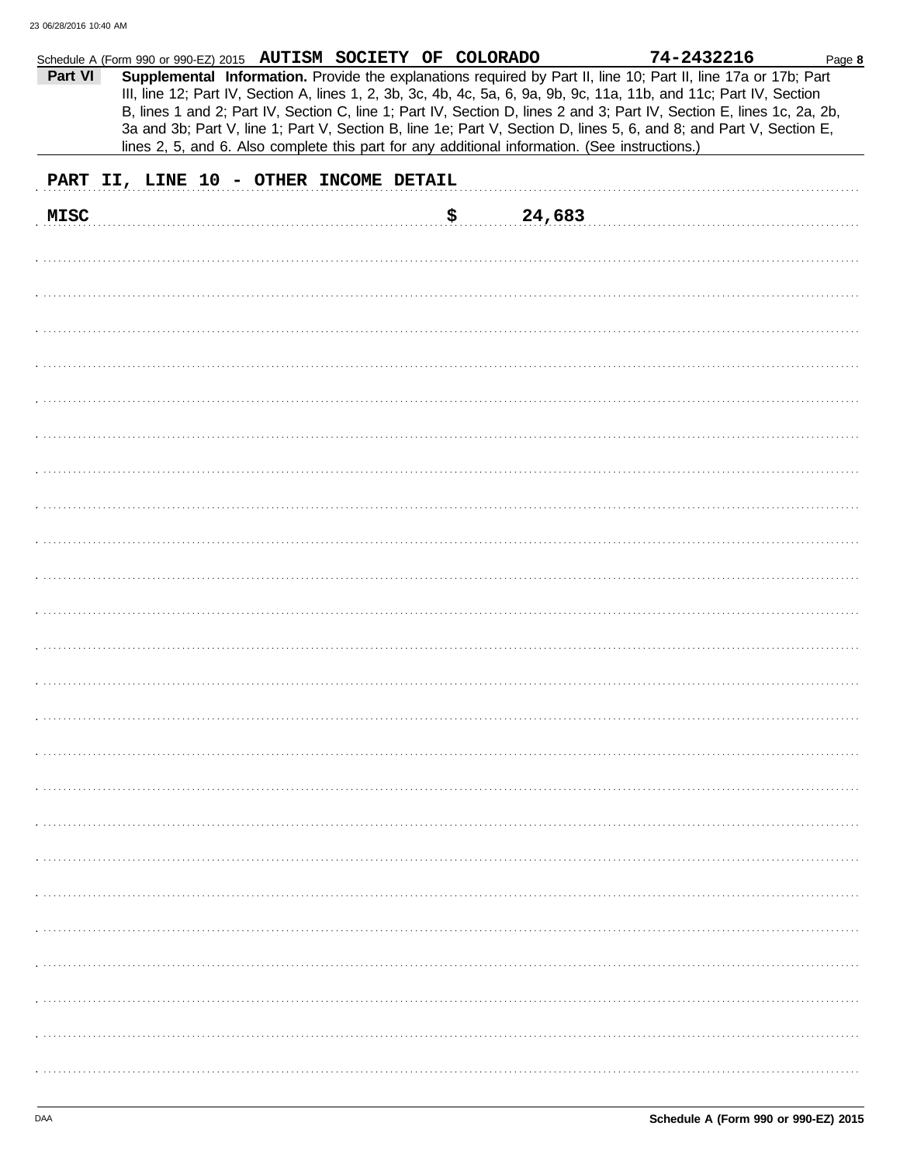|             | Schedule A (Form 990 or 990-EZ) 2015 AUTISM SOCIETY OF COLORADO |  |    |        | 74-2432216                                                                                                                                                                                                                                                                                                                                                                                                                                                                                                                                                                                 | Page 8 |
|-------------|-----------------------------------------------------------------|--|----|--------|--------------------------------------------------------------------------------------------------------------------------------------------------------------------------------------------------------------------------------------------------------------------------------------------------------------------------------------------------------------------------------------------------------------------------------------------------------------------------------------------------------------------------------------------------------------------------------------------|--------|
| Part VI     |                                                                 |  |    |        | Supplemental Information. Provide the explanations required by Part II, line 10; Part II, line 17a or 17b; Part<br>III, line 12; Part IV, Section A, lines 1, 2, 3b, 3c, 4b, 4c, 5a, 6, 9a, 9b, 9c, 11a, 11b, and 11c; Part IV, Section<br>B, lines 1 and 2; Part IV, Section C, line 1; Part IV, Section D, lines 2 and 3; Part IV, Section E, lines 1c, 2a, 2b,<br>3a and 3b; Part V, line 1; Part V, Section B, line 1e; Part V, Section D, lines 5, 6, and 8; and Part V, Section E,<br>lines 2, 5, and 6. Also complete this part for any additional information. (See instructions.) |        |
|             | PART II, LINE 10 - OTHER INCOME DETAIL                          |  |    |        |                                                                                                                                                                                                                                                                                                                                                                                                                                                                                                                                                                                            |        |
| <b>MISC</b> |                                                                 |  | \$ | 24,683 |                                                                                                                                                                                                                                                                                                                                                                                                                                                                                                                                                                                            |        |
|             |                                                                 |  |    |        |                                                                                                                                                                                                                                                                                                                                                                                                                                                                                                                                                                                            |        |
|             |                                                                 |  |    |        |                                                                                                                                                                                                                                                                                                                                                                                                                                                                                                                                                                                            |        |
|             |                                                                 |  |    |        |                                                                                                                                                                                                                                                                                                                                                                                                                                                                                                                                                                                            |        |
|             |                                                                 |  |    |        |                                                                                                                                                                                                                                                                                                                                                                                                                                                                                                                                                                                            |        |
|             |                                                                 |  |    |        |                                                                                                                                                                                                                                                                                                                                                                                                                                                                                                                                                                                            |        |
|             |                                                                 |  |    |        |                                                                                                                                                                                                                                                                                                                                                                                                                                                                                                                                                                                            |        |
|             |                                                                 |  |    |        |                                                                                                                                                                                                                                                                                                                                                                                                                                                                                                                                                                                            |        |
|             |                                                                 |  |    |        |                                                                                                                                                                                                                                                                                                                                                                                                                                                                                                                                                                                            |        |
|             |                                                                 |  |    |        |                                                                                                                                                                                                                                                                                                                                                                                                                                                                                                                                                                                            |        |
|             |                                                                 |  |    |        |                                                                                                                                                                                                                                                                                                                                                                                                                                                                                                                                                                                            |        |
|             |                                                                 |  |    |        |                                                                                                                                                                                                                                                                                                                                                                                                                                                                                                                                                                                            |        |
|             |                                                                 |  |    |        |                                                                                                                                                                                                                                                                                                                                                                                                                                                                                                                                                                                            |        |
|             |                                                                 |  |    |        |                                                                                                                                                                                                                                                                                                                                                                                                                                                                                                                                                                                            |        |
|             |                                                                 |  |    |        |                                                                                                                                                                                                                                                                                                                                                                                                                                                                                                                                                                                            |        |
|             |                                                                 |  |    |        |                                                                                                                                                                                                                                                                                                                                                                                                                                                                                                                                                                                            |        |
|             |                                                                 |  |    |        |                                                                                                                                                                                                                                                                                                                                                                                                                                                                                                                                                                                            |        |
|             |                                                                 |  |    |        |                                                                                                                                                                                                                                                                                                                                                                                                                                                                                                                                                                                            |        |
|             |                                                                 |  |    |        |                                                                                                                                                                                                                                                                                                                                                                                                                                                                                                                                                                                            |        |
|             |                                                                 |  |    |        |                                                                                                                                                                                                                                                                                                                                                                                                                                                                                                                                                                                            |        |
|             |                                                                 |  |    |        |                                                                                                                                                                                                                                                                                                                                                                                                                                                                                                                                                                                            |        |
|             |                                                                 |  |    |        |                                                                                                                                                                                                                                                                                                                                                                                                                                                                                                                                                                                            |        |
|             |                                                                 |  |    |        |                                                                                                                                                                                                                                                                                                                                                                                                                                                                                                                                                                                            |        |
|             |                                                                 |  |    |        |                                                                                                                                                                                                                                                                                                                                                                                                                                                                                                                                                                                            |        |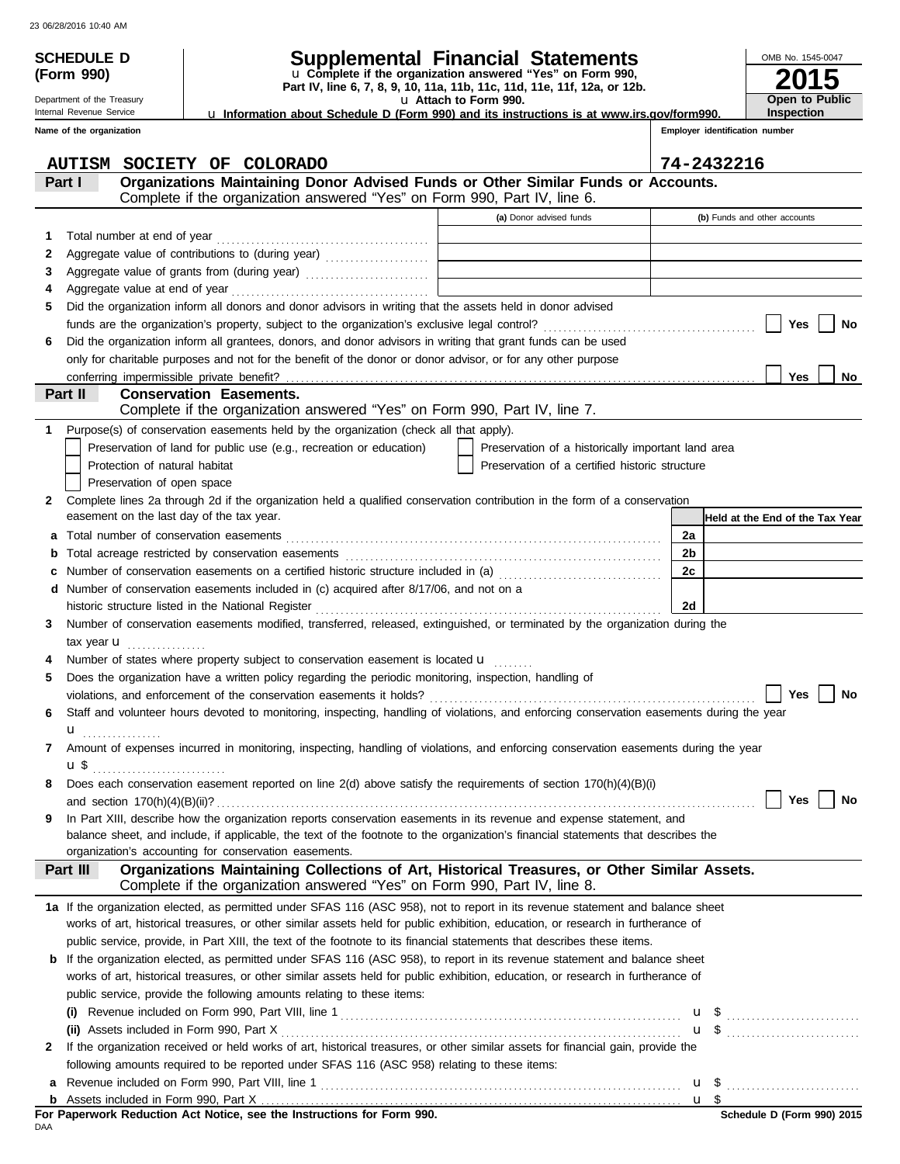**(Form 990)**

Department of the Treasury Internal Revenue Service

# **SCHEDULE D Supplemental Financial Statements**

**Part IV, line 6, 7, 8, 9, 10, 11a, 11b, 11c, 11d, 11e, 11f, 12a, or 12b.** u **Complete if the organization answered "Yes" on Form 990,**

u **Attach to Form 990.**  u **Information about Schedule D (Form 990) and its instructions is at www.irs.gov/form990.**

**Employer identification Inspection**

**2015**

**Open to Public**

OMB No. 1545-0047

|   | Name of the organization |                                                                                                                                                                                                                                |                                                    |                | Employer identification number  |  |  |
|---|--------------------------|--------------------------------------------------------------------------------------------------------------------------------------------------------------------------------------------------------------------------------|----------------------------------------------------|----------------|---------------------------------|--|--|
|   |                          | AUTISM SOCIETY OF COLORADO                                                                                                                                                                                                     |                                                    | 74-2432216     |                                 |  |  |
|   | Part I                   | Organizations Maintaining Donor Advised Funds or Other Similar Funds or Accounts.<br>Complete if the organization answered "Yes" on Form 990, Part IV, line 6.                                                                 |                                                    |                |                                 |  |  |
|   |                          |                                                                                                                                                                                                                                | (a) Donor advised funds                            |                | (b) Funds and other accounts    |  |  |
| 1 |                          |                                                                                                                                                                                                                                |                                                    |                |                                 |  |  |
| 2 |                          |                                                                                                                                                                                                                                |                                                    |                |                                 |  |  |
| З |                          |                                                                                                                                                                                                                                |                                                    |                |                                 |  |  |
| 4 |                          | Aggregate value of grants from (during year) Mathematical Mathematical Property of the Mathematical Property of Aggregate Mathematical Property of Aggregate Mathematical Property of Aggregate Mathematical Property of Aggre |                                                    |                |                                 |  |  |
| 5 |                          | Did the organization inform all donors and donor advisors in writing that the assets held in donor advised                                                                                                                     |                                                    |                |                                 |  |  |
|   |                          |                                                                                                                                                                                                                                |                                                    |                | Yes<br>No                       |  |  |
| 6 |                          | Did the organization inform all grantees, donors, and donor advisors in writing that grant funds can be used                                                                                                                   |                                                    |                |                                 |  |  |
|   |                          | only for charitable purposes and not for the benefit of the donor or donor advisor, or for any other purpose                                                                                                                   |                                                    |                |                                 |  |  |
|   |                          | conferring impermissible private benefit?                                                                                                                                                                                      |                                                    |                | Yes<br>No                       |  |  |
|   | Part II                  | <b>Conservation Easements.</b>                                                                                                                                                                                                 |                                                    |                |                                 |  |  |
|   |                          | Complete if the organization answered "Yes" on Form 990, Part IV, line 7.                                                                                                                                                      |                                                    |                |                                 |  |  |
|   |                          | Purpose(s) of conservation easements held by the organization (check all that apply).                                                                                                                                          |                                                    |                |                                 |  |  |
|   |                          | Preservation of land for public use (e.g., recreation or education)                                                                                                                                                            | Preservation of a historically important land area |                |                                 |  |  |
|   |                          | Protection of natural habitat                                                                                                                                                                                                  | Preservation of a certified historic structure     |                |                                 |  |  |
|   |                          | Preservation of open space                                                                                                                                                                                                     |                                                    |                |                                 |  |  |
| 2 |                          | Complete lines 2a through 2d if the organization held a qualified conservation contribution in the form of a conservation                                                                                                      |                                                    |                |                                 |  |  |
|   |                          | easement on the last day of the tax year.                                                                                                                                                                                      |                                                    |                | Held at the End of the Tax Year |  |  |
| а |                          |                                                                                                                                                                                                                                |                                                    | 2a             |                                 |  |  |
| b |                          |                                                                                                                                                                                                                                |                                                    | 2 <sub>b</sub> |                                 |  |  |
|   |                          |                                                                                                                                                                                                                                |                                                    | 2c             |                                 |  |  |
| d |                          | Number of conservation easements included in (c) acquired after 8/17/06, and not on a                                                                                                                                          |                                                    |                |                                 |  |  |
|   |                          | historic structure listed in the National Register [11] contained a structure of the National Register [11] contained a structure of the National Register [11] contained a structure of the National Register [11] contained  |                                                    | 2d             |                                 |  |  |
| 3 |                          | Number of conservation easements modified, transferred, released, extinguished, or terminated by the organization during the                                                                                                   |                                                    |                |                                 |  |  |
|   | tax year <b>u</b>        |                                                                                                                                                                                                                                |                                                    |                |                                 |  |  |
|   |                          | Number of states where property subject to conservation easement is located u                                                                                                                                                  |                                                    |                |                                 |  |  |
| 5 |                          | Does the organization have a written policy regarding the periodic monitoring, inspection, handling of                                                                                                                         |                                                    |                |                                 |  |  |
|   |                          |                                                                                                                                                                                                                                |                                                    |                | Yes<br>No                       |  |  |
|   |                          | Staff and volunteer hours devoted to monitoring, inspecting, handling of violations, and enforcing conservation easements during the year                                                                                      |                                                    |                |                                 |  |  |
|   | u                        | .                                                                                                                                                                                                                              |                                                    |                |                                 |  |  |
| 7 |                          | Amount of expenses incurred in monitoring, inspecting, handling of violations, and enforcing conservation easements during the year                                                                                            |                                                    |                |                                 |  |  |
|   | ա \$                     |                                                                                                                                                                                                                                |                                                    |                |                                 |  |  |
|   |                          | Does each conservation easement reported on line 2(d) above satisfy the requirements of section 170(h)(4)(B)(i)                                                                                                                |                                                    |                |                                 |  |  |
|   |                          | and section $170(h)(4)(B)(ii)?$                                                                                                                                                                                                |                                                    |                | Yes<br>No                       |  |  |
| 9 |                          | In Part XIII, describe how the organization reports conservation easements in its revenue and expense statement, and                                                                                                           |                                                    |                |                                 |  |  |
|   |                          | balance sheet, and include, if applicable, the text of the footnote to the organization's financial statements that describes the                                                                                              |                                                    |                |                                 |  |  |
|   |                          | organization's accounting for conservation easements.                                                                                                                                                                          |                                                    |                |                                 |  |  |
|   | Part III                 | Organizations Maintaining Collections of Art, Historical Treasures, or Other Similar Assets.                                                                                                                                   |                                                    |                |                                 |  |  |
|   |                          | Complete if the organization answered "Yes" on Form 990, Part IV, line 8.                                                                                                                                                      |                                                    |                |                                 |  |  |
|   |                          | 1a If the organization elected, as permitted under SFAS 116 (ASC 958), not to report in its revenue statement and balance sheet                                                                                                |                                                    |                |                                 |  |  |
|   |                          | works of art, historical treasures, or other similar assets held for public exhibition, education, or research in furtherance of                                                                                               |                                                    |                |                                 |  |  |
|   |                          | public service, provide, in Part XIII, the text of the footnote to its financial statements that describes these items.                                                                                                        |                                                    |                |                                 |  |  |
| b |                          | If the organization elected, as permitted under SFAS 116 (ASC 958), to report in its revenue statement and balance sheet                                                                                                       |                                                    |                |                                 |  |  |
|   |                          | works of art, historical treasures, or other similar assets held for public exhibition, education, or research in furtherance of                                                                                               |                                                    |                |                                 |  |  |
|   |                          | public service, provide the following amounts relating to these items:                                                                                                                                                         |                                                    |                |                                 |  |  |
|   |                          |                                                                                                                                                                                                                                |                                                    |                |                                 |  |  |
|   |                          | (ii) Assets included in Form 990, Part X                                                                                                                                                                                       |                                                    |                | $\mathbf{u}$ \$                 |  |  |
| 2 |                          | If the organization received or held works of art, historical treasures, or other similar assets for financial gain, provide the                                                                                               |                                                    |                |                                 |  |  |
|   |                          | following amounts required to be reported under SFAS 116 (ASC 958) relating to these items:                                                                                                                                    |                                                    |                |                                 |  |  |
| а |                          |                                                                                                                                                                                                                                |                                                    |                |                                 |  |  |
|   |                          |                                                                                                                                                                                                                                |                                                    |                | u \$                            |  |  |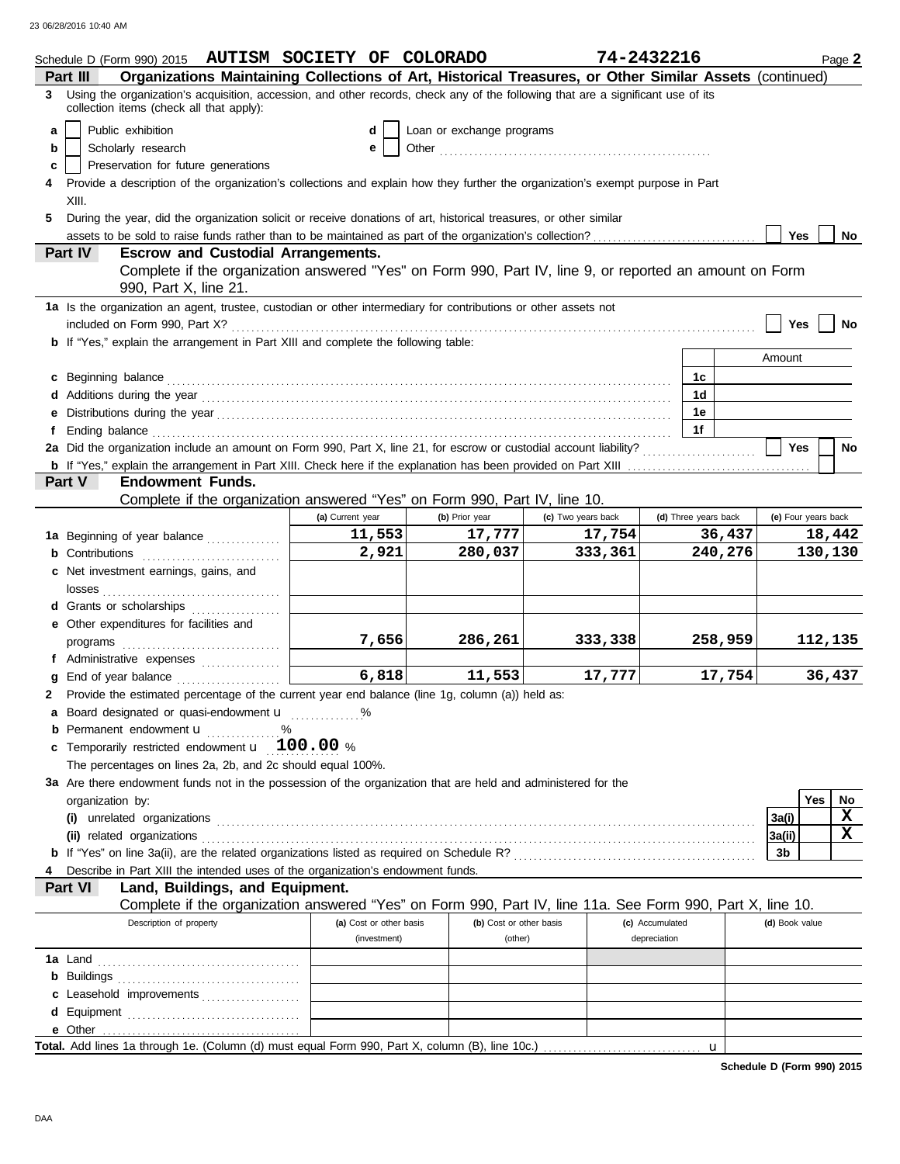|   | Schedule D (Form 990) 2015 AUTISM SOCIETY OF COLORADO                                                                                                                                                                                |                         |                           | 74-2432216         |                 |                      | Page 2                 |
|---|--------------------------------------------------------------------------------------------------------------------------------------------------------------------------------------------------------------------------------------|-------------------------|---------------------------|--------------------|-----------------|----------------------|------------------------|
|   | Organizations Maintaining Collections of Art, Historical Treasures, or Other Similar Assets (continued)<br>Part III                                                                                                                  |                         |                           |                    |                 |                      |                        |
|   | 3 Using the organization's acquisition, accession, and other records, check any of the following that are a significant use of its<br>collection items (check all that apply):                                                       |                         |                           |                    |                 |                      |                        |
| a | Public exhibition                                                                                                                                                                                                                    | d                       | Loan or exchange programs |                    |                 |                      |                        |
| b | Scholarly research                                                                                                                                                                                                                   | e                       |                           |                    |                 |                      |                        |
| c | Preservation for future generations                                                                                                                                                                                                  |                         |                           |                    |                 |                      |                        |
|   | Provide a description of the organization's collections and explain how they further the organization's exempt purpose in Part                                                                                                       |                         |                           |                    |                 |                      |                        |
|   | XIII.                                                                                                                                                                                                                                |                         |                           |                    |                 |                      |                        |
| 5 | During the year, did the organization solicit or receive donations of art, historical treasures, or other similar                                                                                                                    |                         |                           |                    |                 |                      |                        |
|   |                                                                                                                                                                                                                                      |                         |                           |                    |                 |                      | <b>Yes</b><br>No       |
|   | <b>Escrow and Custodial Arrangements.</b><br><b>Part IV</b>                                                                                                                                                                          |                         |                           |                    |                 |                      |                        |
|   | Complete if the organization answered "Yes" on Form 990, Part IV, line 9, or reported an amount on Form                                                                                                                              |                         |                           |                    |                 |                      |                        |
|   | 990, Part X, line 21.                                                                                                                                                                                                                |                         |                           |                    |                 |                      |                        |
|   | 1a Is the organization an agent, trustee, custodian or other intermediary for contributions or other assets not                                                                                                                      |                         |                           |                    |                 |                      |                        |
|   |                                                                                                                                                                                                                                      |                         |                           |                    |                 |                      | Yes<br>No              |
|   | b If "Yes," explain the arrangement in Part XIII and complete the following table:                                                                                                                                                   |                         |                           |                    |                 |                      |                        |
|   |                                                                                                                                                                                                                                      |                         |                           |                    |                 |                      | Amount                 |
|   | c Beginning balance <b>contract to the contract of the set of the contract of the contract of the contract of the contract of the contract of the contract of the contract of the contract of the contract of the contract of th</b> |                         |                           |                    |                 | 1c                   |                        |
|   |                                                                                                                                                                                                                                      |                         |                           |                    |                 | 1d                   |                        |
|   |                                                                                                                                                                                                                                      |                         |                           |                    |                 | 1e                   |                        |
| f |                                                                                                                                                                                                                                      |                         |                           |                    |                 | 1f                   |                        |
|   |                                                                                                                                                                                                                                      |                         |                           |                    |                 |                      | Yes<br>No              |
|   |                                                                                                                                                                                                                                      |                         |                           |                    |                 |                      |                        |
|   | <b>Endowment Funds.</b><br><b>Part V</b>                                                                                                                                                                                             |                         |                           |                    |                 |                      |                        |
|   | Complete if the organization answered "Yes" on Form 990, Part IV, line 10.                                                                                                                                                           |                         |                           |                    |                 |                      |                        |
|   |                                                                                                                                                                                                                                      | (a) Current year        | (b) Prior year            | (c) Two years back |                 | (d) Three years back | (e) Four years back    |
|   | 1a Beginning of year balance                                                                                                                                                                                                         | 11,553                  | 17,777                    | 17,754             |                 | 36,437               | 18,442                 |
|   | <b>b</b> Contributions <b>contributions</b>                                                                                                                                                                                          | 2,921                   | 280,037                   | 333,361            |                 | 240,276              | 130,130                |
|   | c Net investment earnings, gains, and                                                                                                                                                                                                |                         |                           |                    |                 |                      |                        |
|   |                                                                                                                                                                                                                                      |                         |                           |                    |                 |                      |                        |
|   | d Grants or scholarships                                                                                                                                                                                                             |                         |                           |                    |                 |                      |                        |
|   | e Other expenditures for facilities and                                                                                                                                                                                              |                         |                           |                    |                 |                      |                        |
|   |                                                                                                                                                                                                                                      | 7,656                   | 286,261                   | 333,338            |                 | 258,959              | 112,135                |
|   | f Administrative expenses                                                                                                                                                                                                            | 6,818                   |                           |                    |                 | 17,754               |                        |
|   | <b>g</b> End of year balance $\ldots$                                                                                                                                                                                                |                         | 11,553                    | 17,777             |                 |                      | 36,437                 |
|   | 2 Provide the estimated percentage of the current year end balance (line 1g, column (a)) held as:                                                                                                                                    |                         |                           |                    |                 |                      |                        |
|   | a Board designated or quasi-endowment u                                                                                                                                                                                              |                         |                           |                    |                 |                      |                        |
|   | <b>b</b> Permanent endowment <b>u</b> %<br>c Temporarily restricted endowment $\mathbf{u}$ 100.00 %                                                                                                                                  |                         |                           |                    |                 |                      |                        |
|   | The percentages on lines 2a, 2b, and 2c should equal 100%.                                                                                                                                                                           |                         |                           |                    |                 |                      |                        |
|   | 3a Are there endowment funds not in the possession of the organization that are held and administered for the                                                                                                                        |                         |                           |                    |                 |                      |                        |
|   | organization by:                                                                                                                                                                                                                     |                         |                           |                    |                 |                      | Yes<br>No              |
|   |                                                                                                                                                                                                                                      |                         |                           |                    |                 |                      | X<br>3a(i)             |
|   |                                                                                                                                                                                                                                      |                         |                           |                    |                 |                      | $\mathbf x$<br> 3a(ii) |
|   |                                                                                                                                                                                                                                      |                         |                           |                    |                 |                      | 3b                     |
|   | Describe in Part XIII the intended uses of the organization's endowment funds.                                                                                                                                                       |                         |                           |                    |                 |                      |                        |
|   | Land, Buildings, and Equipment.<br><b>Part VI</b>                                                                                                                                                                                    |                         |                           |                    |                 |                      |                        |
|   | Complete if the organization answered "Yes" on Form 990, Part IV, line 11a. See Form 990, Part X, line 10.                                                                                                                           |                         |                           |                    |                 |                      |                        |
|   | Description of property                                                                                                                                                                                                              | (a) Cost or other basis | (b) Cost or other basis   |                    | (c) Accumulated |                      | (d) Book value         |
|   |                                                                                                                                                                                                                                      | (investment)            | (other)                   |                    | depreciation    |                      |                        |
|   |                                                                                                                                                                                                                                      |                         |                           |                    |                 |                      |                        |
|   |                                                                                                                                                                                                                                      |                         |                           |                    |                 |                      |                        |
|   | c Leasehold improvements                                                                                                                                                                                                             |                         |                           |                    |                 |                      |                        |
|   |                                                                                                                                                                                                                                      |                         |                           |                    |                 |                      |                        |
|   |                                                                                                                                                                                                                                      |                         |                           |                    |                 |                      |                        |
|   |                                                                                                                                                                                                                                      |                         |                           |                    |                 | u                    |                        |
|   |                                                                                                                                                                                                                                      |                         |                           |                    |                 |                      |                        |

**Schedule D (Form 990) 2015**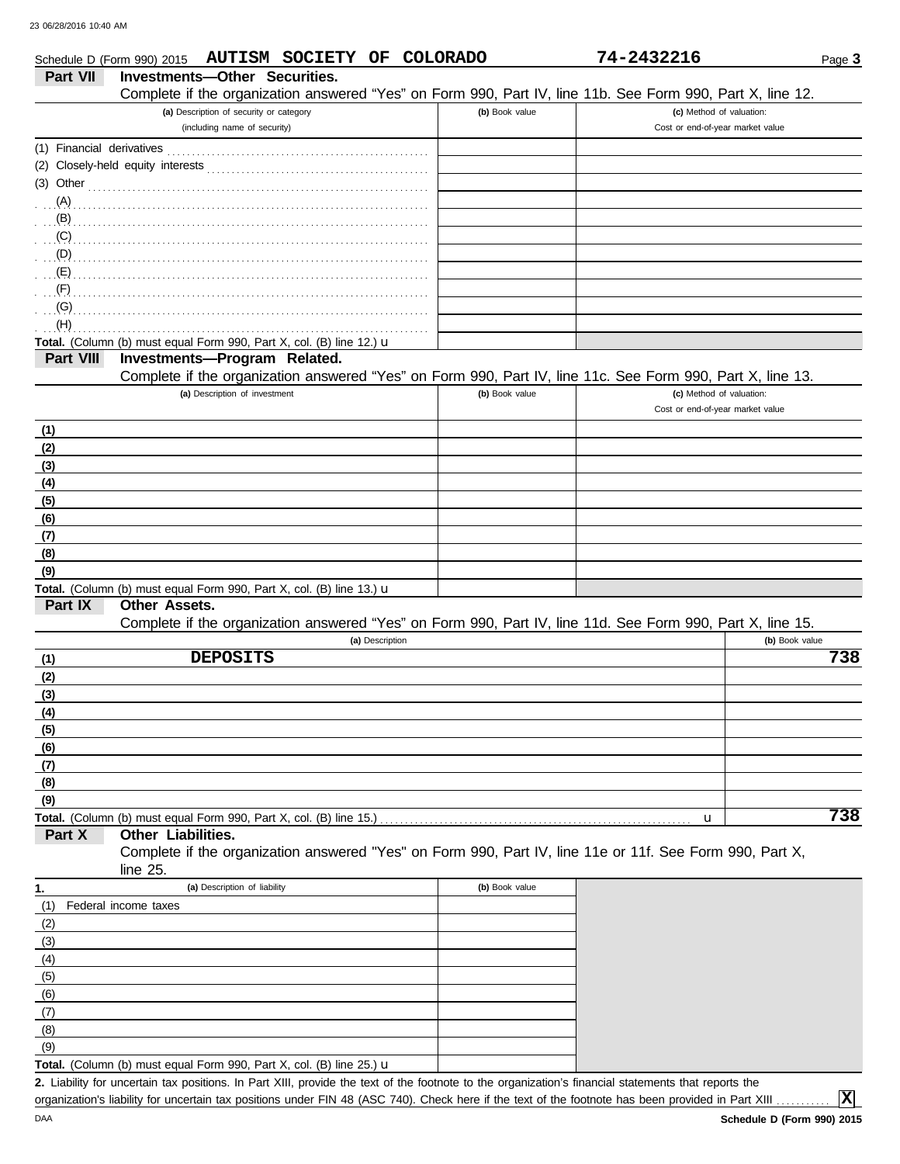| Schedule D (Form 990) 2015         | AUTISM SOCIETY OF COLORADO                                                                                 |                | 74-2432216                       | Page 3         |
|------------------------------------|------------------------------------------------------------------------------------------------------------|----------------|----------------------------------|----------------|
| <b>Part VII</b>                    | <b>Investments-Other Securities.</b>                                                                       |                |                                  |                |
|                                    | Complete if the organization answered "Yes" on Form 990, Part IV, line 11b. See Form 990, Part X, line 12. |                |                                  |                |
|                                    | (a) Description of security or category                                                                    | (b) Book value | (c) Method of valuation:         |                |
|                                    | (including name of security)                                                                               |                | Cost or end-of-year market value |                |
| (1) Financial derivatives          |                                                                                                            |                |                                  |                |
|                                    |                                                                                                            |                |                                  |                |
|                                    | (3) Other $\ldots$ $\ldots$ $\ldots$ $\ldots$ $\ldots$ $\ldots$                                            |                |                                  |                |
| (A)                                |                                                                                                            |                |                                  |                |
| (B)                                |                                                                                                            |                |                                  |                |
| (C)                                |                                                                                                            |                |                                  |                |
| $\bigcup_{\alpha\in\mathbb{R}}(D)$ |                                                                                                            |                |                                  |                |
| (E)                                |                                                                                                            |                |                                  |                |
| (F)                                |                                                                                                            |                |                                  |                |
| (G)                                |                                                                                                            |                |                                  |                |
| (H)                                |                                                                                                            |                |                                  |                |
|                                    | Total. (Column (b) must equal Form 990, Part X, col. (B) line 12.) u                                       |                |                                  |                |
| Part VIII                          | Investments-Program Related.                                                                               |                |                                  |                |
|                                    | Complete if the organization answered "Yes" on Form 990, Part IV, line 11c. See Form 990, Part X, line 13. |                |                                  |                |
|                                    | (a) Description of investment                                                                              | (b) Book value | (c) Method of valuation:         |                |
|                                    |                                                                                                            |                | Cost or end-of-year market value |                |
| (1)                                |                                                                                                            |                |                                  |                |
| (2)                                |                                                                                                            |                |                                  |                |
| (3)                                |                                                                                                            |                |                                  |                |
| (4)                                |                                                                                                            |                |                                  |                |
| (5)                                |                                                                                                            |                |                                  |                |
| (6)                                |                                                                                                            |                |                                  |                |
| (7)                                |                                                                                                            |                |                                  |                |
| (8)                                |                                                                                                            |                |                                  |                |
| (9)                                |                                                                                                            |                |                                  |                |
|                                    | Total. (Column (b) must equal Form 990, Part X, col. (B) line 13.) u                                       |                |                                  |                |
| Part IX                            | Other Assets.                                                                                              |                |                                  |                |
|                                    | Complete if the organization answered "Yes" on Form 990, Part IV, line 11d. See Form 990, Part X, line 15. |                |                                  |                |
|                                    | (a) Description                                                                                            |                |                                  | (b) Book value |
| (1)                                | <b>DEPOSITS</b>                                                                                            |                |                                  | 738            |
| (2)                                |                                                                                                            |                |                                  |                |
| (3)                                |                                                                                                            |                |                                  |                |
| (4)                                |                                                                                                            |                |                                  |                |
| (5)                                |                                                                                                            |                |                                  |                |
| (6)                                |                                                                                                            |                |                                  |                |
| (7)                                |                                                                                                            |                |                                  |                |
| (8)                                |                                                                                                            |                |                                  |                |
| (9)                                |                                                                                                            |                |                                  | 738            |
| Part X                             | Total. (Column (b) must equal Form 990, Part X, col. (B) line 15.)<br>Other Liabilities.                   |                | u                                |                |
|                                    | Complete if the organization answered "Yes" on Form 990, Part IV, line 11e or 11f. See Form 990, Part X,   |                |                                  |                |
|                                    | line 25.                                                                                                   |                |                                  |                |
| 1.                                 | (a) Description of liability                                                                               | (b) Book value |                                  |                |
| (1)                                | Federal income taxes                                                                                       |                |                                  |                |
| (2)                                |                                                                                                            |                |                                  |                |
| (3)                                |                                                                                                            |                |                                  |                |
| (4)                                |                                                                                                            |                |                                  |                |
| (5)                                |                                                                                                            |                |                                  |                |
| (6)                                |                                                                                                            |                |                                  |                |
| (7)                                |                                                                                                            |                |                                  |                |
| (8)                                |                                                                                                            |                |                                  |                |
| (9)                                |                                                                                                            |                |                                  |                |
|                                    | Total. (Column (b) must equal Form 990, Part X, col. (B) line 25.) u                                       |                |                                  |                |

Total. (Column (b) must equal Form 990, Part X, col. (B) line 25.) **u** 

Liability for uncertain tax positions. In Part XIII, provide the text of the footnote to the organization's financial statements that reports the **2.** organization's liability for uncertain tax positions under FIN 48 (ASC 740). Check here if the text of the footnote has been provided in Part XIII .........

**X**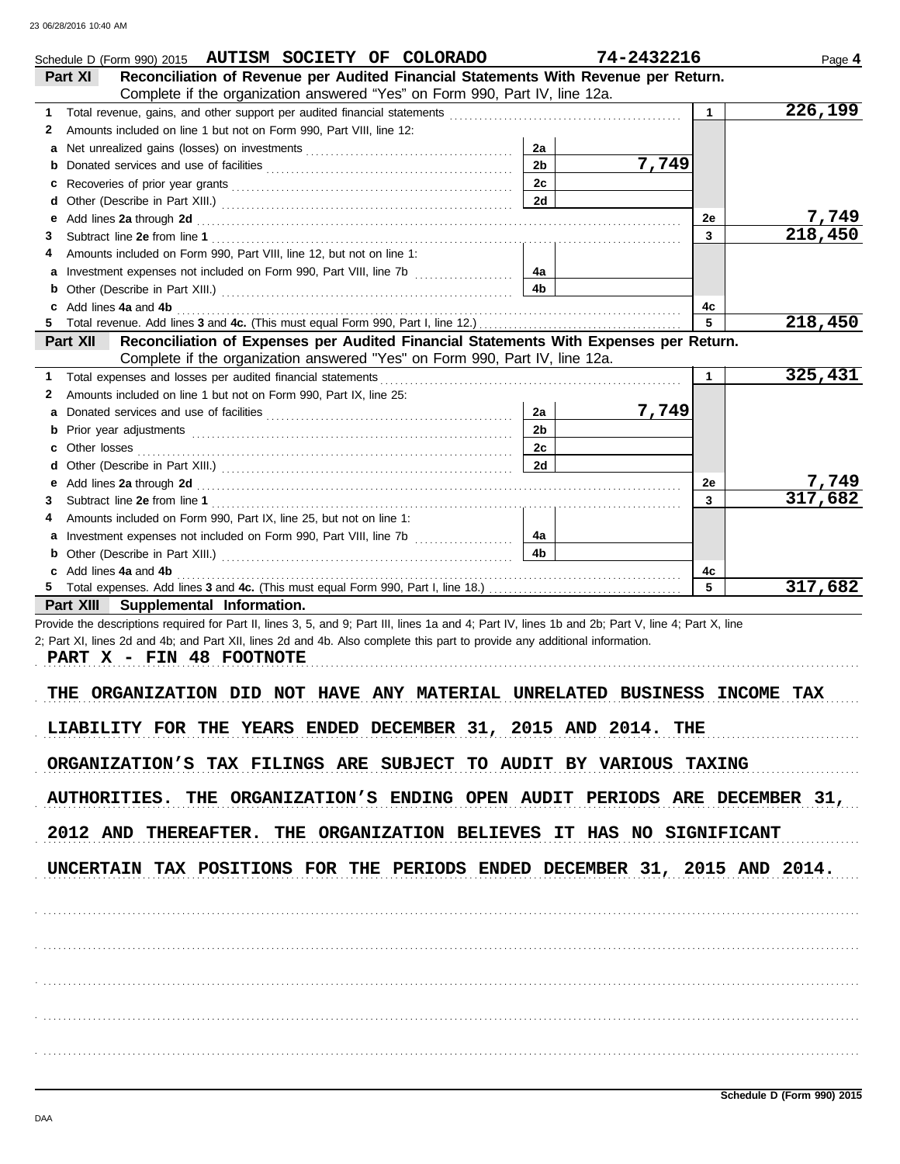|    | Schedule D (Form 990) 2015 AUTISM SOCIETY OF COLORADO                                                                                                                                                                          |                | 74-2432216 |              | Page 4  |
|----|--------------------------------------------------------------------------------------------------------------------------------------------------------------------------------------------------------------------------------|----------------|------------|--------------|---------|
|    | Reconciliation of Revenue per Audited Financial Statements With Revenue per Return.<br>Part XI                                                                                                                                 |                |            |              |         |
|    | Complete if the organization answered "Yes" on Form 990, Part IV, line 12a.                                                                                                                                                    |                |            |              |         |
| 1  | Total revenue, gains, and other support per audited financial statements                                                                                                                                                       |                |            | $\mathbf{1}$ | 226,199 |
| 2  | Amounts included on line 1 but not on Form 990, Part VIII, line 12:                                                                                                                                                            |                |            |              |         |
| а  |                                                                                                                                                                                                                                | 2a             |            |              |         |
|    |                                                                                                                                                                                                                                | 2 <sub>b</sub> | 7,749      |              |         |
| c  |                                                                                                                                                                                                                                | 2c             |            |              |         |
| d  |                                                                                                                                                                                                                                | 2d             |            |              |         |
| е  | Add lines 2a through 2d [11] All and the contract of the contract of the contract of the contract of the contract of the contract of the contract of the contract of the contract of the contract of the contract of the contr |                |            | 2e           | 7,749   |
| З  |                                                                                                                                                                                                                                |                |            | $\mathbf{3}$ | 218,450 |
| 4  | Amounts included on Form 990, Part VIII, line 12, but not on line 1:                                                                                                                                                           |                |            |              |         |
| а  | Investment expenses not included on Form 990, Part VIII, line 7b [                                                                                                                                                             | 4а             |            |              |         |
| b  |                                                                                                                                                                                                                                | 4b             |            |              |         |
|    | Add lines 4a and 4b                                                                                                                                                                                                            |                |            | 4с           |         |
| 5. |                                                                                                                                                                                                                                |                |            | 5            | 218,450 |
|    | Reconciliation of Expenses per Audited Financial Statements With Expenses per Return.<br>Part XII                                                                                                                              |                |            |              |         |
|    | Complete if the organization answered "Yes" on Form 990, Part IV, line 12a.                                                                                                                                                    |                |            |              |         |
| 1  | Total expenses and losses per audited financial statements                                                                                                                                                                     |                |            | $\mathbf{1}$ | 325,431 |
| 2  | Amounts included on line 1 but not on Form 990, Part IX, line 25:                                                                                                                                                              |                |            |              |         |
| а  |                                                                                                                                                                                                                                | 2a             | 7,749      |              |         |
| b  |                                                                                                                                                                                                                                | 2 <sub>b</sub> |            |              |         |
|    | Other losses                                                                                                                                                                                                                   | 2c             |            |              |         |
| d  |                                                                                                                                                                                                                                | 2d             |            |              |         |
| е  | Add lines 2a through 2d [11, 12] Add lines 2a through 2d [11, 12] Add lines 2a through 2d [11, 12] Add lines 2a through 2d [11, 12] Add and the set of the set of the set of the set of the set of the set of the set of the s |                |            | 2e           | 7,749   |
| 3  |                                                                                                                                                                                                                                |                |            | $\mathbf{3}$ | 317,682 |
| 4  | Amounts included on Form 990, Part IX, line 25, but not on line 1:                                                                                                                                                             |                |            |              |         |
| а  |                                                                                                                                                                                                                                | 4а             |            |              |         |
|    |                                                                                                                                                                                                                                | 4b             |            |              |         |
|    | c Add lines 4a and 4b                                                                                                                                                                                                          |                |            | 4c           |         |
|    |                                                                                                                                                                                                                                |                |            | 5            | 317,682 |
|    | Part XIII Supplemental Information.                                                                                                                                                                                            |                |            |              |         |
|    | Provide the descriptions required for Part II, lines 3, 5, and 9; Part III, lines 1a and 4; Part IV, lines 1b and 2b; Part V, line 4; Part X, line                                                                             |                |            |              |         |
|    | 2; Part XI, lines 2d and 4b; and Part XII, lines 2d and 4b. Also complete this part to provide any additional information.                                                                                                     |                |            |              |         |
|    | PART X - FIN 48 FOOTNOTE                                                                                                                                                                                                       |                |            |              |         |
|    |                                                                                                                                                                                                                                |                |            |              |         |
|    | ORGANIZATION DID NOT HAVE ANY MATERIAL UNRELATED BUSINESS INCOME<br>THE                                                                                                                                                        |                |            |              | TAX     |
|    |                                                                                                                                                                                                                                |                |            |              |         |
|    | LIABILITY FOR THE YEARS ENDED DECEMBER 31, 2015 AND 2014. THE                                                                                                                                                                  |                |            |              |         |
|    |                                                                                                                                                                                                                                |                |            |              |         |
|    | ORGANIZATION'S TAX FILINGS ARE SUBJECT TO AUDIT BY VARIOUS TAXING                                                                                                                                                              |                |            |              |         |
|    |                                                                                                                                                                                                                                |                |            |              |         |
|    | AUTHORITIES. THE ORGANIZATION'S ENDING OPEN AUDIT PERIODS ARE DECEMBER 31,                                                                                                                                                     |                |            |              |         |
|    |                                                                                                                                                                                                                                |                |            |              |         |
|    | 2012 AND THEREAFTER. THE ORGANIZATION BELIEVES IT HAS NO SIGNIFICANT                                                                                                                                                           |                |            |              |         |
|    |                                                                                                                                                                                                                                |                |            |              |         |
|    | UNCERTAIN TAX POSITIONS FOR THE PERIODS ENDED DECEMBER 31, 2015 AND 2014.                                                                                                                                                      |                |            |              |         |
|    |                                                                                                                                                                                                                                |                |            |              |         |
|    |                                                                                                                                                                                                                                |                |            |              |         |
|    |                                                                                                                                                                                                                                |                |            |              |         |
|    |                                                                                                                                                                                                                                |                |            |              |         |
|    |                                                                                                                                                                                                                                |                |            |              |         |
|    |                                                                                                                                                                                                                                |                |            |              |         |
|    |                                                                                                                                                                                                                                |                |            |              |         |
|    |                                                                                                                                                                                                                                |                |            |              |         |
|    |                                                                                                                                                                                                                                |                |            |              |         |
|    |                                                                                                                                                                                                                                |                |            |              |         |
|    |                                                                                                                                                                                                                                |                |            |              |         |
|    |                                                                                                                                                                                                                                |                |            |              |         |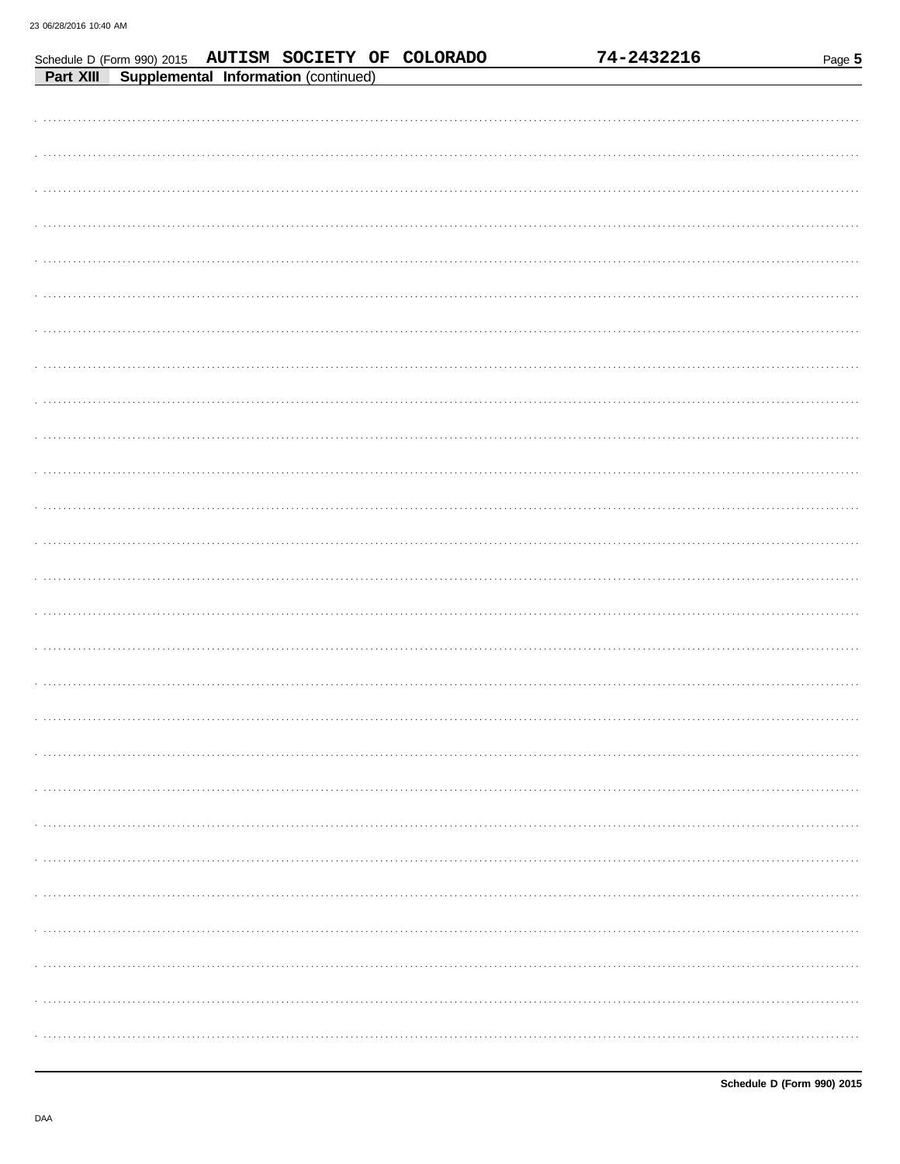| Schedule D (Form 990) 2015 AUTISM SOCIETY OF COLORADO |  |  | 74-2432216 | Page 5 |
|-------------------------------------------------------|--|--|------------|--------|
| Part XIII Supplemental Information (continued)        |  |  |            |        |
|                                                       |  |  |            |        |
|                                                       |  |  |            |        |
|                                                       |  |  |            |        |
|                                                       |  |  |            |        |
|                                                       |  |  |            |        |
|                                                       |  |  |            |        |
|                                                       |  |  |            |        |
|                                                       |  |  |            |        |
|                                                       |  |  |            |        |
|                                                       |  |  |            |        |
|                                                       |  |  |            |        |
|                                                       |  |  |            |        |
|                                                       |  |  |            |        |
|                                                       |  |  |            |        |
|                                                       |  |  |            |        |
|                                                       |  |  |            |        |
|                                                       |  |  |            |        |
|                                                       |  |  |            |        |
|                                                       |  |  |            |        |
|                                                       |  |  |            |        |
|                                                       |  |  |            |        |
|                                                       |  |  |            |        |
|                                                       |  |  |            |        |
|                                                       |  |  |            |        |
|                                                       |  |  |            |        |
|                                                       |  |  |            |        |
|                                                       |  |  |            |        |
|                                                       |  |  |            |        |
|                                                       |  |  |            |        |
|                                                       |  |  |            |        |
|                                                       |  |  |            |        |
|                                                       |  |  |            |        |
|                                                       |  |  |            |        |
|                                                       |  |  |            |        |
|                                                       |  |  |            |        |
|                                                       |  |  |            |        |
|                                                       |  |  |            |        |
|                                                       |  |  |            |        |
|                                                       |  |  |            |        |
|                                                       |  |  |            |        |
|                                                       |  |  |            |        |
|                                                       |  |  |            |        |
|                                                       |  |  |            |        |
|                                                       |  |  |            |        |
|                                                       |  |  |            |        |
|                                                       |  |  |            |        |
|                                                       |  |  |            |        |
|                                                       |  |  |            |        |
|                                                       |  |  |            |        |
|                                                       |  |  |            |        |
|                                                       |  |  |            |        |

74-2432216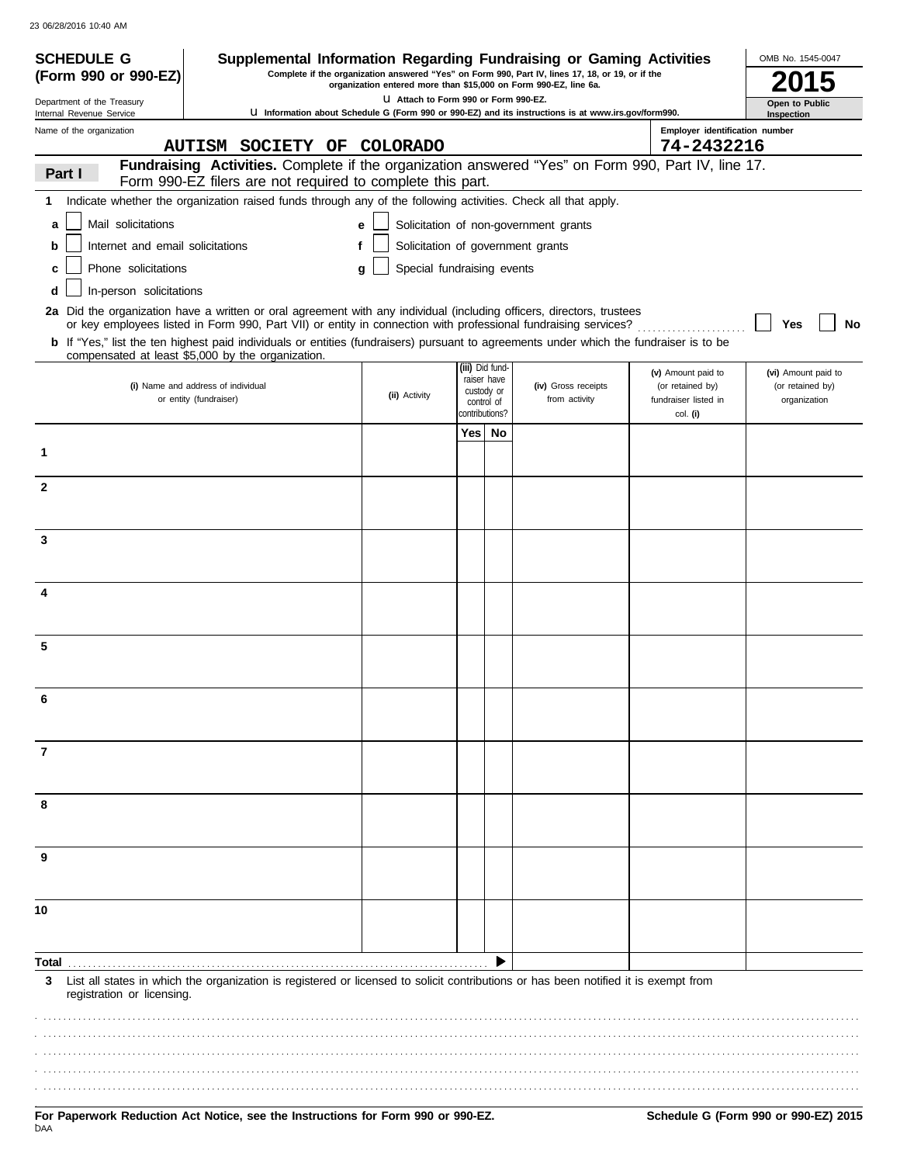| <b>SCHEDULE G</b>                                      | Supplemental Information Regarding Fundraising or Gaming Activities                                                                                                                         |                                                                  |                |                                |                                                                                                     |                                          | OMB No. 1545-0047                |
|--------------------------------------------------------|---------------------------------------------------------------------------------------------------------------------------------------------------------------------------------------------|------------------------------------------------------------------|----------------|--------------------------------|-----------------------------------------------------------------------------------------------------|------------------------------------------|----------------------------------|
| (Form 990 or 990-EZ)                                   |                                                                                                                                                                                             | organization entered more than \$15,000 on Form 990-EZ, line 6a. |                |                                | Complete if the organization answered "Yes" on Form 990, Part IV, lines 17, 18, or 19, or if the    |                                          |                                  |
| Department of the Treasury<br>Internal Revenue Service |                                                                                                                                                                                             | LI Attach to Form 990 or Form 990-EZ.                            |                |                                | U Information about Schedule G (Form 990 or 990-EZ) and its instructions is at www.irs.gov/form990. |                                          | Open to Public<br>Inspection     |
| Name of the organization                               |                                                                                                                                                                                             |                                                                  |                |                                |                                                                                                     | Employer identification number           |                                  |
|                                                        | AUTISM SOCIETY OF COLORADO                                                                                                                                                                  |                                                                  |                |                                |                                                                                                     | 74-2432216                               |                                  |
| Part I                                                 | Fundraising Activities. Complete if the organization answered "Yes" on Form 990, Part IV, line 17.<br>Form 990-EZ filers are not required to complete this part.                            |                                                                  |                |                                |                                                                                                     |                                          |                                  |
| 1.                                                     | Indicate whether the organization raised funds through any of the following activities. Check all that apply.                                                                               |                                                                  |                |                                |                                                                                                     |                                          |                                  |
| Mail solicitations<br>a                                |                                                                                                                                                                                             | e                                                                |                |                                | Solicitation of non-government grants                                                               |                                          |                                  |
| Internet and email solicitations<br>b                  |                                                                                                                                                                                             | Solicitation of government grants<br>f                           |                |                                |                                                                                                     |                                          |                                  |
| Phone solicitations<br>c                               |                                                                                                                                                                                             | Special fundraising events<br>a                                  |                |                                |                                                                                                     |                                          |                                  |
| In-person solicitations<br>d                           |                                                                                                                                                                                             |                                                                  |                |                                |                                                                                                     |                                          |                                  |
|                                                        | 2a Did the organization have a written or oral agreement with any individual (including officers, directors, trustees                                                                       |                                                                  |                |                                |                                                                                                     |                                          |                                  |
|                                                        | or key employees listed in Form 990, Part VII) or entity in connection with professional fundraising services?                                                                              |                                                                  |                |                                |                                                                                                     |                                          | Yes<br>No                        |
|                                                        | b If "Yes," list the ten highest paid individuals or entities (fundraisers) pursuant to agreements under which the fundraiser is to be<br>compensated at least \$5,000 by the organization. |                                                                  |                |                                |                                                                                                     |                                          |                                  |
|                                                        | (i) Name and address of individual                                                                                                                                                          |                                                                  |                | (iii) Did fund-<br>raiser have | (iv) Gross receipts                                                                                 | (v) Amount paid to                       | (vi) Amount paid to              |
|                                                        | or entity (fundraiser)                                                                                                                                                                      | (ii) Activity                                                    |                | custody or<br>control of       | from activity                                                                                       | (or retained by)<br>fundraiser listed in | (or retained by)<br>organization |
|                                                        |                                                                                                                                                                                             |                                                                  | contributions? |                                |                                                                                                     | col. (i)                                 |                                  |
| 1                                                      |                                                                                                                                                                                             |                                                                  | Yes⊺           | No                             |                                                                                                     |                                          |                                  |
|                                                        |                                                                                                                                                                                             |                                                                  |                |                                |                                                                                                     |                                          |                                  |
| 2                                                      |                                                                                                                                                                                             |                                                                  |                |                                |                                                                                                     |                                          |                                  |
|                                                        |                                                                                                                                                                                             |                                                                  |                |                                |                                                                                                     |                                          |                                  |
| 3                                                      |                                                                                                                                                                                             |                                                                  |                |                                |                                                                                                     |                                          |                                  |
|                                                        |                                                                                                                                                                                             |                                                                  |                |                                |                                                                                                     |                                          |                                  |
|                                                        |                                                                                                                                                                                             |                                                                  |                |                                |                                                                                                     |                                          |                                  |
| 4                                                      |                                                                                                                                                                                             |                                                                  |                |                                |                                                                                                     |                                          |                                  |
|                                                        |                                                                                                                                                                                             |                                                                  |                |                                |                                                                                                     |                                          |                                  |
| 5                                                      |                                                                                                                                                                                             |                                                                  |                |                                |                                                                                                     |                                          |                                  |
|                                                        |                                                                                                                                                                                             |                                                                  |                |                                |                                                                                                     |                                          |                                  |
|                                                        |                                                                                                                                                                                             |                                                                  |                |                                |                                                                                                     |                                          |                                  |
|                                                        |                                                                                                                                                                                             |                                                                  |                |                                |                                                                                                     |                                          |                                  |
|                                                        |                                                                                                                                                                                             |                                                                  |                |                                |                                                                                                     |                                          |                                  |
| 7                                                      |                                                                                                                                                                                             |                                                                  |                |                                |                                                                                                     |                                          |                                  |
|                                                        |                                                                                                                                                                                             |                                                                  |                |                                |                                                                                                     |                                          |                                  |
| 8                                                      |                                                                                                                                                                                             |                                                                  |                |                                |                                                                                                     |                                          |                                  |
|                                                        |                                                                                                                                                                                             |                                                                  |                |                                |                                                                                                     |                                          |                                  |
| 9                                                      |                                                                                                                                                                                             |                                                                  |                |                                |                                                                                                     |                                          |                                  |
|                                                        |                                                                                                                                                                                             |                                                                  |                |                                |                                                                                                     |                                          |                                  |
|                                                        |                                                                                                                                                                                             |                                                                  |                |                                |                                                                                                     |                                          |                                  |
| 10                                                     |                                                                                                                                                                                             |                                                                  |                |                                |                                                                                                     |                                          |                                  |
|                                                        |                                                                                                                                                                                             |                                                                  |                |                                |                                                                                                     |                                          |                                  |
| Total                                                  |                                                                                                                                                                                             |                                                                  |                | ▶                              |                                                                                                     |                                          |                                  |
| 3                                                      | List all states in which the organization is registered or licensed to solicit contributions or has been notified it is exempt from                                                         |                                                                  |                |                                |                                                                                                     |                                          |                                  |
| registration or licensing.                             |                                                                                                                                                                                             |                                                                  |                |                                |                                                                                                     |                                          |                                  |
|                                                        |                                                                                                                                                                                             |                                                                  |                |                                |                                                                                                     |                                          |                                  |
|                                                        |                                                                                                                                                                                             |                                                                  |                |                                |                                                                                                     |                                          |                                  |
|                                                        |                                                                                                                                                                                             |                                                                  |                |                                |                                                                                                     |                                          |                                  |
|                                                        |                                                                                                                                                                                             |                                                                  |                |                                |                                                                                                     |                                          |                                  |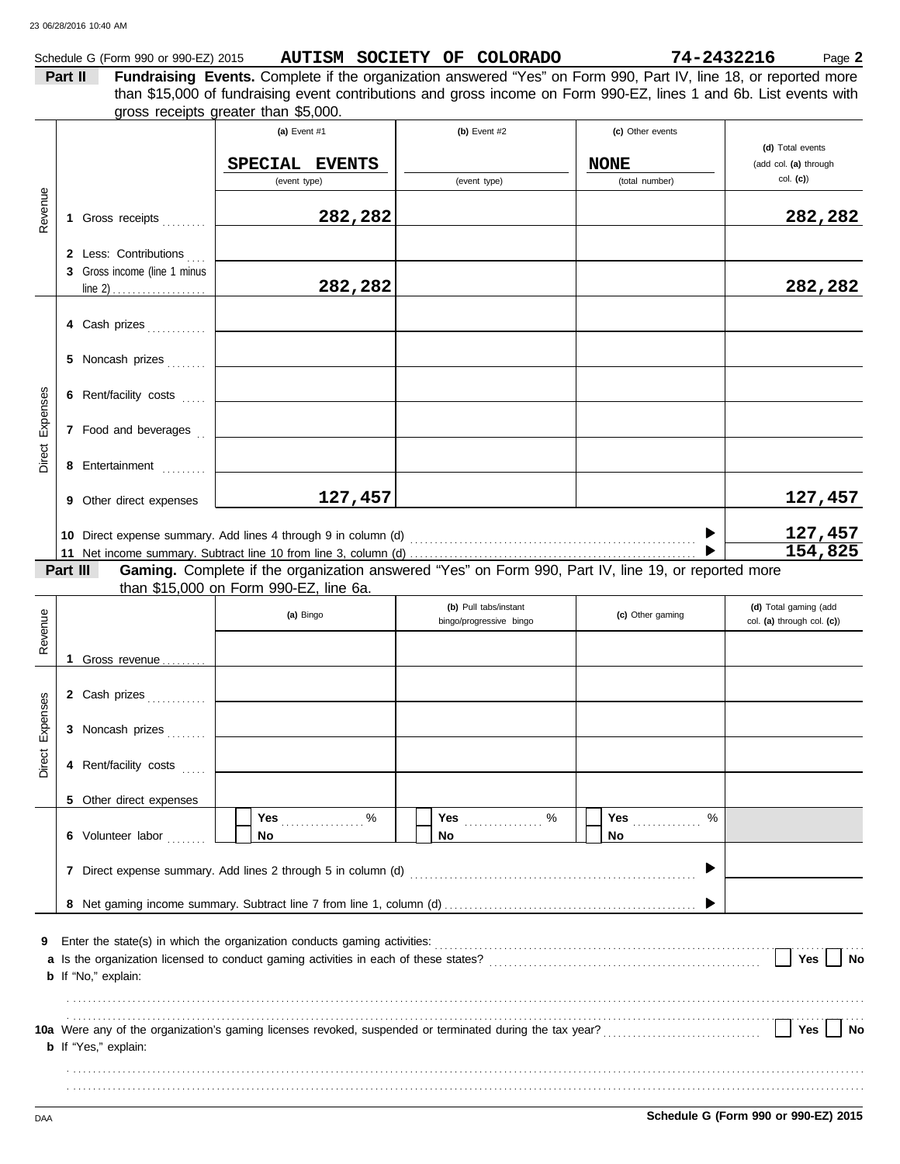|                 | 23 06/28/2016 10:40 AM                                                         |                                                                                                                                                                                                                                                                                                                                                  |                                                  |                                 |                                                     |
|-----------------|--------------------------------------------------------------------------------|--------------------------------------------------------------------------------------------------------------------------------------------------------------------------------------------------------------------------------------------------------------------------------------------------------------------------------------------------|--------------------------------------------------|---------------------------------|-----------------------------------------------------|
|                 | Part II                                                                        | Schedule G (Form 990 or 990-EZ) 2015 AUTISM SOCIETY OF COLORADO<br>Fundraising Events. Complete if the organization answered "Yes" on Form 990, Part IV, line 18, or reported more<br>than \$15,000 of fundraising event contributions and gross income on Form 990-EZ, lines 1 and 6b. List events with<br>gross receipts greater than \$5,000. |                                                  | 74-2432216                      | Page 2                                              |
|                 |                                                                                | (a) Event $#1$<br>SPECIAL EVENTS                                                                                                                                                                                                                                                                                                                 | (b) Event $#2$                                   | (c) Other events<br><b>NONE</b> | (d) Total events<br>(add col. (a) through           |
| Revenue         | 1 Gross receipts [1]                                                           | (event type)<br>282,282                                                                                                                                                                                                                                                                                                                          | (event type)                                     | (total number)                  | col. (c)<br>282,282                                 |
|                 | 2 Less: Contributions<br>3 Gross income (line 1 minus                          | 282,282                                                                                                                                                                                                                                                                                                                                          |                                                  |                                 | 282,282                                             |
|                 | 4 Cash prizes                                                                  |                                                                                                                                                                                                                                                                                                                                                  |                                                  |                                 |                                                     |
|                 | 5 Noncash prizes                                                               |                                                                                                                                                                                                                                                                                                                                                  |                                                  |                                 |                                                     |
| Expenses        | 6 Rent/facility costs                                                          |                                                                                                                                                                                                                                                                                                                                                  |                                                  |                                 |                                                     |
| Direct          | 7 Food and beverages $\begin{bmatrix} 1 \\ 2 \end{bmatrix}$<br>8 Entertainment |                                                                                                                                                                                                                                                                                                                                                  |                                                  |                                 |                                                     |
|                 | <b>9</b> Other direct expenses                                                 | 127,457                                                                                                                                                                                                                                                                                                                                          |                                                  |                                 | 127,457                                             |
|                 | Part III                                                                       | Gaming. Complete if the organization answered "Yes" on Form 990, Part IV, line 19, or reported more                                                                                                                                                                                                                                              |                                                  |                                 | 127,457<br>154,825                                  |
| Revenue         |                                                                                | than \$15,000 on Form 990-EZ, line 6a.<br>(a) Bingo                                                                                                                                                                                                                                                                                              | (b) Pull tabs/instant<br>bingo/progressive bingo | (c) Other gaming                | (d) Total gaming (add<br>col. (a) through col. (c)) |
|                 | Gross revenue                                                                  |                                                                                                                                                                                                                                                                                                                                                  |                                                  |                                 |                                                     |
|                 | 2 Cash prizes                                                                  |                                                                                                                                                                                                                                                                                                                                                  |                                                  |                                 |                                                     |
| Direct Expenses | 3 Noncash prizes                                                               |                                                                                                                                                                                                                                                                                                                                                  |                                                  |                                 |                                                     |
|                 | 4 Rent/facility costs                                                          |                                                                                                                                                                                                                                                                                                                                                  |                                                  |                                 |                                                     |
|                 | 5 Other direct expenses                                                        |                                                                                                                                                                                                                                                                                                                                                  | Yes  %                                           | %<br><b>Yes</b>                 |                                                     |
|                 | 6 Volunteer labor                                                              | No                                                                                                                                                                                                                                                                                                                                               | No                                               | No                              |                                                     |

|   | 7 Direct expense summary. Add lines 2 through 5 in column (d)                                                   |
|---|-----------------------------------------------------------------------------------------------------------------|
|   |                                                                                                                 |
| 9 | Enter the state(s) in which the organization conducts gaming activities:                                        |
|   | a Is the organization licensed to conduct gaming activities in each of these states?<br>Yes                     |
|   | <b>b</b> If "No," explain:                                                                                      |
|   |                                                                                                                 |
|   | 10a Were any of the organization's gaming licenses revoked, suspended or terminated during the tax year?<br>Yes |
|   | <b>b</b> If "Yes," explain:                                                                                     |
|   |                                                                                                                 |

. . . . . . . . . . . . . . . . . . . . . . . . . . . . . . . . . . . . . . . . . . . . . . . . . . . . . . . . . . . . . . . . . . . . . . . . . . . . . . . . . . . . . . . . . . . . . . . . . . . . . . . . . . . . . . . . . . . . . . . . . . . . . . . . . . . . . . . . . . . . . . . . . . . . . . . . . . . . . . . . .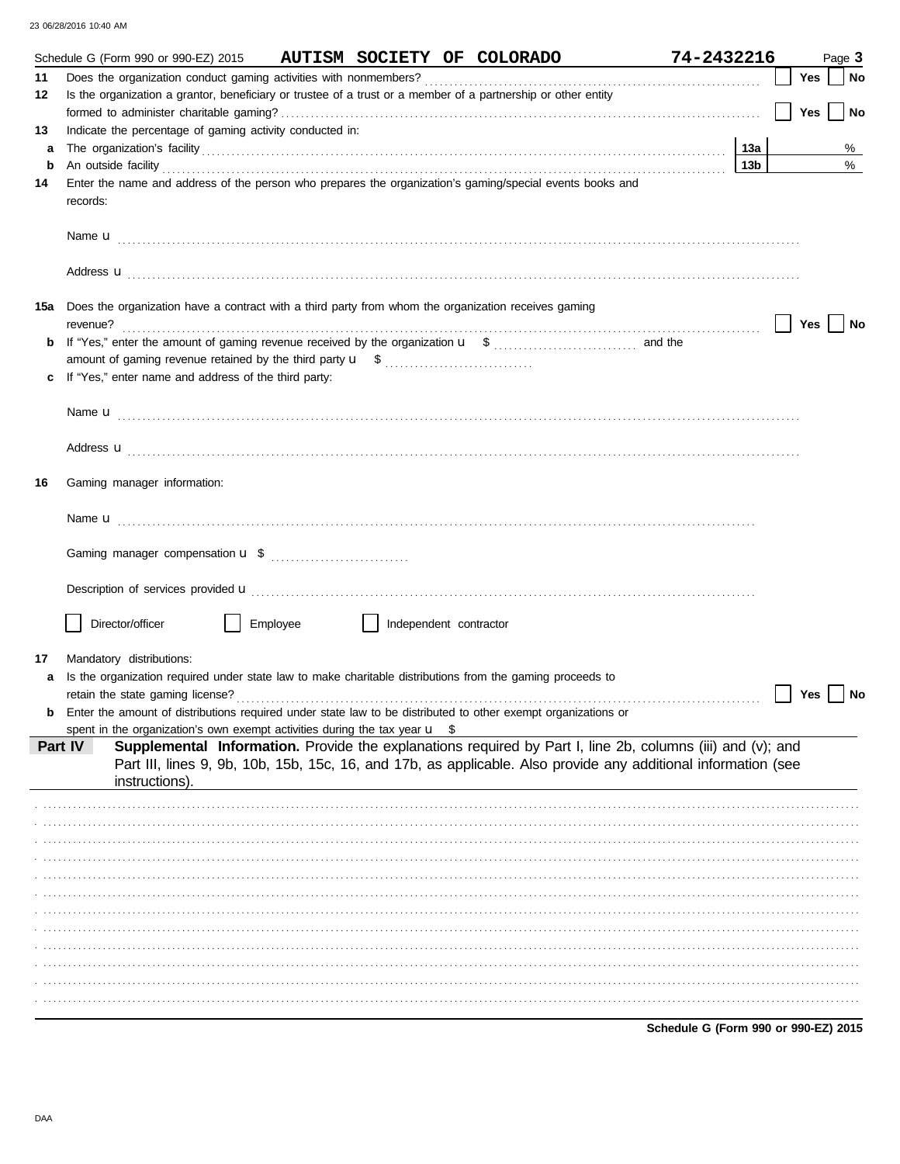|     |                          | Schedule G (Form 990 or 990-EZ) 2015 |                                                          |                                                                                       | AUTISM SOCIETY OF COLORADO                                                                                    |                                                                                                                                                                                                                                      | 74-2432216                           |     |     | Page 3 |
|-----|--------------------------|--------------------------------------|----------------------------------------------------------|---------------------------------------------------------------------------------------|---------------------------------------------------------------------------------------------------------------|--------------------------------------------------------------------------------------------------------------------------------------------------------------------------------------------------------------------------------------|--------------------------------------|-----|-----|--------|
| 11  |                          |                                      |                                                          |                                                                                       |                                                                                                               |                                                                                                                                                                                                                                      |                                      |     | Yes | No     |
| 12  |                          |                                      |                                                          |                                                                                       | Is the organization a grantor, beneficiary or trustee of a trust or a member of a partnership or other entity |                                                                                                                                                                                                                                      |                                      |     |     |        |
|     |                          |                                      |                                                          |                                                                                       |                                                                                                               |                                                                                                                                                                                                                                      |                                      |     | Yes | No     |
| 13  |                          |                                      | Indicate the percentage of gaming activity conducted in: |                                                                                       |                                                                                                               |                                                                                                                                                                                                                                      |                                      |     |     |        |
| a   |                          |                                      |                                                          |                                                                                       |                                                                                                               | The organization's facility with a control of the control of the control of the control of the control of the control of the control of the control of the control of the control of the control of the control of the control       |                                      | 13a |     | %      |
| b   |                          |                                      |                                                          |                                                                                       |                                                                                                               | An outside facility <b>contained a set of a set of a set of a set of a set of a set of a set of a set of a set of a set of a set of a set of a set of a set of a set of a set of a set of a set of a set of a set of a set of a </b> |                                      | 13b |     | %      |
| 14  | records:                 |                                      |                                                          |                                                                                       | Enter the name and address of the person who prepares the organization's gaming/special events books and      |                                                                                                                                                                                                                                      |                                      |     |     |        |
|     |                          |                                      |                                                          |                                                                                       |                                                                                                               |                                                                                                                                                                                                                                      |                                      |     |     |        |
|     |                          |                                      |                                                          |                                                                                       |                                                                                                               |                                                                                                                                                                                                                                      |                                      |     |     |        |
| 15a | revenue?                 |                                      |                                                          |                                                                                       | Does the organization have a contract with a third party from whom the organization receives gaming           |                                                                                                                                                                                                                                      |                                      |     | Yes | No     |
| b   |                          |                                      |                                                          |                                                                                       |                                                                                                               |                                                                                                                                                                                                                                      |                                      |     |     |        |
|     |                          |                                      |                                                          |                                                                                       |                                                                                                               |                                                                                                                                                                                                                                      |                                      |     |     |        |
| c   |                          |                                      | If "Yes," enter name and address of the third party:     |                                                                                       |                                                                                                               |                                                                                                                                                                                                                                      |                                      |     |     |        |
|     |                          |                                      |                                                          |                                                                                       |                                                                                                               |                                                                                                                                                                                                                                      |                                      |     |     |        |
|     |                          |                                      |                                                          |                                                                                       |                                                                                                               |                                                                                                                                                                                                                                      |                                      |     |     |        |
|     |                          |                                      |                                                          |                                                                                       |                                                                                                               |                                                                                                                                                                                                                                      |                                      |     |     |        |
|     |                          |                                      |                                                          |                                                                                       |                                                                                                               | Address <b>u</b>                                                                                                                                                                                                                     |                                      |     |     |        |
| 16  |                          | Gaming manager information:          |                                                          |                                                                                       |                                                                                                               |                                                                                                                                                                                                                                      |                                      |     |     |        |
|     |                          |                                      |                                                          |                                                                                       |                                                                                                               |                                                                                                                                                                                                                                      |                                      |     |     |        |
|     |                          |                                      |                                                          |                                                                                       |                                                                                                               |                                                                                                                                                                                                                                      |                                      |     |     |        |
|     |                          |                                      |                                                          |                                                                                       |                                                                                                               |                                                                                                                                                                                                                                      |                                      |     |     |        |
|     |                          |                                      |                                                          |                                                                                       |                                                                                                               | Description of services provided <b>u</b> electron control and a service of the service of the services provided <b>u</b>                                                                                                            |                                      |     |     |        |
|     | Director/officer         |                                      | Employee                                                 | $\perp$<br>Independent contractor                                                     |                                                                                                               |                                                                                                                                                                                                                                      |                                      |     |     |        |
| 17  | Mandatory distributions: |                                      |                                                          |                                                                                       |                                                                                                               |                                                                                                                                                                                                                                      |                                      |     |     |        |
| a   |                          |                                      |                                                          |                                                                                       | Is the organization required under state law to make charitable distributions from the gaming proceeds to     |                                                                                                                                                                                                                                      |                                      |     |     |        |
|     |                          |                                      |                                                          |                                                                                       |                                                                                                               |                                                                                                                                                                                                                                      |                                      |     | Yes | No     |
| b   |                          |                                      |                                                          |                                                                                       | Enter the amount of distributions required under state law to be distributed to other exempt organizations or |                                                                                                                                                                                                                                      |                                      |     |     |        |
|     |                          |                                      |                                                          | spent in the organization's own exempt activities during the tax year $\mathbf{u}$ \$ |                                                                                                               |                                                                                                                                                                                                                                      |                                      |     |     |        |
|     | Part IV                  | instructions).                       |                                                          |                                                                                       |                                                                                                               | Supplemental Information. Provide the explanations required by Part I, line 2b, columns (iii) and (v); and<br>Part III, lines 9, 9b, 10b, 15b, 15c, 16, and 17b, as applicable. Also provide any additional information (see         |                                      |     |     |        |
|     |                          |                                      |                                                          |                                                                                       |                                                                                                               |                                                                                                                                                                                                                                      |                                      |     |     |        |
|     |                          |                                      |                                                          |                                                                                       |                                                                                                               |                                                                                                                                                                                                                                      |                                      |     |     |        |
|     |                          |                                      |                                                          |                                                                                       |                                                                                                               |                                                                                                                                                                                                                                      |                                      |     |     |        |
|     |                          |                                      |                                                          |                                                                                       |                                                                                                               |                                                                                                                                                                                                                                      |                                      |     |     |        |
|     |                          |                                      |                                                          |                                                                                       |                                                                                                               |                                                                                                                                                                                                                                      |                                      |     |     |        |
|     |                          |                                      |                                                          |                                                                                       |                                                                                                               |                                                                                                                                                                                                                                      |                                      |     |     |        |
|     |                          |                                      |                                                          |                                                                                       |                                                                                                               |                                                                                                                                                                                                                                      |                                      |     |     |        |
|     |                          |                                      |                                                          |                                                                                       |                                                                                                               |                                                                                                                                                                                                                                      |                                      |     |     |        |
|     |                          |                                      |                                                          |                                                                                       |                                                                                                               |                                                                                                                                                                                                                                      |                                      |     |     |        |
|     |                          |                                      |                                                          |                                                                                       |                                                                                                               |                                                                                                                                                                                                                                      |                                      |     |     |        |
|     |                          |                                      |                                                          |                                                                                       |                                                                                                               |                                                                                                                                                                                                                                      |                                      |     |     |        |
|     |                          |                                      |                                                          |                                                                                       |                                                                                                               |                                                                                                                                                                                                                                      |                                      |     |     |        |
|     |                          |                                      |                                                          |                                                                                       |                                                                                                               |                                                                                                                                                                                                                                      | Schedule G (Form 990 or 990-EZ) 2015 |     |     |        |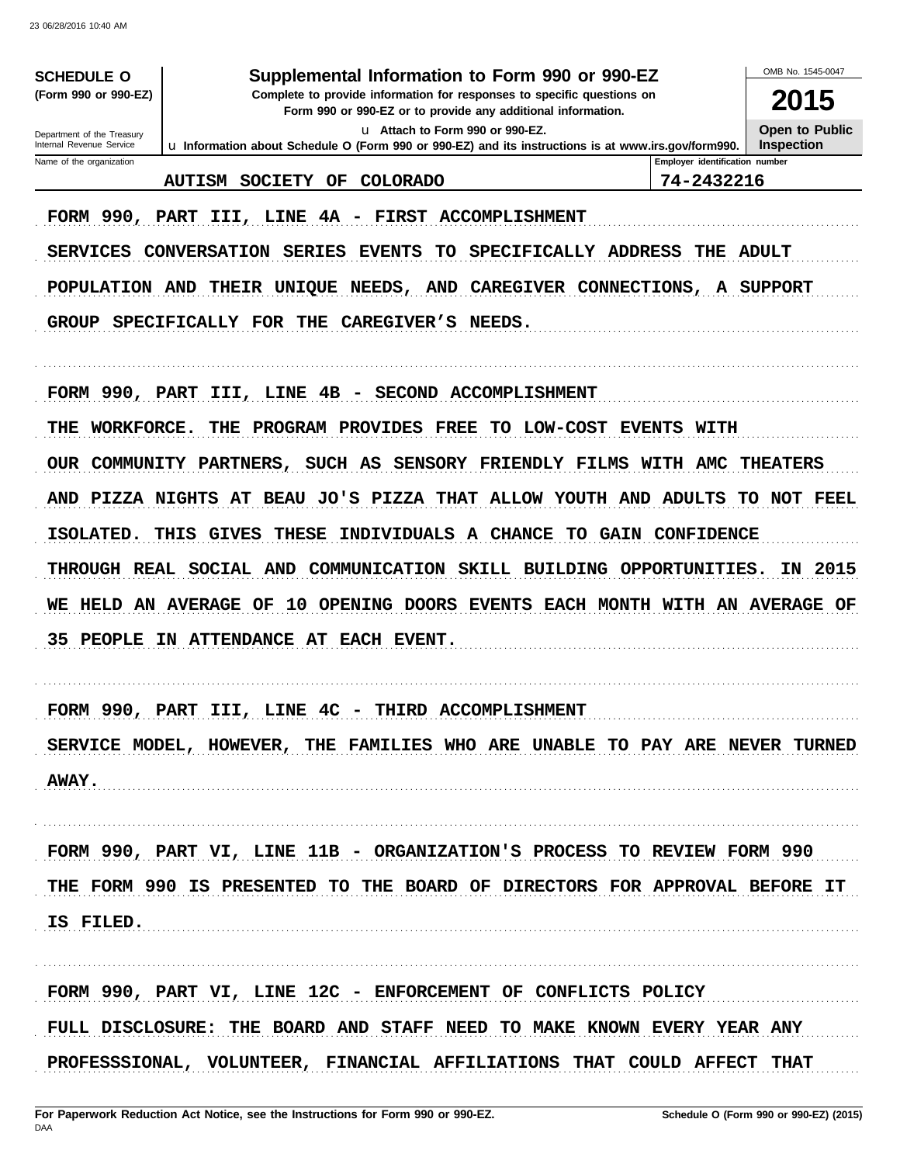| <b>SCHEDULE O</b>                                    | Supplemental Information to Form 990 or 990-EZ                                                                                         |                                | OMB No. 1545-0047     |  |  |  |  |  |  |  |
|------------------------------------------------------|----------------------------------------------------------------------------------------------------------------------------------------|--------------------------------|-----------------------|--|--|--|--|--|--|--|
| (Form 990 or 990-EZ)                                 | Complete to provide information for responses to specific questions on<br>Form 990 or 990-EZ or to provide any additional information. |                                |                       |  |  |  |  |  |  |  |
| Department of the Treasury                           | <b>Open to Public</b>                                                                                                                  |                                |                       |  |  |  |  |  |  |  |
| Internal Revenue Service<br>Name of the organization | u Information about Schedule O (Form 990 or 990-EZ) and its instructions is at www.irs.gov/form990.                                    | Employer identification number | <b>Inspection</b>     |  |  |  |  |  |  |  |
|                                                      | <b>AUTISM</b><br><b>SOCIETY</b><br>OF<br><b>COLORADO</b>                                                                               | 74-2432216                     |                       |  |  |  |  |  |  |  |
| FORM 990, PART                                       | III, LINE 4A - FIRST ACCOMPLISHMENT                                                                                                    |                                |                       |  |  |  |  |  |  |  |
| <b>SERVICES</b>                                      | CONVERSATION SERIES<br>SPECIFICALLY ADDRESS<br><b>EVENTS</b><br>TO                                                                     | THE                            | <b>ADULT</b>          |  |  |  |  |  |  |  |
|                                                      | CAREGIVER CONNECTIONS, A SUPPORT<br>POPULATION AND<br>THEIR UNIQUE NEEDS, AND                                                          |                                |                       |  |  |  |  |  |  |  |
| <b>GROUP</b>                                         | SPECIFICALLY FOR THE<br><b>CAREGIVER'S</b><br>NEEDS.                                                                                   |                                |                       |  |  |  |  |  |  |  |
|                                                      |                                                                                                                                        |                                |                       |  |  |  |  |  |  |  |
|                                                      | FORM 990, PART III, LINE 4B - SECOND ACCOMPLISHMENT                                                                                    |                                |                       |  |  |  |  |  |  |  |
| WORKFORCE.<br>THE                                    | PROGRAM PROVIDES<br>LOW-COST EVENTS WITH<br>THE<br>FREE<br>TO                                                                          |                                |                       |  |  |  |  |  |  |  |
|                                                      | OUR COMMUNITY PARTNERS, SUCH AS SENSORY FRIENDLY FILMS WITH AMC                                                                        |                                | <b>THEATERS</b>       |  |  |  |  |  |  |  |
| AND PIZZA NIGHTS                                     | AT BEAU JO'S PIZZA THAT<br>ALLOW YOUTH AND                                                                                             | ADULTS                         | TO<br><b>NOT FEEL</b> |  |  |  |  |  |  |  |
| ISOLATED.                                            | <b>THESE</b><br>INDIVIDUALS<br>A CHANCE<br>THIS<br>GIVES                                                                               | <b>TO GAIN CONFIDENCE</b>      |                       |  |  |  |  |  |  |  |
|                                                      | THROUGH REAL SOCIAL AND<br>COMMUNICATION SKILL BUILDING                                                                                | OPPORTUNITIES.                 | 2015<br>ΙN            |  |  |  |  |  |  |  |
| <b>HELD</b><br>AN<br>WЕ                              | 10<br>OPENING DOORS EVENTS EACH MONTH WITH AN AVERAGE<br><b>AVERAGE</b><br>OF                                                          |                                | OF                    |  |  |  |  |  |  |  |
| 35<br>PEOPLE                                         | IN ATTENDANCE AT EACH EVENT.                                                                                                           |                                |                       |  |  |  |  |  |  |  |
|                                                      |                                                                                                                                        |                                |                       |  |  |  |  |  |  |  |
|                                                      | FORM 990, PART III, LINE 4C<br>THIRD ACCOMPLISHMENT                                                                                    |                                |                       |  |  |  |  |  |  |  |
|                                                      | SERVICE MODEL, HOWEVER, THE FAMILIES WHO ARE UNABLE TO PAY ARE NEVER TURNED                                                            |                                |                       |  |  |  |  |  |  |  |
| <b>AWAY.</b>                                         |                                                                                                                                        |                                |                       |  |  |  |  |  |  |  |
|                                                      |                                                                                                                                        |                                |                       |  |  |  |  |  |  |  |
|                                                      | FORM 990, PART VI, LINE 11B - ORGANIZATION'S PROCESS TO REVIEW FORM 990                                                                |                                |                       |  |  |  |  |  |  |  |
|                                                      | THE FORM 990 IS PRESENTED TO THE BOARD OF DIRECTORS FOR APPROVAL BEFORE IT                                                             |                                |                       |  |  |  |  |  |  |  |
| IS FILED.                                            |                                                                                                                                        |                                |                       |  |  |  |  |  |  |  |
|                                                      |                                                                                                                                        |                                |                       |  |  |  |  |  |  |  |
|                                                      | FORM 990, PART VI, LINE 12C - ENFORCEMENT OF CONFLICTS POLICY                                                                          |                                |                       |  |  |  |  |  |  |  |
|                                                      | FULL DISCLOSURE: THE BOARD AND STAFF NEED TO MAKE KNOWN EVERY YEAR ANY                                                                 |                                |                       |  |  |  |  |  |  |  |
|                                                      | PROFESSSIONAL, VOLUNTEER, FINANCIAL AFFILIATIONS THAT COULD AFFECT THAT                                                                |                                |                       |  |  |  |  |  |  |  |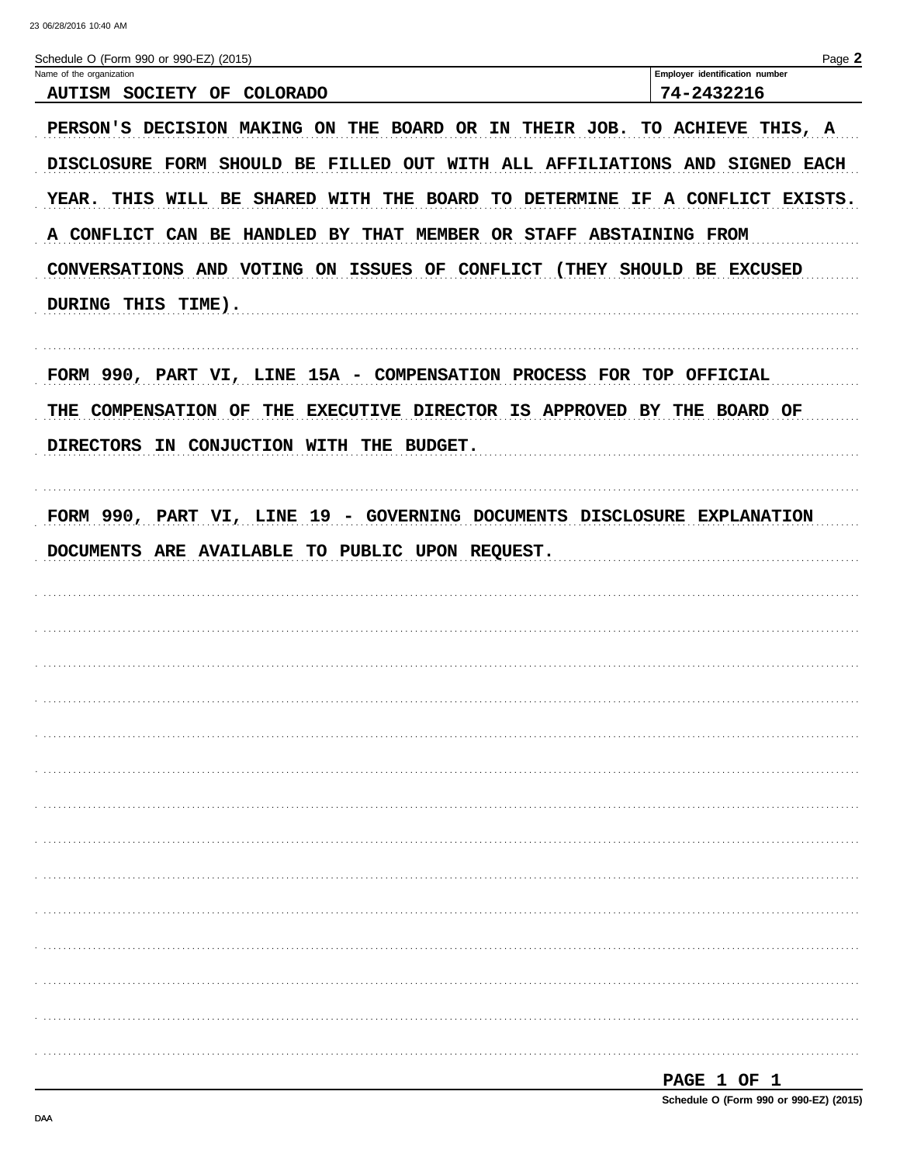| Schedule O (Form 990 or 990-EZ) (2015)                                     | Page 2                                                   |
|----------------------------------------------------------------------------|----------------------------------------------------------|
| Name of the organization                                                   | Employer identification number                           |
| <b>AUTISM SOCIETY</b><br>OF<br>COLORADO                                    | 74-2432216                                               |
| PERSON'S DECISION MAKING ON                                                | THE BOARD OR IN THEIR JOB. TO ACHIEVE THIS, A            |
| DISCLOSURE FORM SHOULD BE FILLED OUT WITH ALL AFFILIATIONS AND SIGNED EACH |                                                          |
| YEAR.<br>THIS WILL BE                                                      | SHARED WITH THE BOARD TO DETERMINE IF A CONFLICT EXISTS. |
| A CONFLICT CAN BE<br><b>HANDLED BY THAT</b>                                | MEMBER OR STAFF ABSTAINING FROM                          |
| CONVERSATIONS AND VOTING ON ISSUES OF CONFLICT (THEY SHOULD BE EXCUSED     |                                                          |
| DURING THIS TIME).                                                         |                                                          |
| FORM 990, PART VI, LINE 15A - COMPENSATION PROCESS FOR TOP OFFICIAL        |                                                          |
| THE COMPENSATION OF THE                                                    | EXECUTIVE DIRECTOR IS APPROVED BY THE BOARD OF           |
| <b>DIRECTORS</b><br>IN CONJUCTION WITH THE BUDGET.                         |                                                          |
|                                                                            |                                                          |
| FORM 990, PART VI, LINE 19 - GOVERNING DOCUMENTS DISCLOSURE EXPLANATION    |                                                          |
| DOCUMENTS ARE AVAILABLE<br>TO PUBLIC UPON REQUEST.                         |                                                          |
|                                                                            |                                                          |
|                                                                            |                                                          |
|                                                                            |                                                          |
|                                                                            |                                                          |
|                                                                            |                                                          |
|                                                                            |                                                          |
|                                                                            |                                                          |
|                                                                            |                                                          |
|                                                                            |                                                          |
|                                                                            |                                                          |
|                                                                            |                                                          |
|                                                                            |                                                          |
|                                                                            |                                                          |
|                                                                            |                                                          |
|                                                                            |                                                          |
|                                                                            |                                                          |

| -<br>٦,<br>., |  |  |
|---------------|--|--|
|               |  |  |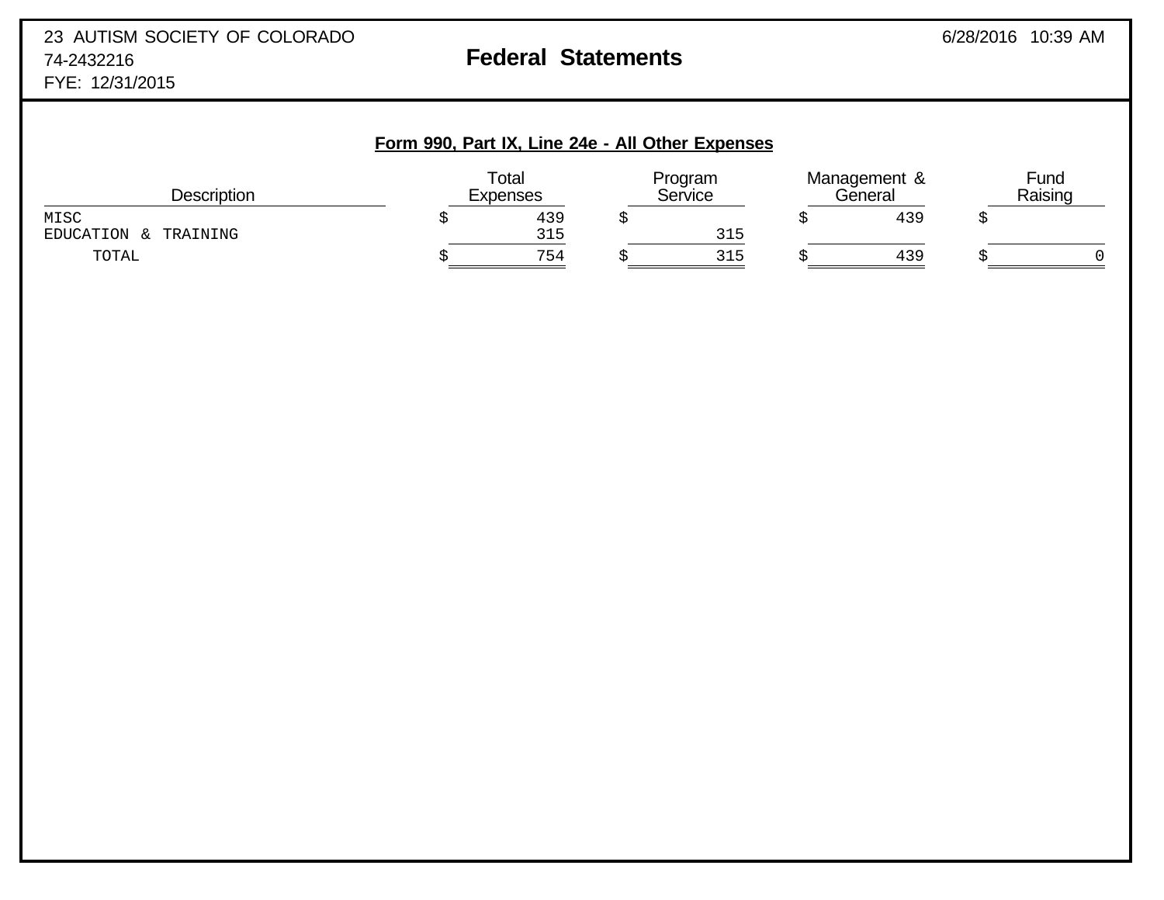## **Form 990, Part IX, Line 24e - All Other Expenses**

| Description                  | Total<br><b>Expenses</b> | Program<br>Service | Management &<br>General | Fund<br>Raising |
|------------------------------|--------------------------|--------------------|-------------------------|-----------------|
| MISC<br>EDUCATION & TRAINING | 439<br>315               | 315                | 439                     |                 |
| TOTAL                        | 754                      | 315                | 439                     |                 |